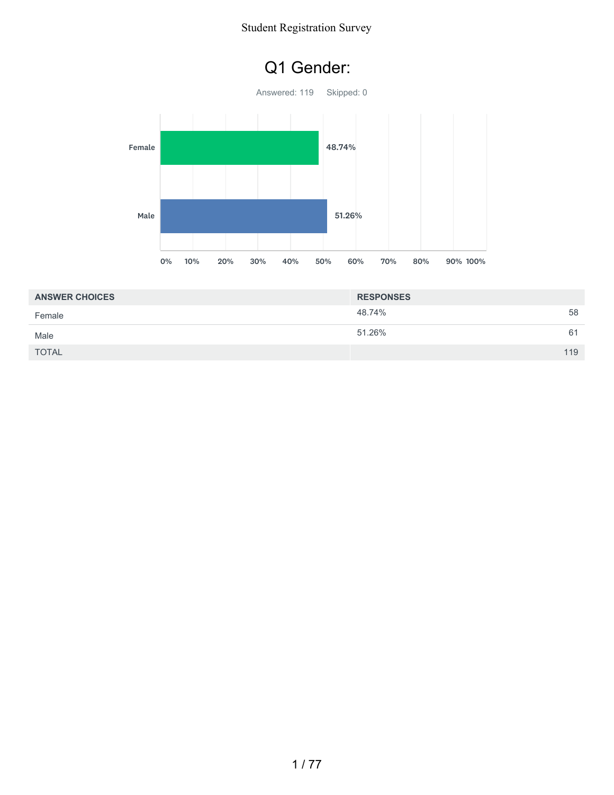### Q1 Gender:



| <b>ANSWER CHOICES</b> | <b>RESPONSES</b> |     |
|-----------------------|------------------|-----|
| Female                | 48.74%           | 58  |
| Male                  | 51.26%           | 61  |
| <b>TOTAL</b>          |                  | 119 |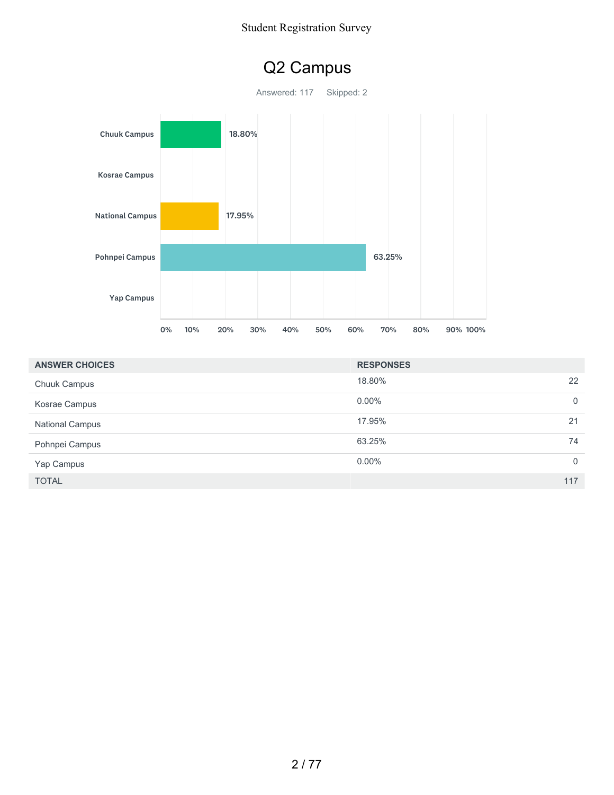### Q2 Campus

Answered: 117 Skipped: 2



| <b>ANSWER CHOICES</b>  | <b>RESPONSES</b> |          |
|------------------------|------------------|----------|
| <b>Chuuk Campus</b>    | 18.80%           | 22       |
| Kosrae Campus          | $0.00\%$         | 0        |
| <b>National Campus</b> | 17.95%<br>21     |          |
| Pohnpei Campus         | 63.25%           | 74       |
| Yap Campus             | $0.00\%$         | $\Omega$ |
| <b>TOTAL</b>           | 117              |          |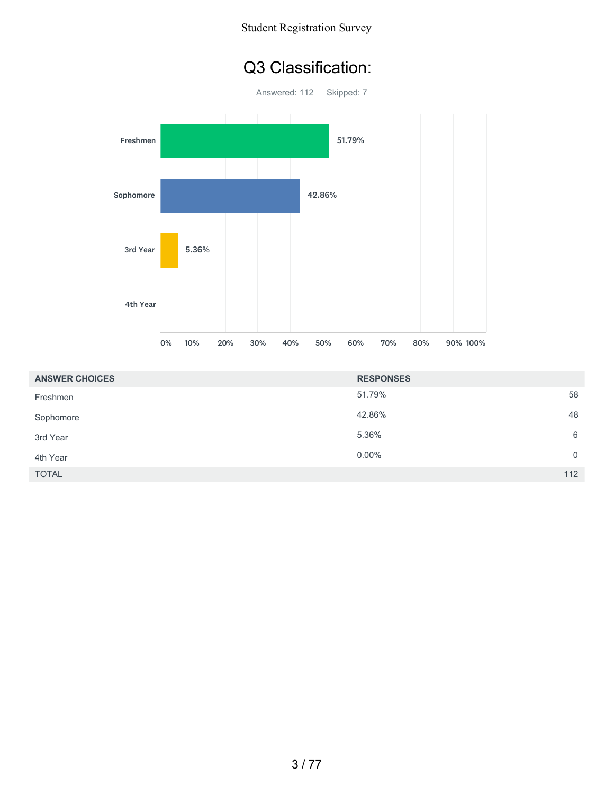### Q3 Classification:



| <b>ANSWER CHOICES</b> | <b>RESPONSES</b> |              |
|-----------------------|------------------|--------------|
| Freshmen              | 51.79%           | 58           |
| Sophomore             | 42.86%           | 48           |
| 3rd Year              | 5.36%            | 6            |
| 4th Year              | $0.00\%$         | $\mathbf{0}$ |
| <b>TOTAL</b>          |                  | 112          |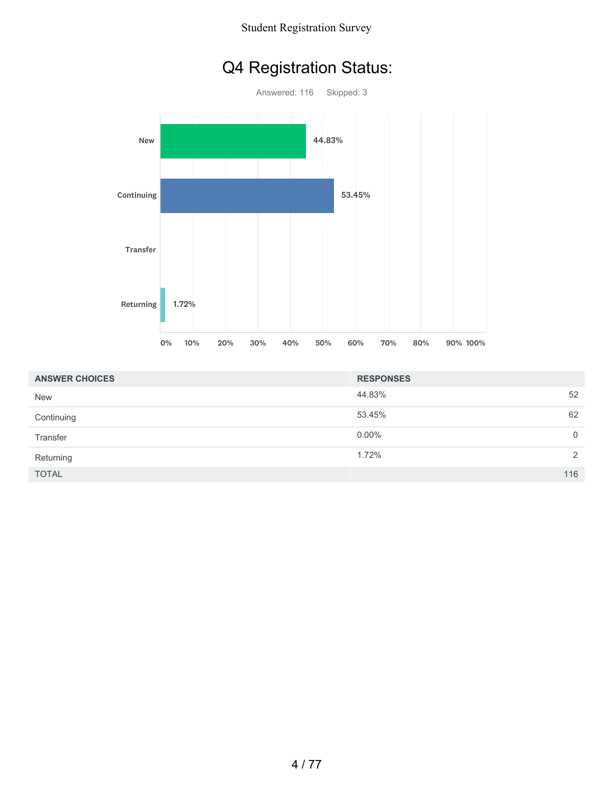### Q4 Registration Status:



| <b>ANSWER CHOICES</b> | <b>RESPONSES</b> |          |
|-----------------------|------------------|----------|
| <b>New</b>            | 44.83%           | 52       |
| Continuing            | 53.45%           | 62       |
| Transfer              | $0.00\%$         | $\Omega$ |
| Returning             | 1.72%            | 2        |
| <b>TOTAL</b>          |                  | 116      |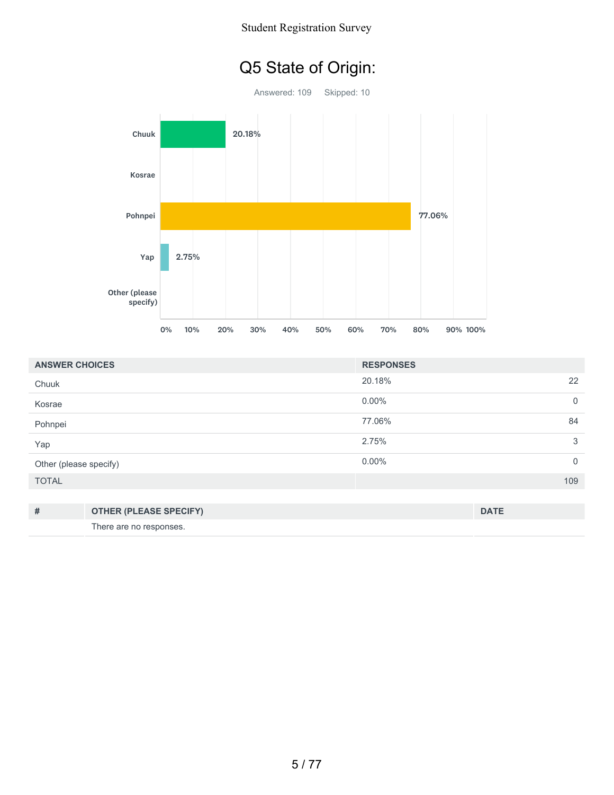## Q5 State of Origin:



| <b>ANSWER CHOICES</b>  |                               | <b>RESPONSES</b> |             |
|------------------------|-------------------------------|------------------|-------------|
| Chuuk                  |                               | 20.18%           | 22          |
| Kosrae                 |                               | $0.00\%$         | $\mathbf 0$ |
| Pohnpei                |                               | 77.06%           | 84          |
| Yap                    |                               | 2.75%            | 3           |
| Other (please specify) |                               | $0.00\%$         | $\mathbf 0$ |
| <b>TOTAL</b>           |                               |                  | 109         |
|                        |                               |                  |             |
| #                      | <b>OTHER (PLEASE SPECIFY)</b> |                  | <b>DATE</b> |
|                        | There are no responses.       |                  |             |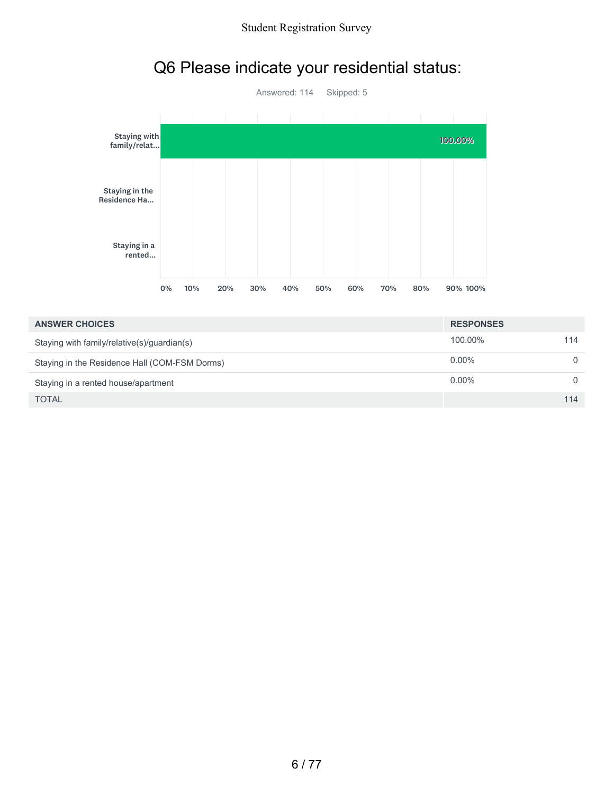

# Q6 Please indicate your residential status:

| <b>RESPONSES</b> |          |
|------------------|----------|
| 100.00%          | 114      |
| $0.00\%$         | $\Omega$ |
| $0.00\%$         | $\Omega$ |
|                  | 114      |
|                  |          |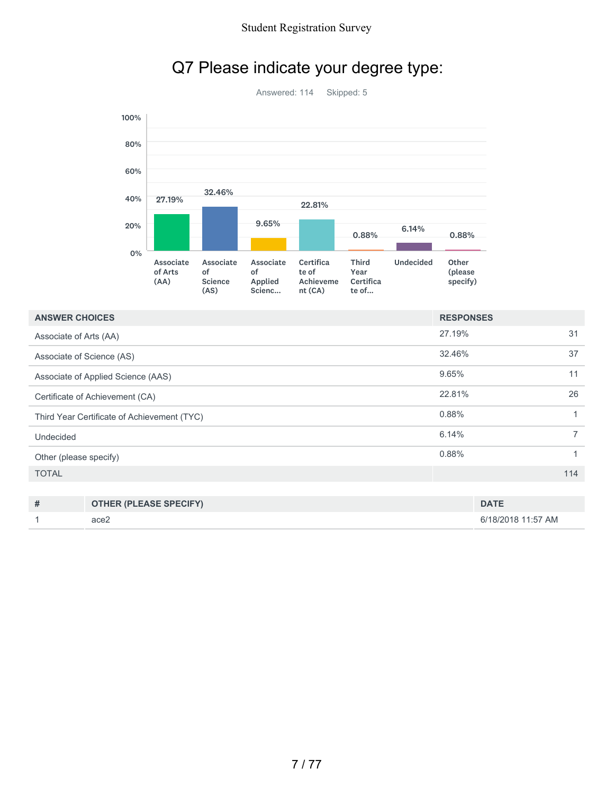

### Q7 Please indicate your degree type:

| <b>ANSWER CHOICES</b>                       | <b>RESPONSES</b> |                |
|---------------------------------------------|------------------|----------------|
| Associate of Arts (AA)                      | 27.19%           | 31             |
| Associate of Science (AS)                   | 32.46%           | 37             |
| Associate of Applied Science (AAS)          | 9.65%            | 11             |
| Certificate of Achievement (CA)             | 22.81%           | 26             |
| Third Year Certificate of Achievement (TYC) | 0.88%            | 1              |
| Undecided                                   | 6.14%            | $\overline{7}$ |
| Other (please specify)                      | 0.88%            | $\mathbf{1}$   |
| <b>TOTAL</b>                                |                  | 114            |
|                                             |                  |                |

| # | <b>OTHER (PLEASE SPECIFY)</b> | <b>DATE</b>        |
|---|-------------------------------|--------------------|
|   | ace2                          | 6/18/2018 11:57 AM |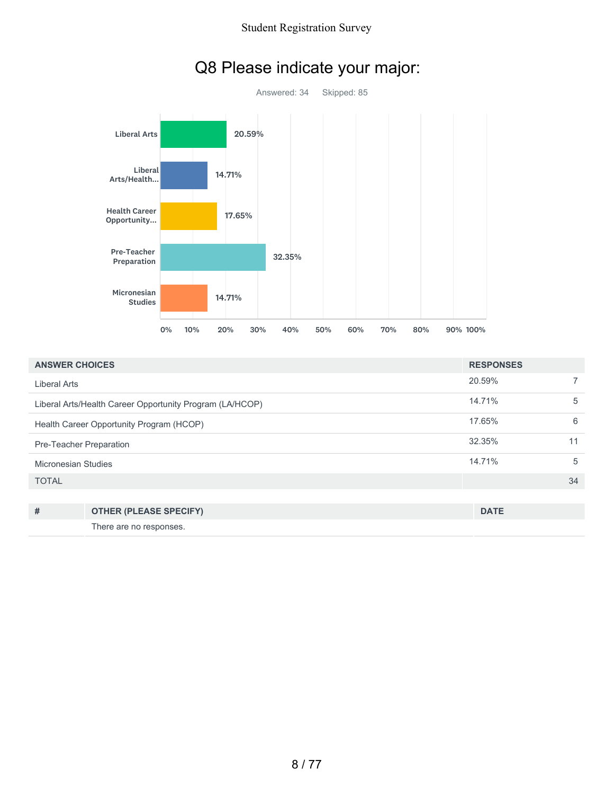

### Q8 Please indicate your major:

| <b>ANSWER CHOICES</b>                                    |                               | <b>RESPONSES</b> |                |
|----------------------------------------------------------|-------------------------------|------------------|----------------|
| Liberal Arts                                             |                               | 20.59%           | $\overline{ }$ |
| Liberal Arts/Health Career Opportunity Program (LA/HCOP) |                               | 14.71%           | 5              |
| Health Career Opportunity Program (HCOP)                 |                               | 17.65%           | 6              |
| Pre-Teacher Preparation                                  |                               | 32.35%           | 11             |
| Micronesian Studies                                      |                               | 14.71%           | 5              |
| <b>TOTAL</b>                                             |                               |                  | 34             |
|                                                          |                               |                  |                |
| #                                                        | <b>OTHER (PLEASE SPECIFY)</b> | <b>DATE</b>      |                |
|                                                          | There are no responses.       |                  |                |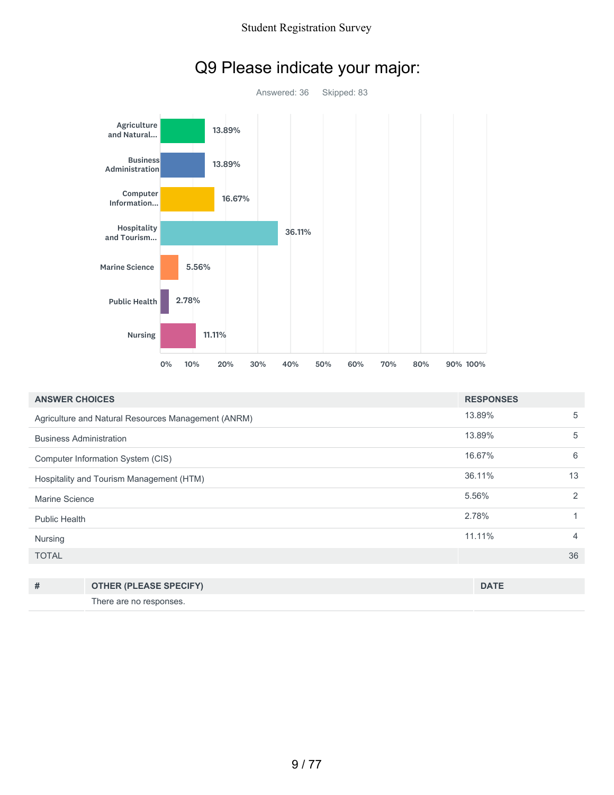

### Q9 Please indicate your major:

| <b>ANSWER CHOICES</b>                    |                                                     | <b>RESPONSES</b> |                |
|------------------------------------------|-----------------------------------------------------|------------------|----------------|
|                                          | Agriculture and Natural Resources Management (ANRM) | 13.89%           | 5              |
| <b>Business Administration</b>           |                                                     | 13.89%           | 5              |
|                                          | Computer Information System (CIS)                   | 16.67%           | 6              |
| Hospitality and Tourism Management (HTM) |                                                     | 36.11%           | 13             |
| Marine Science                           |                                                     | 5.56%            | 2              |
| <b>Public Health</b>                     |                                                     | 2.78%            | 4              |
| Nursing                                  |                                                     | 11.11%           | $\overline{4}$ |
| <b>TOTAL</b>                             |                                                     |                  | 36             |
|                                          |                                                     |                  |                |
| #                                        | <b>OTHER (PLEASE SPECIFY)</b>                       | <b>DATE</b>      |                |

There are no responses.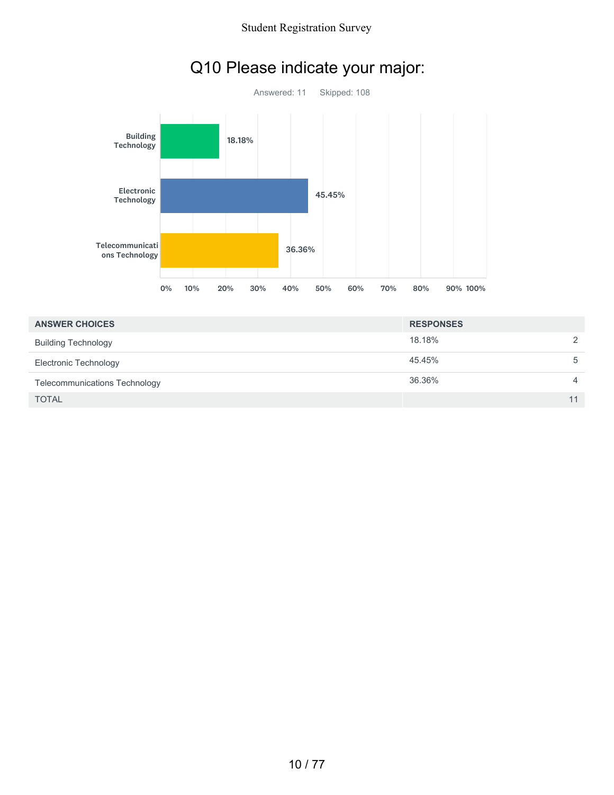

### Q10 Please indicate your major:

| <b>ANSWER CHOICES</b>         | <b>RESPONSES</b> |                |
|-------------------------------|------------------|----------------|
| <b>Building Technology</b>    | 18.18%           | $\mathcal{P}$  |
| Electronic Technology         | 45.45%           | 5              |
| Telecommunications Technology | 36.36%           | $\overline{4}$ |
| <b>TOTAL</b>                  |                  | 11             |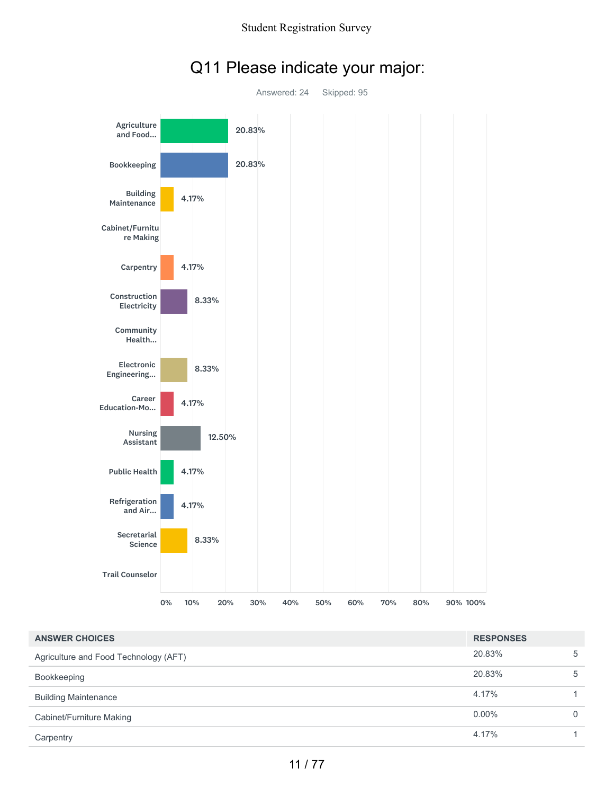

### Q11 Please indicate your major:

| <b>ANSWER CHOICES</b>                 | <b>RESPONSES</b> |          |
|---------------------------------------|------------------|----------|
| Agriculture and Food Technology (AFT) | 20.83%           | 5        |
| Bookkeeping                           | 20.83%           | 5        |
| <b>Building Maintenance</b>           | 4.17%            |          |
| Cabinet/Furniture Making              | $0.00\%$         | $\Omega$ |
| Carpentry                             | 4.17%            |          |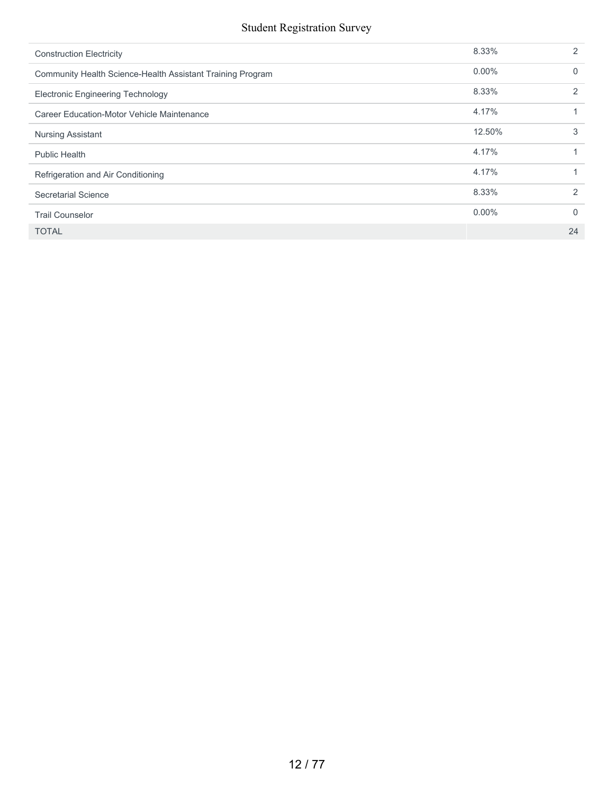| <b>Construction Electricity</b>                            | 8.33%    | $\mathcal{P}$  |
|------------------------------------------------------------|----------|----------------|
| Community Health Science-Health Assistant Training Program | $0.00\%$ | $\Omega$       |
| <b>Electronic Engineering Technology</b>                   | 8.33%    | $\mathcal{P}$  |
| Career Education-Motor Vehicle Maintenance                 | 4.17%    |                |
| <b>Nursing Assistant</b>                                   | 12.50%   | 3              |
| <b>Public Health</b>                                       | 4.17%    |                |
| Refrigeration and Air Conditioning                         | 4.17%    |                |
| Secretarial Science                                        | 8.33%    | $\mathfrak{D}$ |
| <b>Trail Counselor</b>                                     | $0.00\%$ | 0              |
| <b>TOTAL</b>                                               |          | 24             |
|                                                            |          |                |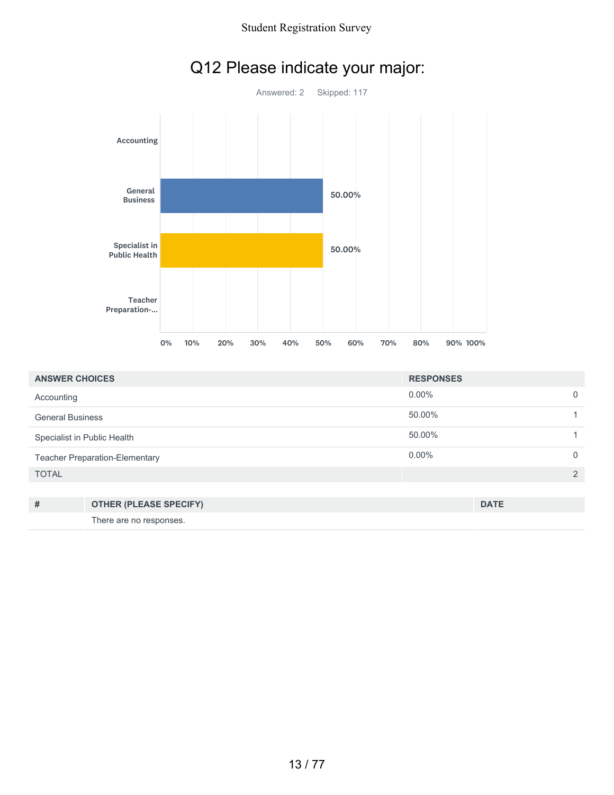

| Q12 Please indicate your major: |  |  |  |
|---------------------------------|--|--|--|
|---------------------------------|--|--|--|

| <b>ANSWER CHOICES</b>                 | <b>RESPONSES</b> |   |
|---------------------------------------|------------------|---|
| Accounting                            | $0.00\%$         |   |
| <b>General Business</b>               | 50.00%           |   |
| Specialist in Public Health           | 50.00%           |   |
| <b>Teacher Preparation-Elementary</b> | $0.00\%$         |   |
| <b>TOTAL</b>                          |                  | ⌒ |

| # | <b>OTHER (PLEASE SPECIFY)</b> | <b>DATE</b> |
|---|-------------------------------|-------------|
|   | There are no responses.       |             |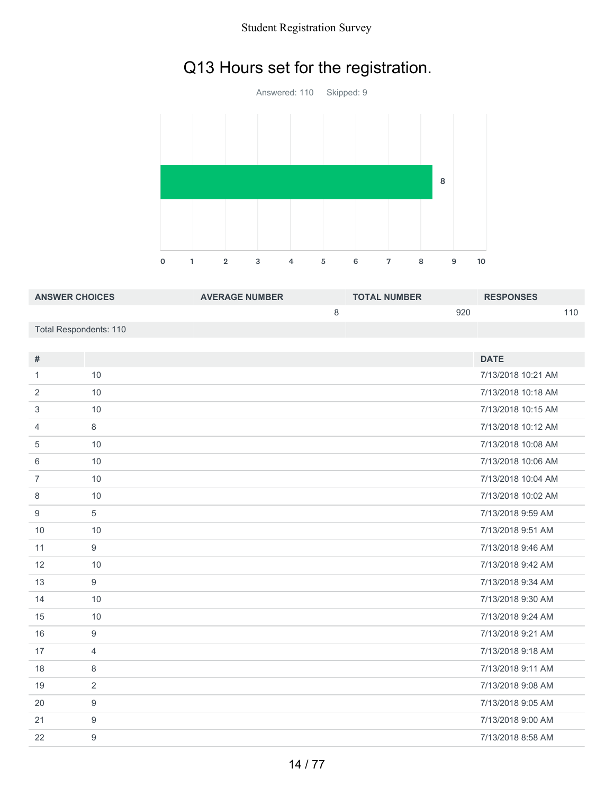## Q13 Hours set for the registration.



| <b>ANSWER CHOICES</b>  | <b>AVERAGE NUMBER</b> | <b>TOTAL NUMBER</b> | <b>RESPONSES</b> |
|------------------------|-----------------------|---------------------|------------------|
|                        |                       | 920                 | 110              |
| Total Respondents: 110 |                       |                     |                  |

| #              |                  | <b>DATE</b>        |
|----------------|------------------|--------------------|
| 1              | 10               | 7/13/2018 10:21 AM |
| 2              | 10               | 7/13/2018 10:18 AM |
| 3              | 10               | 7/13/2018 10:15 AM |
| $\overline{4}$ | 8                | 7/13/2018 10:12 AM |
| 5              | 10               | 7/13/2018 10:08 AM |
| 6              | 10               | 7/13/2018 10:06 AM |
| $\overline{7}$ | 10               | 7/13/2018 10:04 AM |
| 8              | 10               | 7/13/2018 10:02 AM |
| 9              | 5                | 7/13/2018 9:59 AM  |
| 10             | 10               | 7/13/2018 9:51 AM  |
| 11             | 9                | 7/13/2018 9:46 AM  |
| 12             | 10               | 7/13/2018 9:42 AM  |
| 13             | 9                | 7/13/2018 9:34 AM  |
| 14             | 10               | 7/13/2018 9:30 AM  |
| 15             | 10               | 7/13/2018 9:24 AM  |
| 16             | 9                | 7/13/2018 9:21 AM  |
| 17             | $\overline{4}$   | 7/13/2018 9:18 AM  |
| 18             | 8                | 7/13/2018 9:11 AM  |
| 19             | 2                | 7/13/2018 9:08 AM  |
| 20             | 9                | 7/13/2018 9:05 AM  |
| 21             | 9                | 7/13/2018 9:00 AM  |
| 22             | $\boldsymbol{9}$ | 7/13/2018 8:58 AM  |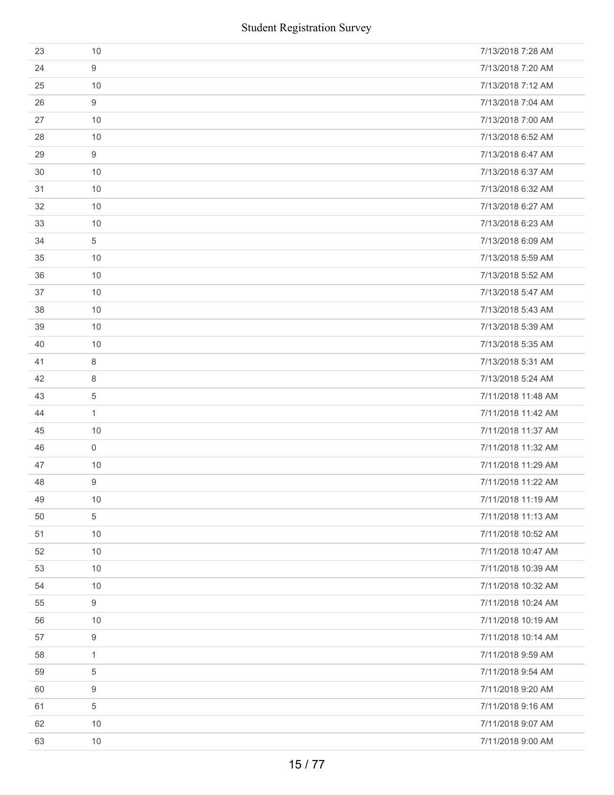|    | <b>Student Registration Survey</b> |                    |
|----|------------------------------------|--------------------|
| 23 | 10                                 | 7/13/2018 7:28 AM  |
| 24 | 9                                  | 7/13/2018 7:20 AM  |
| 25 | 10                                 | 7/13/2018 7:12 AM  |
| 26 | 9                                  | 7/13/2018 7:04 AM  |
| 27 | 10                                 | 7/13/2018 7:00 AM  |
| 28 | 10                                 | 7/13/2018 6:52 AM  |
| 29 | 9                                  | 7/13/2018 6:47 AM  |
| 30 | 10                                 | 7/13/2018 6:37 AM  |
| 31 | 10                                 | 7/13/2018 6:32 AM  |
| 32 | 10                                 | 7/13/2018 6:27 AM  |
| 33 | 10                                 | 7/13/2018 6:23 AM  |
| 34 | 5                                  | 7/13/2018 6:09 AM  |
| 35 | 10                                 | 7/13/2018 5:59 AM  |
| 36 | 10                                 | 7/13/2018 5:52 AM  |
| 37 | 10                                 | 7/13/2018 5:47 AM  |
| 38 | 10                                 | 7/13/2018 5:43 AM  |
| 39 | 10                                 | 7/13/2018 5:39 AM  |
| 40 | 10                                 | 7/13/2018 5:35 AM  |
| 41 | 8                                  | 7/13/2018 5:31 AM  |
| 42 | 8                                  | 7/13/2018 5:24 AM  |
| 43 | 5                                  | 7/11/2018 11:48 AM |
| 44 | $\mathbf{1}$                       | 7/11/2018 11:42 AM |
| 45 | 10                                 | 7/11/2018 11:37 AM |
| 46 | $\mathbf 0$                        | 7/11/2018 11:32 AM |
| 47 | 10                                 | 7/11/2018 11:29 AM |
| 48 | 9                                  | 7/11/2018 11:22 AM |
| 49 | 10                                 | 7/11/2018 11:19 AM |
| 50 | 5                                  | 7/11/2018 11:13 AM |
| 51 | 10                                 | 7/11/2018 10:52 AM |
| 52 | 10                                 | 7/11/2018 10:47 AM |
| 53 | 10                                 | 7/11/2018 10:39 AM |
| 54 | 10                                 | 7/11/2018 10:32 AM |
| 55 | 9                                  | 7/11/2018 10:24 AM |
| 56 | 10                                 | 7/11/2018 10:19 AM |
| 57 | 9                                  | 7/11/2018 10:14 AM |
| 58 | $\mathbf{1}$                       | 7/11/2018 9:59 AM  |
| 59 | 5                                  | 7/11/2018 9:54 AM  |
| 60 | 9                                  | 7/11/2018 9:20 AM  |
| 61 | 5                                  | 7/11/2018 9:16 AM  |
| 62 | 10                                 | 7/11/2018 9:07 AM  |
| 63 | 10                                 | 7/11/2018 9:00 AM  |
|    | 15/77                              |                    |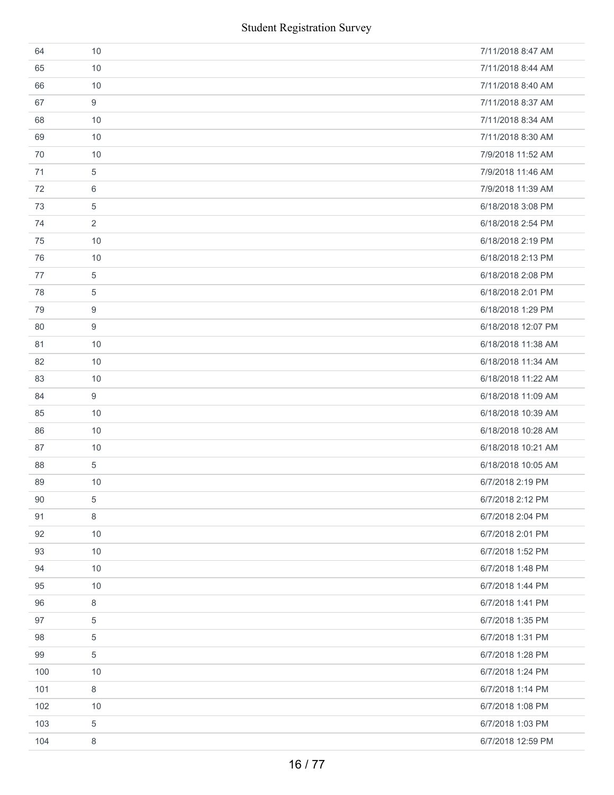| 64  | 10             | 7/11/2018 8:47 AM  |
|-----|----------------|--------------------|
| 65  | 10             | 7/11/2018 8:44 AM  |
| 66  | 10             | 7/11/2018 8:40 AM  |
| 67  | 9              | 7/11/2018 8:37 AM  |
| 68  | 10             | 7/11/2018 8:34 AM  |
| 69  | 10             | 7/11/2018 8:30 AM  |
| 70  | 10             | 7/9/2018 11:52 AM  |
| 71  | 5              | 7/9/2018 11:46 AM  |
| 72  | 6              | 7/9/2018 11:39 AM  |
| 73  | 5              | 6/18/2018 3:08 PM  |
| 74  | $\overline{2}$ | 6/18/2018 2:54 PM  |
| 75  | 10             | 6/18/2018 2:19 PM  |
| 76  | 10             | 6/18/2018 2:13 PM  |
| 77  | 5              | 6/18/2018 2:08 PM  |
| 78  | 5              | 6/18/2018 2:01 PM  |
| 79  | 9              | 6/18/2018 1:29 PM  |
| 80  | 9              | 6/18/2018 12:07 PM |
| 81  | 10             | 6/18/2018 11:38 AM |
| 82  | 10             | 6/18/2018 11:34 AM |
| 83  | 10             | 6/18/2018 11:22 AM |
| 84  | 9              | 6/18/2018 11:09 AM |
| 85  | 10             | 6/18/2018 10:39 AM |
| 86  | 10             | 6/18/2018 10:28 AM |
| 87  | 10             | 6/18/2018 10:21 AM |
| 88  | 5              | 6/18/2018 10:05 AM |
| 89  | 10             | 6/7/2018 2:19 PM   |
| 90  | 5              | 6/7/2018 2:12 PM   |
| 91  | 8              | 6/7/2018 2:04 PM   |
| 92  | 10             | 6/7/2018 2:01 PM   |
| 93  | 10             | 6/7/2018 1:52 PM   |
| 94  | 10             | 6/7/2018 1:48 PM   |
| 95  | 10             | 6/7/2018 1:44 PM   |
| 96  | 8              | 6/7/2018 1:41 PM   |
| 97  | 5              | 6/7/2018 1:35 PM   |
| 98  | 5              | 6/7/2018 1:31 PM   |
| 99  | 5              | 6/7/2018 1:28 PM   |
| 100 | 10             | 6/7/2018 1:24 PM   |
| 101 | 8              | 6/7/2018 1:14 PM   |
| 102 | 10             | 6/7/2018 1:08 PM   |
| 103 | 5              | 6/7/2018 1:03 PM   |
| 104 | 8              | 6/7/2018 12:59 PM  |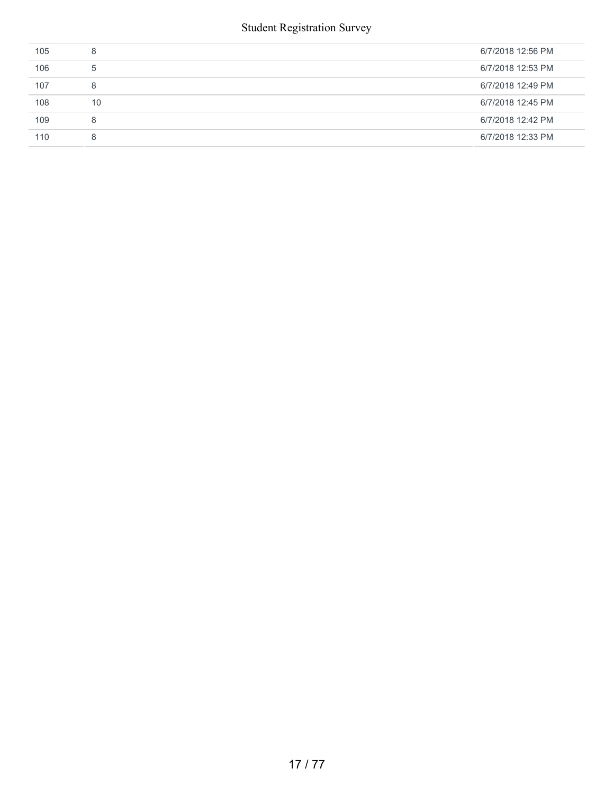| 105 | 8  | 6/7/2018 12:56 PM |
|-----|----|-------------------|
| 106 | 5  | 6/7/2018 12:53 PM |
| 107 | 8  | 6/7/2018 12:49 PM |
| 108 | 10 | 6/7/2018 12:45 PM |
| 109 | 8  | 6/7/2018 12:42 PM |
| 110 | 8  | 6/7/2018 12:33 PM |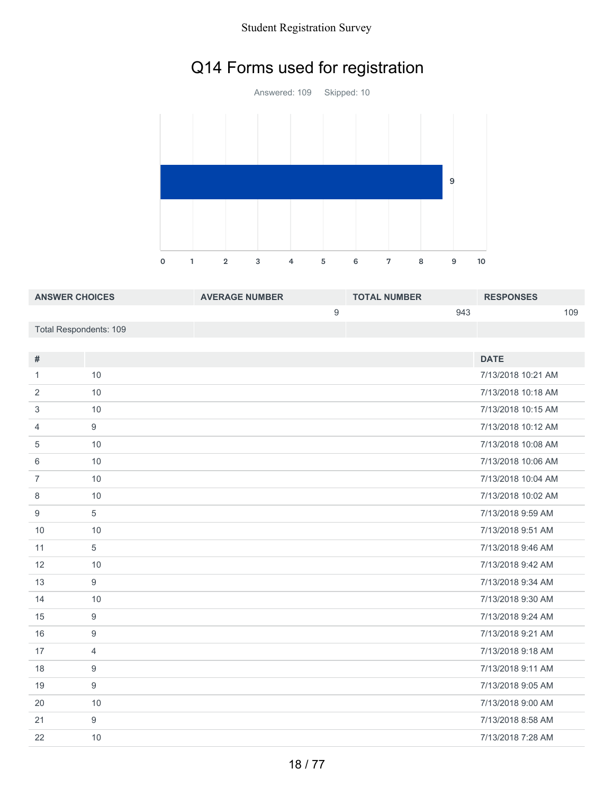## Q14 Forms used for registration



| <b>ANSWER CHOICES</b>  | <b>AVERAGE NUMBER</b> | <b>TOTAL NUMBER</b> | <b>RESPONSES</b> |
|------------------------|-----------------------|---------------------|------------------|
|                        |                       | 943                 | 109              |
| Total Respondents: 109 |                       |                     |                  |

| #              |                | <b>DATE</b>        |
|----------------|----------------|--------------------|
| 1              | 10             | 7/13/2018 10:21 AM |
| 2              | 10             | 7/13/2018 10:18 AM |
| 3              | 10             | 7/13/2018 10:15 AM |
| 4              | 9              | 7/13/2018 10:12 AM |
| 5              | 10             | 7/13/2018 10:08 AM |
| 6              | 10             | 7/13/2018 10:06 AM |
| $\overline{7}$ | 10             | 7/13/2018 10:04 AM |
| 8              | 10             | 7/13/2018 10:02 AM |
| 9              | 5              | 7/13/2018 9:59 AM  |
| 10             | 10             | 7/13/2018 9:51 AM  |
| 11             | 5              | 7/13/2018 9:46 AM  |
| 12             | 10             | 7/13/2018 9:42 AM  |
| 13             | 9              | 7/13/2018 9:34 AM  |
| 14             | 10             | 7/13/2018 9:30 AM  |
| 15             | 9              | 7/13/2018 9:24 AM  |
| 16             | 9              | 7/13/2018 9:21 AM  |
| 17             | $\overline{4}$ | 7/13/2018 9:18 AM  |
| 18             | 9              | 7/13/2018 9:11 AM  |
| 19             | 9              | 7/13/2018 9:05 AM  |
| 20             | 10             | 7/13/2018 9:00 AM  |
| 21             | 9              | 7/13/2018 8:58 AM  |
| 22             | 10             | 7/13/2018 7:28 AM  |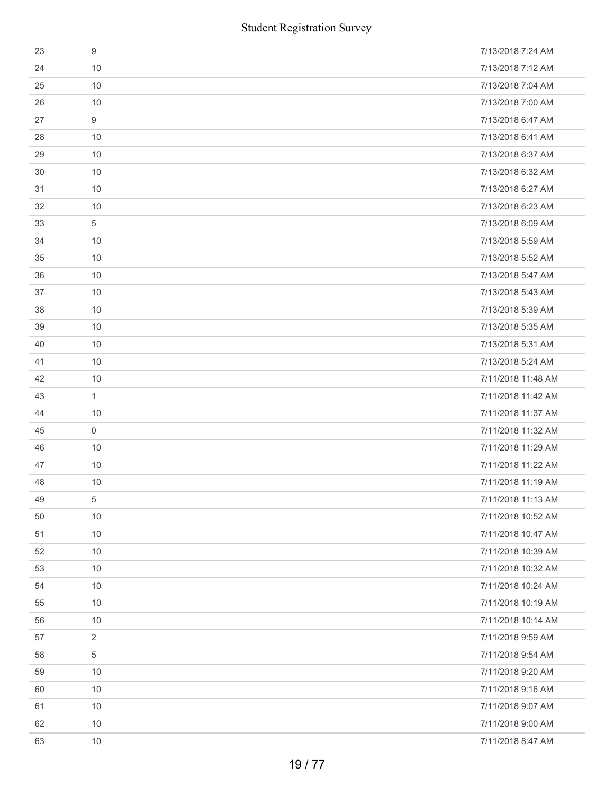|    |                | <b>Student Registration Survey</b> |
|----|----------------|------------------------------------|
| 23 | 9              | 7/13/2018 7:24 AM                  |
| 24 | 10             | 7/13/2018 7:12 AM                  |
| 25 | 10             | 7/13/2018 7:04 AM                  |
| 26 | 10             | 7/13/2018 7:00 AM                  |
| 27 | 9              | 7/13/2018 6:47 AM                  |
| 28 | 10             | 7/13/2018 6:41 AM                  |
| 29 | 10             | 7/13/2018 6:37 AM                  |
| 30 | 10             | 7/13/2018 6:32 AM                  |
| 31 | 10             | 7/13/2018 6:27 AM                  |
| 32 | 10             | 7/13/2018 6:23 AM                  |
| 33 | 5              | 7/13/2018 6:09 AM                  |
| 34 | 10             | 7/13/2018 5:59 AM                  |
| 35 | 10             | 7/13/2018 5:52 AM                  |
| 36 | 10             | 7/13/2018 5:47 AM                  |
| 37 | 10             | 7/13/2018 5:43 AM                  |
| 38 | 10             | 7/13/2018 5:39 AM                  |
| 39 | 10             | 7/13/2018 5:35 AM                  |
| 40 | 10             | 7/13/2018 5:31 AM                  |
| 41 | 10             | 7/13/2018 5:24 AM                  |
| 42 | 10             | 7/11/2018 11:48 AM                 |
| 43 | $\mathbf{1}$   | 7/11/2018 11:42 AM                 |
| 44 | 10             | 7/11/2018 11:37 AM                 |
| 45 | $\mathbf 0$    | 7/11/2018 11:32 AM                 |
| 46 | 10             | 7/11/2018 11:29 AM                 |
| 47 | 10             | 7/11/2018 11:22 AM                 |
| 48 | 10             | 7/11/2018 11:19 AM                 |
| 49 | 5              | 7/11/2018 11:13 AM                 |
| 50 | 10             | 7/11/2018 10:52 AM                 |
| 51 | 10             | 7/11/2018 10:47 AM                 |
| 52 | 10             | 7/11/2018 10:39 AM                 |
| 53 | 10             | 7/11/2018 10:32 AM                 |
| 54 | 10             | 7/11/2018 10:24 AM                 |
| 55 | 10             | 7/11/2018 10:19 AM                 |
| 56 | 10             | 7/11/2018 10:14 AM                 |
| 57 | $\overline{2}$ | 7/11/2018 9:59 AM                  |
| 58 | 5              | 7/11/2018 9:54 AM                  |
| 59 | 10             | 7/11/2018 9:20 AM                  |
| 60 | 10             | 7/11/2018 9:16 AM                  |
| 61 | 10             | 7/11/2018 9:07 AM                  |
| 62 | 10             | 7/11/2018 9:00 AM                  |
| 63 | 10             | 7/11/2018 8:47 AM                  |
|    |                | 19/77                              |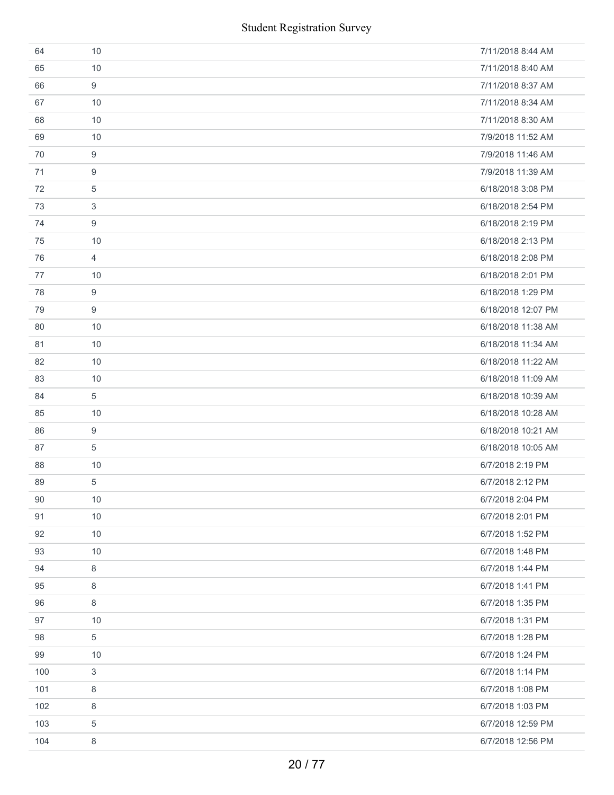| 64  | 10             | 7/11/2018 8:44 AM  |
|-----|----------------|--------------------|
| 65  | 10             | 7/11/2018 8:40 AM  |
| 66  | 9              | 7/11/2018 8:37 AM  |
| 67  | 10             | 7/11/2018 8:34 AM  |
| 68  | 10             | 7/11/2018 8:30 AM  |
| 69  | 10             | 7/9/2018 11:52 AM  |
| 70  | 9              | 7/9/2018 11:46 AM  |
| 71  | 9              | 7/9/2018 11:39 AM  |
| 72  | 5              | 6/18/2018 3:08 PM  |
| 73  | 3              | 6/18/2018 2:54 PM  |
| 74  | 9              | 6/18/2018 2:19 PM  |
| 75  | 10             | 6/18/2018 2:13 PM  |
| 76  | $\overline{4}$ | 6/18/2018 2:08 PM  |
| 77  | 10             | 6/18/2018 2:01 PM  |
| 78  | 9              | 6/18/2018 1:29 PM  |
| 79  | 9              | 6/18/2018 12:07 PM |
| 80  | 10             | 6/18/2018 11:38 AM |
| 81  | 10             | 6/18/2018 11:34 AM |
| 82  | 10             | 6/18/2018 11:22 AM |
| 83  | 10             | 6/18/2018 11:09 AM |
| 84  | 5              | 6/18/2018 10:39 AM |
| 85  | 10             | 6/18/2018 10:28 AM |
| 86  | 9              | 6/18/2018 10:21 AM |
| 87  | 5              | 6/18/2018 10:05 AM |
| 88  | 10             | 6/7/2018 2:19 PM   |
| 89  | 5              | 6/7/2018 2:12 PM   |
| 90  | $10$           | 6/7/2018 2:04 PM   |
| 91  | 10             | 6/7/2018 2:01 PM   |
| 92  | 10             | 6/7/2018 1:52 PM   |
| 93  | 10             | 6/7/2018 1:48 PM   |
| 94  | 8              | 6/7/2018 1:44 PM   |
| 95  | 8              | 6/7/2018 1:41 PM   |
| 96  | 8              | 6/7/2018 1:35 PM   |
| 97  | 10             | 6/7/2018 1:31 PM   |
| 98  | 5              | 6/7/2018 1:28 PM   |
| 99  | 10             | 6/7/2018 1:24 PM   |
| 100 | 3              | 6/7/2018 1:14 PM   |
| 101 | 8              | 6/7/2018 1:08 PM   |
| 102 | 8              | 6/7/2018 1:03 PM   |
| 103 | 5              | 6/7/2018 12:59 PM  |
| 104 | 8              | 6/7/2018 12:56 PM  |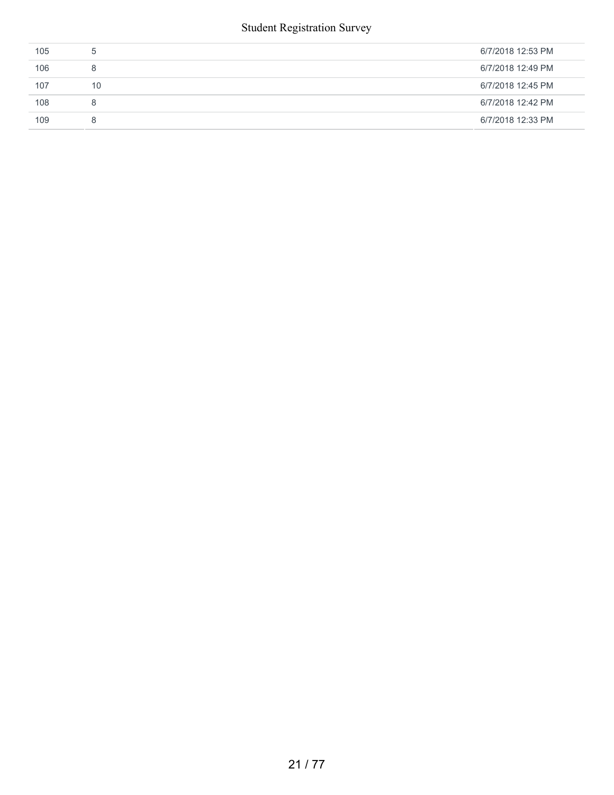| 105 | $\mathcal{D}$ | 6/7/2018 12:53 PM |
|-----|---------------|-------------------|
| 106 | 8             | 6/7/2018 12:49 PM |
| 107 | 10            | 6/7/2018 12:45 PM |
| 108 | 8             | 6/7/2018 12:42 PM |
| 109 | 8             | 6/7/2018 12:33 PM |
|     |               |                   |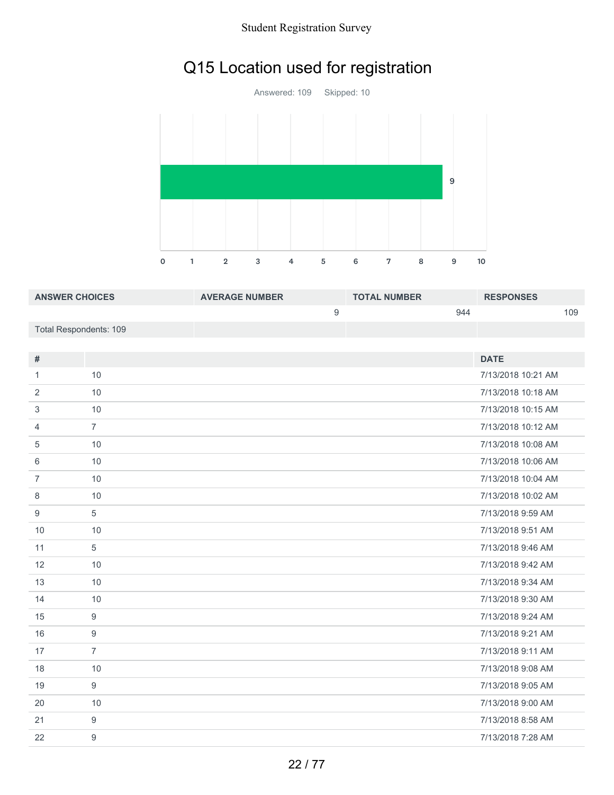## Q15 Location used for registration

Answered: 109 Skipped: 10 1 2 3 4 5 6 7 8 9 10 

| <b>ANSWER CHOICES</b>  | <b>AVERAGE NUMBER</b> | <b>TOTAL NUMBER</b> | <b>RESPONSES</b> |
|------------------------|-----------------------|---------------------|------------------|
|                        |                       | 944                 | 109              |
| Total Respondents: 109 |                       |                     |                  |

| $\#$           |                  | <b>DATE</b>        |
|----------------|------------------|--------------------|
| 1              | 10               | 7/13/2018 10:21 AM |
| 2              | 10               | 7/13/2018 10:18 AM |
| 3              | 10               | 7/13/2018 10:15 AM |
| $\overline{4}$ | $\overline{7}$   | 7/13/2018 10:12 AM |
| 5              | 10               | 7/13/2018 10:08 AM |
| 6              | 10               | 7/13/2018 10:06 AM |
| $\overline{7}$ | 10               | 7/13/2018 10:04 AM |
| 8              | 10               | 7/13/2018 10:02 AM |
| 9              | 5                | 7/13/2018 9:59 AM  |
| 10             | 10               | 7/13/2018 9:51 AM  |
| 11             | 5                | 7/13/2018 9:46 AM  |
| 12             | 10               | 7/13/2018 9:42 AM  |
| 13             | 10               | 7/13/2018 9:34 AM  |
| 14             | 10               | 7/13/2018 9:30 AM  |
| 15             | 9                | 7/13/2018 9:24 AM  |
| 16             | $\boldsymbol{9}$ | 7/13/2018 9:21 AM  |
| 17             | $\overline{7}$   | 7/13/2018 9:11 AM  |
| 18             | 10               | 7/13/2018 9:08 AM  |
| 19             | 9                | 7/13/2018 9:05 AM  |
| 20             | 10               | 7/13/2018 9:00 AM  |
| 21             | 9                | 7/13/2018 8:58 AM  |
| 22             | $\boldsymbol{9}$ | 7/13/2018 7:28 AM  |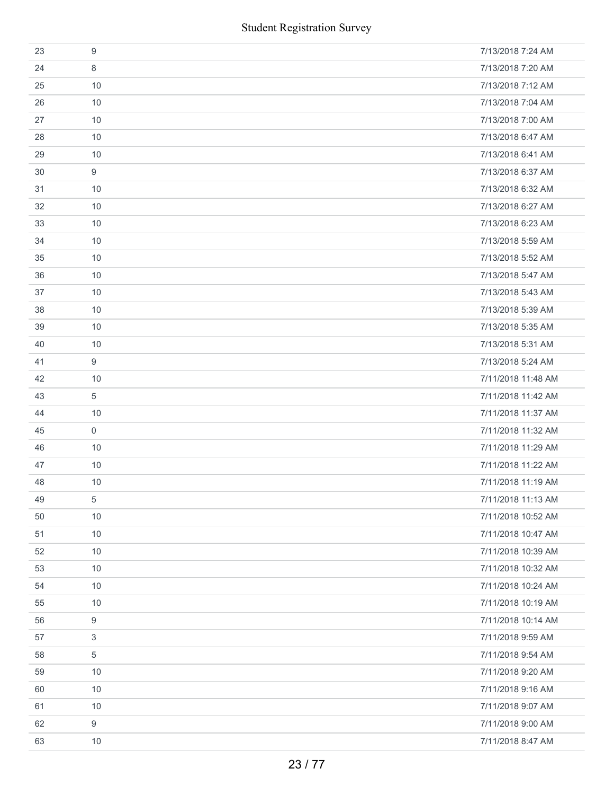|    | <b>Student Registration Survey</b> |                    |  |  |
|----|------------------------------------|--------------------|--|--|
| 23 | 9                                  | 7/13/2018 7:24 AM  |  |  |
| 24 | 8                                  | 7/13/2018 7:20 AM  |  |  |
| 25 | 10                                 | 7/13/2018 7:12 AM  |  |  |
| 26 | 10                                 | 7/13/2018 7:04 AM  |  |  |
| 27 | 10                                 | 7/13/2018 7:00 AM  |  |  |
| 28 | 10                                 | 7/13/2018 6:47 AM  |  |  |
| 29 | 10                                 | 7/13/2018 6:41 AM  |  |  |
| 30 | 9                                  | 7/13/2018 6:37 AM  |  |  |
| 31 | 10                                 | 7/13/2018 6:32 AM  |  |  |
| 32 | 10                                 | 7/13/2018 6:27 AM  |  |  |
| 33 | 10                                 | 7/13/2018 6:23 AM  |  |  |
| 34 | 10                                 | 7/13/2018 5:59 AM  |  |  |
| 35 | 10                                 | 7/13/2018 5:52 AM  |  |  |
| 36 | 10                                 | 7/13/2018 5:47 AM  |  |  |
| 37 | 10                                 | 7/13/2018 5:43 AM  |  |  |
| 38 | 10                                 | 7/13/2018 5:39 AM  |  |  |
| 39 | 10                                 | 7/13/2018 5:35 AM  |  |  |
| 40 | 10                                 | 7/13/2018 5:31 AM  |  |  |
| 41 | 9                                  | 7/13/2018 5:24 AM  |  |  |
| 42 | 10                                 | 7/11/2018 11:48 AM |  |  |
| 43 | 5                                  | 7/11/2018 11:42 AM |  |  |
| 44 | 10                                 | 7/11/2018 11:37 AM |  |  |
| 45 | $\mathbf 0$                        | 7/11/2018 11:32 AM |  |  |
| 46 | 10                                 | 7/11/2018 11:29 AM |  |  |
| 47 | 10                                 | 7/11/2018 11:22 AM |  |  |
| 48 | 10                                 | 7/11/2018 11:19 AM |  |  |
| 49 | 5                                  | 7/11/2018 11:13 AM |  |  |
| 50 | 10                                 | 7/11/2018 10:52 AM |  |  |
| 51 | 10                                 | 7/11/2018 10:47 AM |  |  |
| 52 | 10                                 | 7/11/2018 10:39 AM |  |  |
| 53 | 10                                 | 7/11/2018 10:32 AM |  |  |
| 54 | 10                                 | 7/11/2018 10:24 AM |  |  |
| 55 | 10                                 | 7/11/2018 10:19 AM |  |  |
| 56 | 9                                  | 7/11/2018 10:14 AM |  |  |
| 57 | 3                                  | 7/11/2018 9:59 AM  |  |  |
| 58 | 5                                  | 7/11/2018 9:54 AM  |  |  |
| 59 | 10                                 | 7/11/2018 9:20 AM  |  |  |
| 60 | 10                                 | 7/11/2018 9:16 AM  |  |  |
| 61 | 10                                 | 7/11/2018 9:07 AM  |  |  |
| 62 | 9                                  | 7/11/2018 9:00 AM  |  |  |
| 63 | 10                                 | 7/11/2018 8:47 AM  |  |  |
|    |                                    | 23/77              |  |  |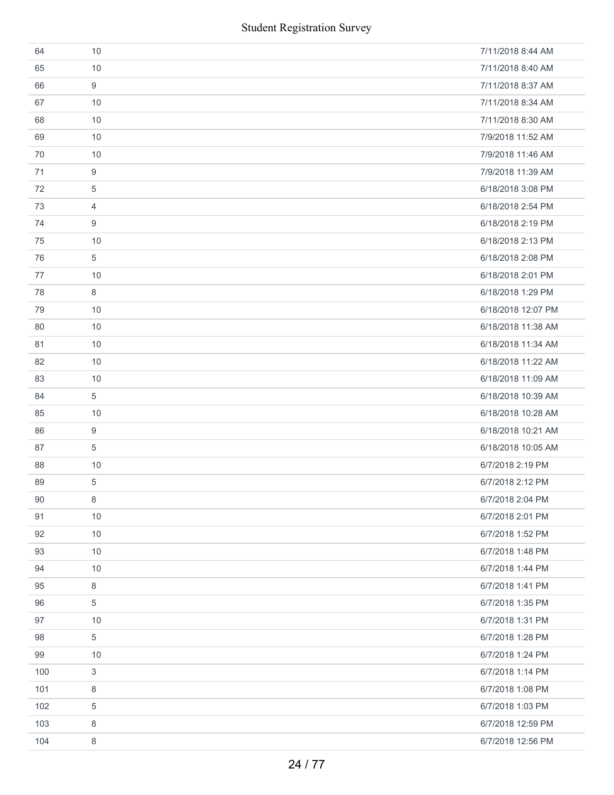| 64  | 10 | 7/11/2018 8:44 AM  |
|-----|----|--------------------|
| 65  | 10 | 7/11/2018 8:40 AM  |
| 66  | 9  | 7/11/2018 8:37 AM  |
| 67  | 10 | 7/11/2018 8:34 AM  |
| 68  | 10 | 7/11/2018 8:30 AM  |
| 69  | 10 | 7/9/2018 11:52 AM  |
| 70  | 10 | 7/9/2018 11:46 AM  |
| 71  | 9  | 7/9/2018 11:39 AM  |
| 72  | 5  | 6/18/2018 3:08 PM  |
| 73  | 4  | 6/18/2018 2:54 PM  |
| 74  | 9  | 6/18/2018 2:19 PM  |
| 75  | 10 | 6/18/2018 2:13 PM  |
| 76  | 5  | 6/18/2018 2:08 PM  |
| 77  | 10 | 6/18/2018 2:01 PM  |
| 78  | 8  | 6/18/2018 1:29 PM  |
| 79  | 10 | 6/18/2018 12:07 PM |
| 80  | 10 | 6/18/2018 11:38 AM |
| 81  | 10 | 6/18/2018 11:34 AM |
| 82  | 10 | 6/18/2018 11:22 AM |
| 83  | 10 | 6/18/2018 11:09 AM |
| 84  | 5  | 6/18/2018 10:39 AM |
| 85  | 10 | 6/18/2018 10:28 AM |
| 86  | 9  | 6/18/2018 10:21 AM |
| 87  | 5  | 6/18/2018 10:05 AM |
| 88  | 10 | 6/7/2018 2:19 PM   |
| 89  | 5  | 6/7/2018 2:12 PM   |
| 90  | 8  | 6/7/2018 2:04 PM   |
| 91  | 10 | 6/7/2018 2:01 PM   |
| 92  | 10 | 6/7/2018 1:52 PM   |
| 93  | 10 | 6/7/2018 1:48 PM   |
| 94  | 10 | 6/7/2018 1:44 PM   |
| 95  | 8  | 6/7/2018 1:41 PM   |
| 96  | 5  | 6/7/2018 1:35 PM   |
| 97  | 10 | 6/7/2018 1:31 PM   |
| 98  | 5  | 6/7/2018 1:28 PM   |
| 99  | 10 | 6/7/2018 1:24 PM   |
| 100 | 3  | 6/7/2018 1:14 PM   |
| 101 | 8  | 6/7/2018 1:08 PM   |
| 102 | 5  | 6/7/2018 1:03 PM   |
| 103 | 8  | 6/7/2018 12:59 PM  |
| 104 | 8  | 6/7/2018 12:56 PM  |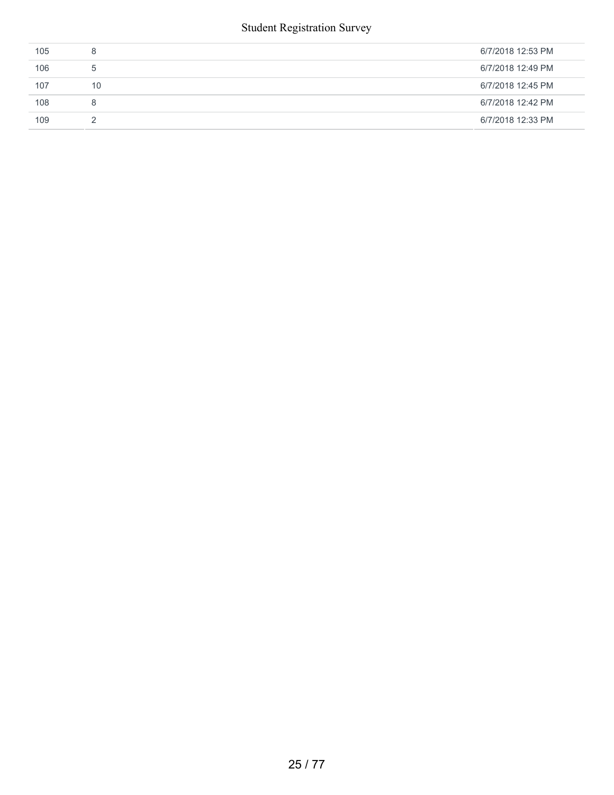| 105 | 8           | 6/7/2018 12:53 PM |
|-----|-------------|-------------------|
| 106 | $5^{\circ}$ | 6/7/2018 12:49 PM |
| 107 | 10          | 6/7/2018 12:45 PM |
| 108 | 8           | 6/7/2018 12:42 PM |
| 109 |             | 6/7/2018 12:33 PM |
|     |             |                   |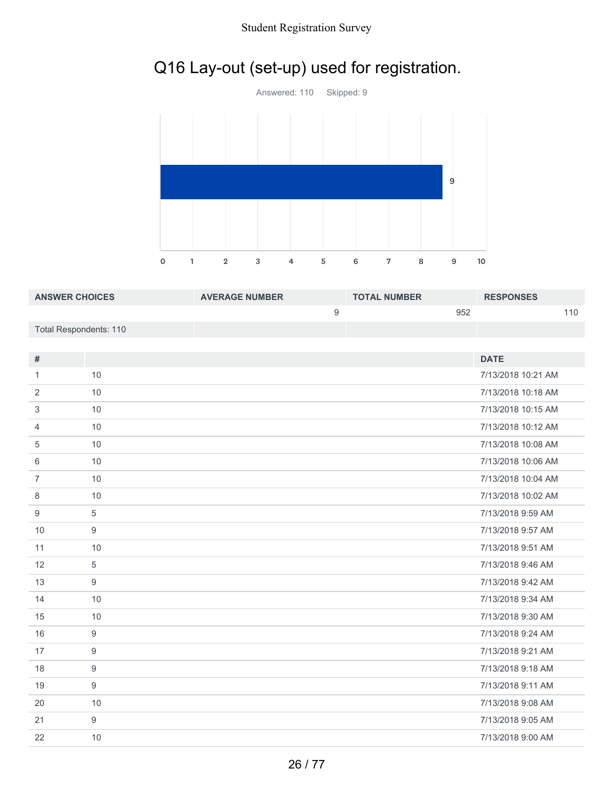## Q16 Lay-out (set-up) used for registration.



| <b>ANSWER CHOICES</b>  | <b>AVERAGE NUMBER</b> | <b>TOTAL NUMBER</b> | <b>RESPONSES</b> |
|------------------------|-----------------------|---------------------|------------------|
|                        |                       | 952                 | 110              |
| Total Respondents: 110 |                       |                     |                  |

| #              |     | <b>DATE</b>        |
|----------------|-----|--------------------|
| 1              | 10  | 7/13/2018 10:21 AM |
| 2              | 10  | 7/13/2018 10:18 AM |
| 3              | 10  | 7/13/2018 10:15 AM |
| 4              | 10  | 7/13/2018 10:12 AM |
| 5              | 10  | 7/13/2018 10:08 AM |
| 6              | 10  | 7/13/2018 10:06 AM |
| $\overline{7}$ | 10  | 7/13/2018 10:04 AM |
| 8              | 10  | 7/13/2018 10:02 AM |
| 9              | 5   | 7/13/2018 9:59 AM  |
| 10             | 9   | 7/13/2018 9:57 AM  |
| 11             | 10  | 7/13/2018 9:51 AM  |
| 12             | 5   | 7/13/2018 9:46 AM  |
| 13             | 9   | 7/13/2018 9:42 AM  |
| 14             | 10  | 7/13/2018 9:34 AM  |
| 15             | 10  | 7/13/2018 9:30 AM  |
| 16             | 9   | 7/13/2018 9:24 AM  |
| 17             | 9   | 7/13/2018 9:21 AM  |
| 18             | 9   | 7/13/2018 9:18 AM  |
| 19             | 9   | 7/13/2018 9:11 AM  |
| 20             | 10  | 7/13/2018 9:08 AM  |
| 21             | $9$ | 7/13/2018 9:05 AM  |
| 22             | 10  | 7/13/2018 9:00 AM  |
|                |     |                    |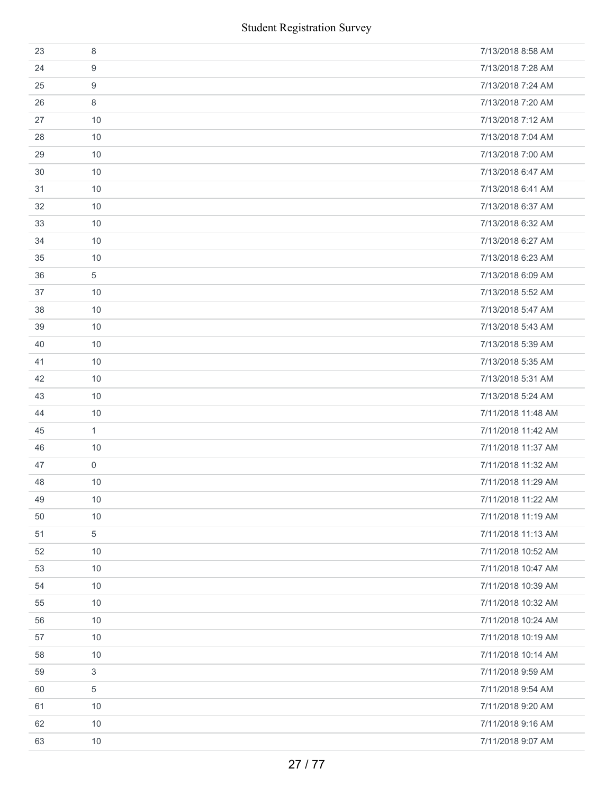|    | <b>Student Registration Survey</b> |                    |  |  |
|----|------------------------------------|--------------------|--|--|
| 23 | 8                                  | 7/13/2018 8:58 AM  |  |  |
| 24 | 9                                  | 7/13/2018 7:28 AM  |  |  |
| 25 | 9                                  | 7/13/2018 7:24 AM  |  |  |
| 26 | 8                                  | 7/13/2018 7:20 AM  |  |  |
| 27 | 10                                 | 7/13/2018 7:12 AM  |  |  |
| 28 | 10                                 | 7/13/2018 7:04 AM  |  |  |
| 29 | 10                                 | 7/13/2018 7:00 AM  |  |  |
| 30 | 10                                 | 7/13/2018 6:47 AM  |  |  |
| 31 | 10                                 | 7/13/2018 6:41 AM  |  |  |
| 32 | 10                                 | 7/13/2018 6:37 AM  |  |  |
| 33 | 10                                 | 7/13/2018 6:32 AM  |  |  |
| 34 | 10                                 | 7/13/2018 6:27 AM  |  |  |
| 35 | 10                                 | 7/13/2018 6:23 AM  |  |  |
| 36 | $\sqrt{5}$                         | 7/13/2018 6:09 AM  |  |  |
| 37 | 10                                 | 7/13/2018 5:52 AM  |  |  |
| 38 | 10                                 | 7/13/2018 5:47 AM  |  |  |
| 39 | 10                                 | 7/13/2018 5:43 AM  |  |  |
| 40 | 10                                 | 7/13/2018 5:39 AM  |  |  |
| 41 | 10                                 | 7/13/2018 5:35 AM  |  |  |
| 42 | 10                                 | 7/13/2018 5:31 AM  |  |  |
| 43 | 10                                 | 7/13/2018 5:24 AM  |  |  |
| 44 | 10                                 | 7/11/2018 11:48 AM |  |  |
| 45 | $\mathbf{1}$                       | 7/11/2018 11:42 AM |  |  |
| 46 | 10                                 | 7/11/2018 11:37 AM |  |  |
| 47 | $\mathbf 0$                        | 7/11/2018 11:32 AM |  |  |
| 48 | 10                                 | 7/11/2018 11:29 AM |  |  |
| 49 | 10                                 | 7/11/2018 11:22 AM |  |  |
| 50 | 10                                 | 7/11/2018 11:19 AM |  |  |
| 51 | 5                                  | 7/11/2018 11:13 AM |  |  |
| 52 | 10                                 | 7/11/2018 10:52 AM |  |  |
| 53 | 10                                 | 7/11/2018 10:47 AM |  |  |
| 54 | 10                                 | 7/11/2018 10:39 AM |  |  |
| 55 | 10                                 | 7/11/2018 10:32 AM |  |  |
| 56 | 10                                 | 7/11/2018 10:24 AM |  |  |
| 57 | 10                                 | 7/11/2018 10:19 AM |  |  |
| 58 | 10                                 | 7/11/2018 10:14 AM |  |  |
| 59 | 3                                  | 7/11/2018 9:59 AM  |  |  |
| 60 | 5                                  | 7/11/2018 9:54 AM  |  |  |
| 61 | 10                                 | 7/11/2018 9:20 AM  |  |  |
| 62 | 10                                 | 7/11/2018 9:16 AM  |  |  |
| 63 | 10                                 | 7/11/2018 9:07 AM  |  |  |
|    | 27/77                              |                    |  |  |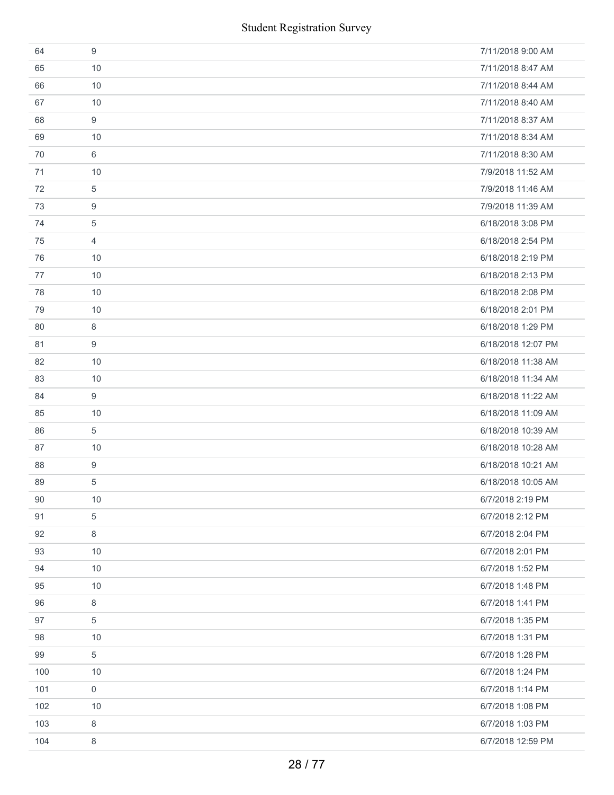| 64  | 9              | 7/11/2018 9:00 AM  |
|-----|----------------|--------------------|
| 65  | 10             | 7/11/2018 8:47 AM  |
| 66  | 10             | 7/11/2018 8:44 AM  |
| 67  | 10             | 7/11/2018 8:40 AM  |
| 68  | 9              | 7/11/2018 8:37 AM  |
| 69  | 10             | 7/11/2018 8:34 AM  |
| 70  | 6              | 7/11/2018 8:30 AM  |
| 71  | 10             | 7/9/2018 11:52 AM  |
| 72  | 5              | 7/9/2018 11:46 AM  |
| 73  | 9              | 7/9/2018 11:39 AM  |
| 74  | 5              | 6/18/2018 3:08 PM  |
| 75  | $\overline{4}$ | 6/18/2018 2:54 PM  |
| 76  | 10             | 6/18/2018 2:19 PM  |
| 77  | 10             | 6/18/2018 2:13 PM  |
| 78  | 10             | 6/18/2018 2:08 PM  |
| 79  | 10             | 6/18/2018 2:01 PM  |
| 80  | 8              | 6/18/2018 1:29 PM  |
| 81  | 9              | 6/18/2018 12:07 PM |
| 82  | 10             | 6/18/2018 11:38 AM |
| 83  | 10             | 6/18/2018 11:34 AM |
| 84  | 9              | 6/18/2018 11:22 AM |
| 85  | 10             | 6/18/2018 11:09 AM |
| 86  | 5              | 6/18/2018 10:39 AM |
| 87  | 10             | 6/18/2018 10:28 AM |
| 88  | 9              | 6/18/2018 10:21 AM |
| 89  | 5              | 6/18/2018 10:05 AM |
| 90  | 10             | 6/7/2018 2:19 PM   |
| 91  | 5              | 6/7/2018 2:12 PM   |
| 92  | 8              | 6/7/2018 2:04 PM   |
| 93  | 10             | 6/7/2018 2:01 PM   |
| 94  | 10             | 6/7/2018 1:52 PM   |
| 95  | 10             | 6/7/2018 1:48 PM   |
| 96  | 8              | 6/7/2018 1:41 PM   |
| 97  | 5              | 6/7/2018 1:35 PM   |
| 98  | 10             | 6/7/2018 1:31 PM   |
| 99  | 5              | 6/7/2018 1:28 PM   |
| 100 | 10             | 6/7/2018 1:24 PM   |
| 101 | 0              | 6/7/2018 1:14 PM   |
| 102 | 10             | 6/7/2018 1:08 PM   |
| 103 | 8              | 6/7/2018 1:03 PM   |
| 104 | 8              | 6/7/2018 12:59 PM  |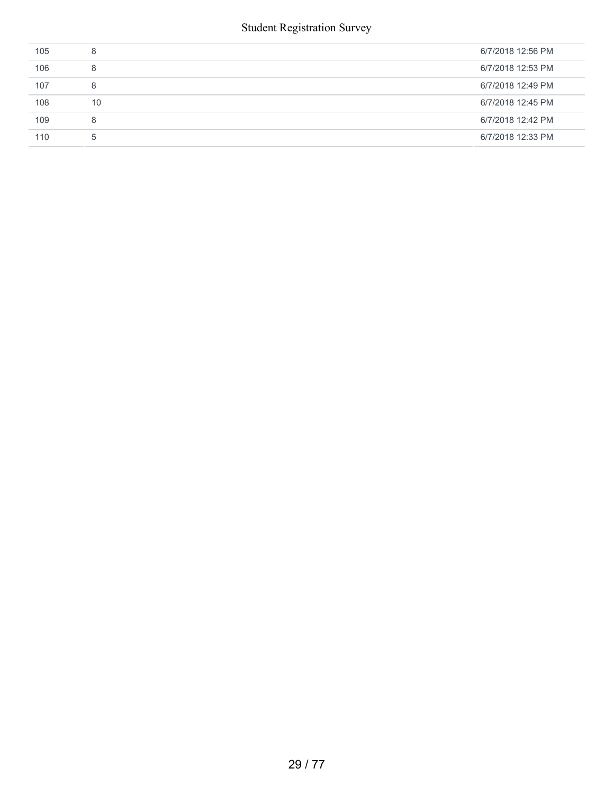| 105 | 8  | 6/7/2018 12:56 PM |
|-----|----|-------------------|
| 106 | 8  | 6/7/2018 12:53 PM |
| 107 | 8  | 6/7/2018 12:49 PM |
| 108 | 10 | 6/7/2018 12:45 PM |
| 109 | 8  | 6/7/2018 12:42 PM |
| 110 | -5 | 6/7/2018 12:33 PM |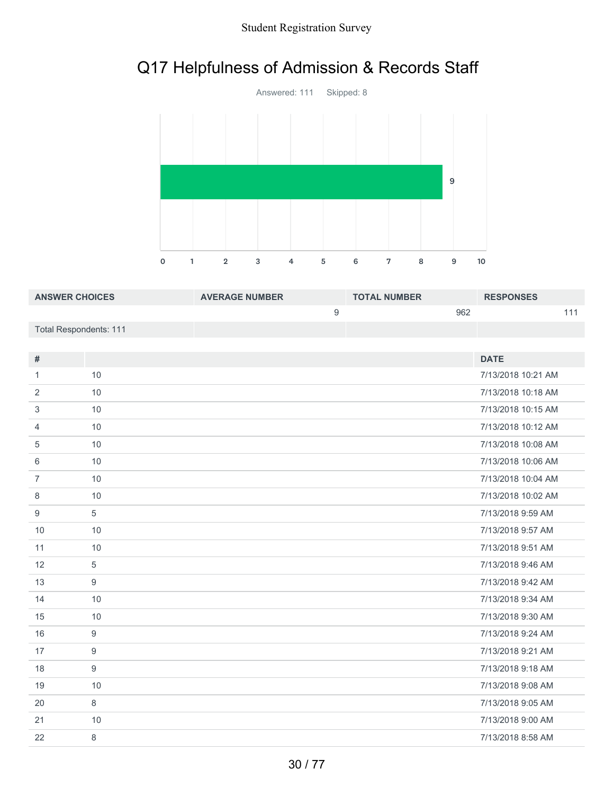# Q17 Helpfulness of Admission & Records Staff



| <b>ANSWER CHOICES</b>  | <b>AVERAGE NUMBER</b> | <b>TOTAL NUMBER</b> | <b>RESPONSES</b> |
|------------------------|-----------------------|---------------------|------------------|
|                        |                       | 962                 |                  |
| Total Respondents: 111 |                       |                     |                  |

| #              |    | <b>DATE</b>        |
|----------------|----|--------------------|
|                |    |                    |
| 1              | 10 | 7/13/2018 10:21 AM |
| 2              | 10 | 7/13/2018 10:18 AM |
| 3              | 10 | 7/13/2018 10:15 AM |
| $\overline{4}$ | 10 | 7/13/2018 10:12 AM |
| 5              | 10 | 7/13/2018 10:08 AM |
| 6              | 10 | 7/13/2018 10:06 AM |
| $\overline{7}$ | 10 | 7/13/2018 10:04 AM |
| 8              | 10 | 7/13/2018 10:02 AM |
| 9              | 5  | 7/13/2018 9:59 AM  |
| 10             | 10 | 7/13/2018 9:57 AM  |
| 11             | 10 | 7/13/2018 9:51 AM  |
| 12             | 5  | 7/13/2018 9:46 AM  |
| 13             | 9  | 7/13/2018 9:42 AM  |
| 14             | 10 | 7/13/2018 9:34 AM  |
| 15             | 10 | 7/13/2018 9:30 AM  |
| 16             | 9  | 7/13/2018 9:24 AM  |
| 17             | 9  | 7/13/2018 9:21 AM  |
| 18             | 9  | 7/13/2018 9:18 AM  |
| 19             | 10 | 7/13/2018 9:08 AM  |
| 20             | 8  | 7/13/2018 9:05 AM  |
| 21             | 10 | 7/13/2018 9:00 AM  |
| 22             | 8  | 7/13/2018 8:58 AM  |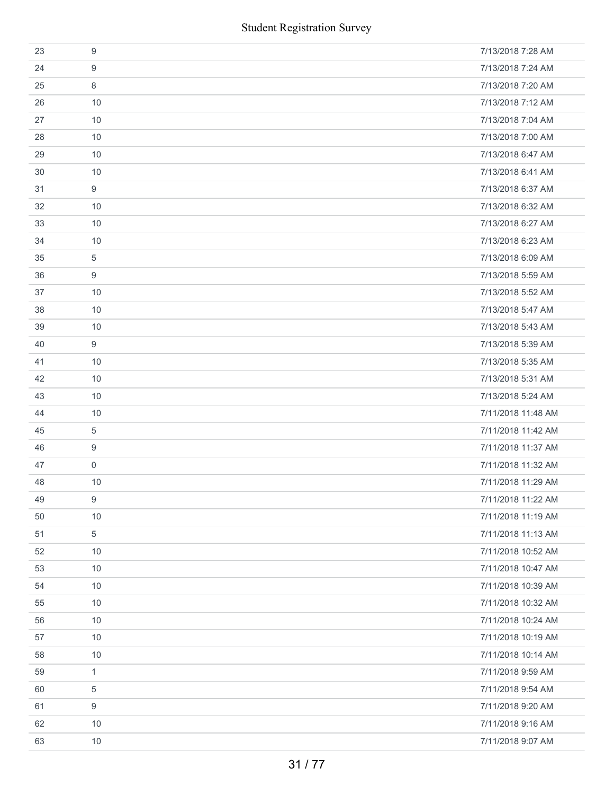| <b>Student Registration Survey</b> |              |                    |  |
|------------------------------------|--------------|--------------------|--|
| 23                                 | 9            | 7/13/2018 7:28 AM  |  |
| 24                                 | 9            | 7/13/2018 7:24 AM  |  |
| 25                                 | 8            | 7/13/2018 7:20 AM  |  |
| 26                                 | 10           | 7/13/2018 7:12 AM  |  |
| 27                                 | 10           | 7/13/2018 7:04 AM  |  |
| 28                                 | 10           | 7/13/2018 7:00 AM  |  |
| 29                                 | 10           | 7/13/2018 6:47 AM  |  |
| 30                                 | 10           | 7/13/2018 6:41 AM  |  |
| 31                                 | 9            | 7/13/2018 6:37 AM  |  |
| 32                                 | 10           | 7/13/2018 6:32 AM  |  |
| 33                                 | 10           | 7/13/2018 6:27 AM  |  |
| 34                                 | 10           | 7/13/2018 6:23 AM  |  |
| 35                                 | 5            | 7/13/2018 6:09 AM  |  |
| 36                                 | 9            | 7/13/2018 5:59 AM  |  |
| 37                                 | 10           | 7/13/2018 5:52 AM  |  |
| 38                                 | 10           | 7/13/2018 5:47 AM  |  |
| 39                                 | 10           | 7/13/2018 5:43 AM  |  |
| 40                                 | 9            | 7/13/2018 5:39 AM  |  |
| 41                                 | 10           | 7/13/2018 5:35 AM  |  |
| 42                                 | 10           | 7/13/2018 5:31 AM  |  |
| 43                                 | 10           | 7/13/2018 5:24 AM  |  |
| 44                                 | 10           | 7/11/2018 11:48 AM |  |
| 45                                 | 5            | 7/11/2018 11:42 AM |  |
| 46                                 | 9            | 7/11/2018 11:37 AM |  |
| 47                                 | $\mathbf 0$  | 7/11/2018 11:32 AM |  |
| 48                                 | 10           | 7/11/2018 11:29 AM |  |
| 49                                 | 9            | 7/11/2018 11:22 AM |  |
| 50                                 | 10           | 7/11/2018 11:19 AM |  |
| 51                                 | 5            | 7/11/2018 11:13 AM |  |
| 52                                 | 10           | 7/11/2018 10:52 AM |  |
| 53                                 | 10           | 7/11/2018 10:47 AM |  |
| 54                                 | 10           | 7/11/2018 10:39 AM |  |
| 55                                 | 10           | 7/11/2018 10:32 AM |  |
| 56                                 | 10           | 7/11/2018 10:24 AM |  |
| 57                                 | 10           | 7/11/2018 10:19 AM |  |
| 58                                 | 10           | 7/11/2018 10:14 AM |  |
| 59                                 | $\mathbf{1}$ | 7/11/2018 9:59 AM  |  |
| 60                                 | 5            | 7/11/2018 9:54 AM  |  |
| 61                                 | 9            | 7/11/2018 9:20 AM  |  |
| 62                                 | 10           | 7/11/2018 9:16 AM  |  |
| 63                                 | 10           | 7/11/2018 9:07 AM  |  |
|                                    |              | 31/77              |  |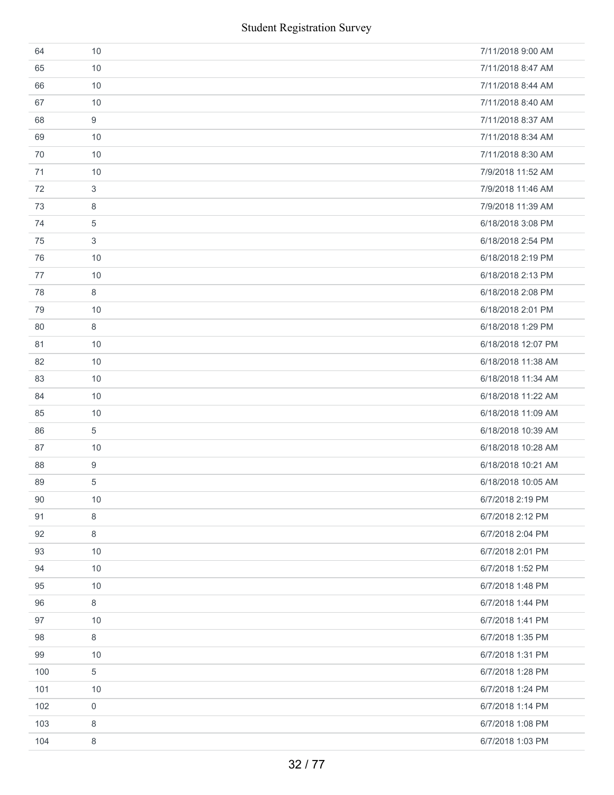| 64  | 10          | 7/11/2018 9:00 AM  |
|-----|-------------|--------------------|
| 65  | 10          | 7/11/2018 8:47 AM  |
| 66  | 10          | 7/11/2018 8:44 AM  |
| 67  | 10          | 7/11/2018 8:40 AM  |
| 68  | 9           | 7/11/2018 8:37 AM  |
| 69  | 10          | 7/11/2018 8:34 AM  |
| 70  | 10          | 7/11/2018 8:30 AM  |
| 71  | 10          | 7/9/2018 11:52 AM  |
| 72  | 3           | 7/9/2018 11:46 AM  |
| 73  | 8           | 7/9/2018 11:39 AM  |
| 74  | 5           | 6/18/2018 3:08 PM  |
| 75  | 3           | 6/18/2018 2:54 PM  |
| 76  | 10          | 6/18/2018 2:19 PM  |
| 77  | 10          | 6/18/2018 2:13 PM  |
| 78  | 8           | 6/18/2018 2:08 PM  |
| 79  | 10          | 6/18/2018 2:01 PM  |
| 80  | 8           | 6/18/2018 1:29 PM  |
| 81  | 10          | 6/18/2018 12:07 PM |
| 82  | 10          | 6/18/2018 11:38 AM |
| 83  | 10          | 6/18/2018 11:34 AM |
| 84  | 10          | 6/18/2018 11:22 AM |
| 85  | 10          | 6/18/2018 11:09 AM |
| 86  | 5           | 6/18/2018 10:39 AM |
| 87  | 10          | 6/18/2018 10:28 AM |
| 88  | 9           | 6/18/2018 10:21 AM |
| 89  | 5           | 6/18/2018 10:05 AM |
| 90  | 10          | 6/7/2018 2:19 PM   |
| 91  | 8           | 6/7/2018 2:12 PM   |
| 92  | 8           | 6/7/2018 2:04 PM   |
| 93  | 10          | 6/7/2018 2:01 PM   |
| 94  | 10          | 6/7/2018 1:52 PM   |
| 95  | 10          | 6/7/2018 1:48 PM   |
| 96  | 8           | 6/7/2018 1:44 PM   |
| 97  | 10          | 6/7/2018 1:41 PM   |
| 98  | 8           | 6/7/2018 1:35 PM   |
| 99  | 10          | 6/7/2018 1:31 PM   |
| 100 | 5           | 6/7/2018 1:28 PM   |
| 101 | 10          | 6/7/2018 1:24 PM   |
| 102 | $\mathbf 0$ | 6/7/2018 1:14 PM   |
| 103 | 8           | 6/7/2018 1:08 PM   |
| 104 | 8           | 6/7/2018 1:03 PM   |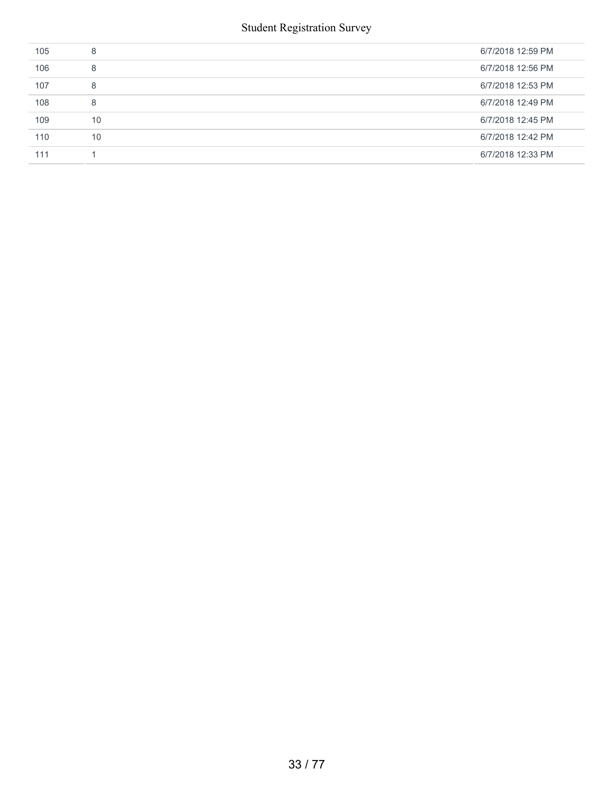| 105 | 8  | 6/7/2018 12:59 PM |
|-----|----|-------------------|
| 106 | 8  | 6/7/2018 12:56 PM |
| 107 | 8  | 6/7/2018 12:53 PM |
| 108 | 8  | 6/7/2018 12:49 PM |
| 109 | 10 | 6/7/2018 12:45 PM |
| 110 | 10 | 6/7/2018 12:42 PM |
| 111 |    | 6/7/2018 12:33 PM |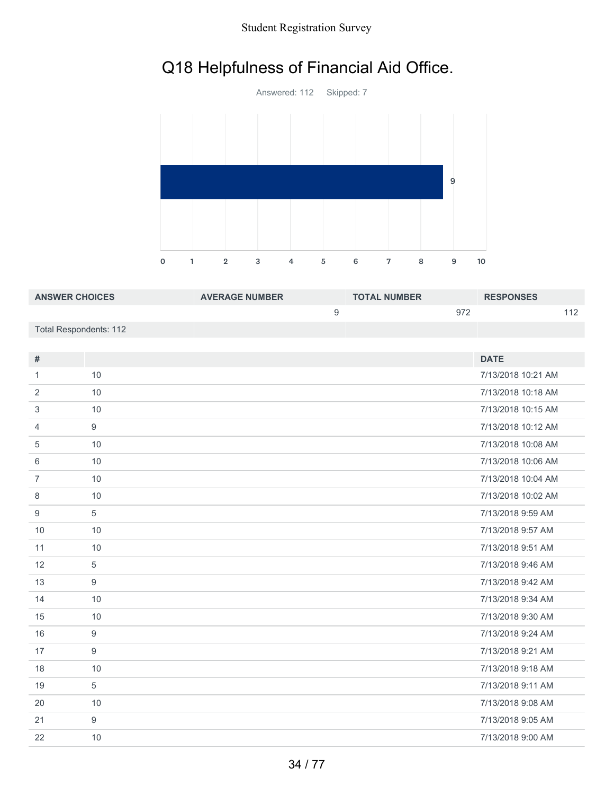## Q18 Helpfulness of Financial Aid Office.



| <b>ANSWER CHOICES</b>  | <b>AVERAGE NUMBER</b> | <b>TOTAL NUMBER</b> | <b>RESPONSES</b> |
|------------------------|-----------------------|---------------------|------------------|
|                        |                       | 972                 | 110              |
| Total Respondents: 112 |                       |                     |                  |

| #              |    | <b>DATE</b>        |
|----------------|----|--------------------|
| 1              | 10 | 7/13/2018 10:21 AM |
| 2              | 10 | 7/13/2018 10:18 AM |
| 3              | 10 | 7/13/2018 10:15 AM |
| 4              | 9  | 7/13/2018 10:12 AM |
| 5              | 10 | 7/13/2018 10:08 AM |
| 6              | 10 | 7/13/2018 10:06 AM |
| $\overline{7}$ | 10 | 7/13/2018 10:04 AM |
| 8              | 10 | 7/13/2018 10:02 AM |
| 9              | 5  | 7/13/2018 9:59 AM  |
| 10             | 10 | 7/13/2018 9:57 AM  |
| 11             | 10 | 7/13/2018 9:51 AM  |
| 12             | 5  | 7/13/2018 9:46 AM  |
| 13             | 9  | 7/13/2018 9:42 AM  |
| 14             | 10 | 7/13/2018 9:34 AM  |
| 15             | 10 | 7/13/2018 9:30 AM  |
| 16             | 9  | 7/13/2018 9:24 AM  |
| 17             | 9  | 7/13/2018 9:21 AM  |
| 18             | 10 | 7/13/2018 9:18 AM  |
| 19             | 5  | 7/13/2018 9:11 AM  |
| 20             | 10 | 7/13/2018 9:08 AM  |
| 21             | 9  | 7/13/2018 9:05 AM  |
| 22             | 10 | 7/13/2018 9:00 AM  |
|                |    |                    |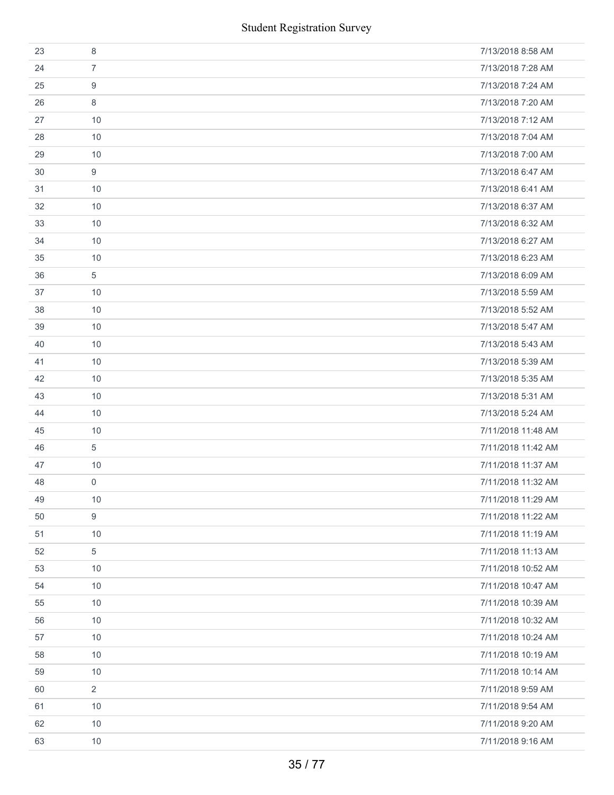| <b>Student Registration Survey</b> |                |                    |  |
|------------------------------------|----------------|--------------------|--|
| 23                                 | $\,8\,$        | 7/13/2018 8:58 AM  |  |
| 24                                 | $\overline{7}$ | 7/13/2018 7:28 AM  |  |
| 25                                 | 9              | 7/13/2018 7:24 AM  |  |
| 26                                 | 8              | 7/13/2018 7:20 AM  |  |
| 27                                 | 10             | 7/13/2018 7:12 AM  |  |
| 28                                 | 10             | 7/13/2018 7:04 AM  |  |
| 29                                 | 10             | 7/13/2018 7:00 AM  |  |
| 30                                 | 9              | 7/13/2018 6:47 AM  |  |
| 31                                 | 10             | 7/13/2018 6:41 AM  |  |
| 32                                 | 10             | 7/13/2018 6:37 AM  |  |
| 33                                 | 10             | 7/13/2018 6:32 AM  |  |
| 34                                 | 10             | 7/13/2018 6:27 AM  |  |
| 35                                 | 10             | 7/13/2018 6:23 AM  |  |
| 36                                 | $\sqrt{5}$     | 7/13/2018 6:09 AM  |  |
| 37                                 | 10             | 7/13/2018 5:59 AM  |  |
| 38                                 | 10             | 7/13/2018 5:52 AM  |  |
| 39                                 | 10             | 7/13/2018 5:47 AM  |  |
| 40                                 | 10             | 7/13/2018 5:43 AM  |  |
| 41                                 | 10             | 7/13/2018 5:39 AM  |  |
| 42                                 | 10             | 7/13/2018 5:35 AM  |  |
| 43                                 | 10             | 7/13/2018 5:31 AM  |  |
| 44                                 | 10             | 7/13/2018 5:24 AM  |  |
| 45                                 | 10             | 7/11/2018 11:48 AM |  |
| 46                                 | 5              | 7/11/2018 11:42 AM |  |
| 47                                 | 10             | 7/11/2018 11:37 AM |  |
| 48                                 | $\mathbf 0$    | 7/11/2018 11:32 AM |  |
| 49                                 | 10             | 7/11/2018 11:29 AM |  |
| 50                                 | 9              | 7/11/2018 11:22 AM |  |
| 51                                 | 10             | 7/11/2018 11:19 AM |  |
| 52                                 | 5              | 7/11/2018 11:13 AM |  |
| 53                                 | 10             | 7/11/2018 10:52 AM |  |
| 54                                 | 10             | 7/11/2018 10:47 AM |  |
| 55                                 | 10             | 7/11/2018 10:39 AM |  |
| 56                                 | 10             | 7/11/2018 10:32 AM |  |
| 57                                 | 10             | 7/11/2018 10:24 AM |  |
| 58                                 | 10             | 7/11/2018 10:19 AM |  |
| 59                                 | 10             | 7/11/2018 10:14 AM |  |
| 60                                 | $\overline{2}$ | 7/11/2018 9:59 AM  |  |
| 61                                 | 10             | 7/11/2018 9:54 AM  |  |
| 62                                 | 10             | 7/11/2018 9:20 AM  |  |
| 63                                 | 10             | 7/11/2018 9:16 AM  |  |
|                                    | 35/77          |                    |  |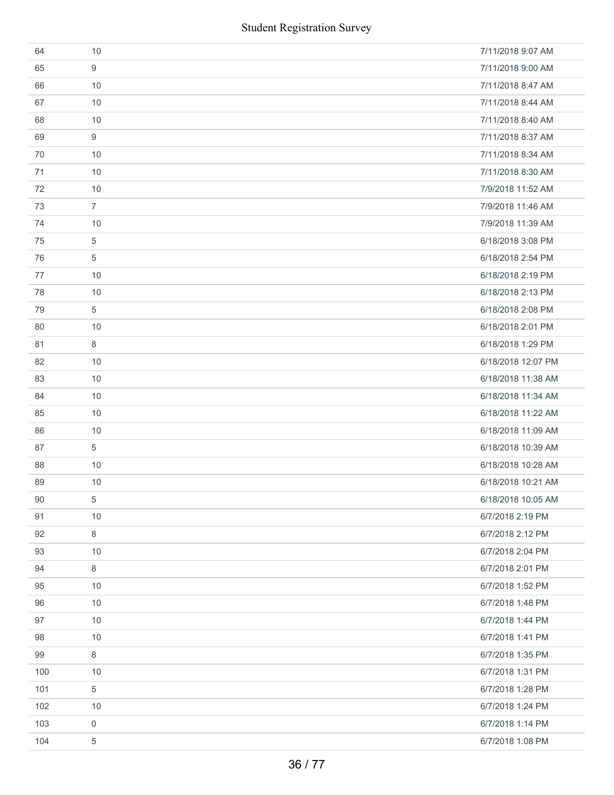| 64  | 10             | 7/11/2018 9:07 AM  |
|-----|----------------|--------------------|
| 65  | 9              | 7/11/2018 9:00 AM  |
| 66  | 10             | 7/11/2018 8:47 AM  |
| 67  | 10             | 7/11/2018 8:44 AM  |
| 68  | 10             | 7/11/2018 8:40 AM  |
| 69  | 9              | 7/11/2018 8:37 AM  |
| 70  | 10             | 7/11/2018 8:34 AM  |
| 71  | 10             | 7/11/2018 8:30 AM  |
| 72  | 10             | 7/9/2018 11:52 AM  |
| 73  | $\overline{7}$ | 7/9/2018 11:46 AM  |
| 74  | 10             | 7/9/2018 11:39 AM  |
| 75  | 5              | 6/18/2018 3:08 PM  |
| 76  | 5              | 6/18/2018 2:54 PM  |
| 77  | 10             | 6/18/2018 2:19 PM  |
| 78  | 10             | 6/18/2018 2:13 PM  |
| 79  | 5              | 6/18/2018 2:08 PM  |
| 80  | 10             | 6/18/2018 2:01 PM  |
| 81  | 8              | 6/18/2018 1:29 PM  |
| 82  | 10             | 6/18/2018 12:07 PM |
| 83  | 10             | 6/18/2018 11:38 AM |
| 84  | 10             | 6/18/2018 11:34 AM |
| 85  | 10             | 6/18/2018 11:22 AM |
| 86  | 10             | 6/18/2018 11:09 AM |
| 87  | 5              | 6/18/2018 10:39 AM |
| 88  | 10             | 6/18/2018 10:28 AM |
| 89  | 10             | 6/18/2018 10:21 AM |
| 90  | 5              | 6/18/2018 10:05 AM |
| 91  | 10             | 6/7/2018 2:19 PM   |
| 92  | $\,8\,$        | 6/7/2018 2:12 PM   |
| 93  | 10             | 6/7/2018 2:04 PM   |
| 94  | 8              | 6/7/2018 2:01 PM   |
| 95  | 10             | 6/7/2018 1:52 PM   |
| 96  | 10             | 6/7/2018 1:48 PM   |
| 97  | 10             | 6/7/2018 1:44 PM   |
| 98  | 10             | 6/7/2018 1:41 PM   |
| 99  | $\,8\,$        | 6/7/2018 1:35 PM   |
| 100 | 10             | 6/7/2018 1:31 PM   |
| 101 | 5              | 6/7/2018 1:28 PM   |
| 102 | 10             | 6/7/2018 1:24 PM   |
| 103 | $\mathbf 0$    | 6/7/2018 1:14 PM   |
| 104 | 5              | 6/7/2018 1:08 PM   |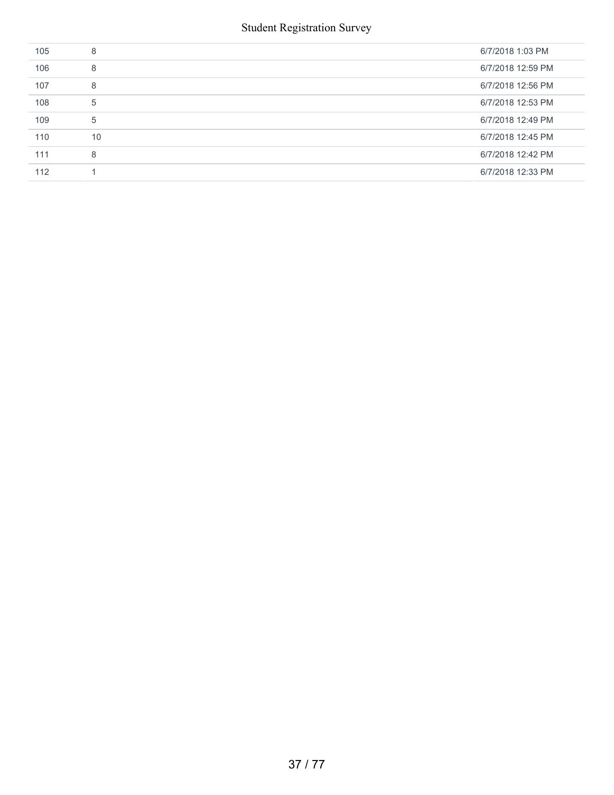| 105 | 8  | 6/7/2018 1:03 PM  |
|-----|----|-------------------|
| 106 | 8  | 6/7/2018 12:59 PM |
| 107 | 8  | 6/7/2018 12:56 PM |
| 108 | 5  | 6/7/2018 12:53 PM |
| 109 | 5  | 6/7/2018 12:49 PM |
| 110 | 10 | 6/7/2018 12:45 PM |
| 111 | 8  | 6/7/2018 12:42 PM |
| 112 |    | 6/7/2018 12:33 PM |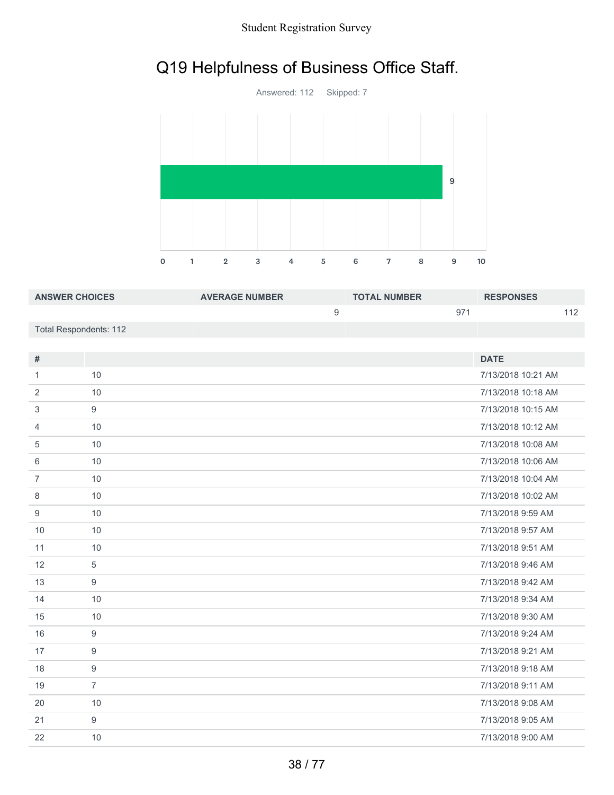# Q19 Helpfulness of Business Office Staff.



| <b>ANSWER CHOICES</b>  | <b>AVERAGE NUMBER</b> | <b>TOTAL NUMBER</b> |              | <b>RESPONSES</b> |     |
|------------------------|-----------------------|---------------------|--------------|------------------|-----|
|                        |                       |                     | $97^{\circ}$ |                  | 112 |
| Total Respondents: 112 |                       |                     |              |                  |     |

| $\#$           |                  | <b>DATE</b>        |
|----------------|------------------|--------------------|
| 1              | 10               | 7/13/2018 10:21 AM |
| 2              | 10               | 7/13/2018 10:18 AM |
| 3              | $9\,$            | 7/13/2018 10:15 AM |
| $\overline{4}$ | 10               | 7/13/2018 10:12 AM |
| 5              | 10               | 7/13/2018 10:08 AM |
| 6              | 10               | 7/13/2018 10:06 AM |
| $\overline{7}$ | 10               | 7/13/2018 10:04 AM |
| 8              | 10               | 7/13/2018 10:02 AM |
| 9              | 10               | 7/13/2018 9:59 AM  |
| 10             | 10               | 7/13/2018 9:57 AM  |
| 11             | 10               | 7/13/2018 9:51 AM  |
| 12             | $\sqrt{5}$       | 7/13/2018 9:46 AM  |
| 13             | $\boldsymbol{9}$ | 7/13/2018 9:42 AM  |
| 14             | 10               | 7/13/2018 9:34 AM  |
| 15             | 10               | 7/13/2018 9:30 AM  |
| 16             | $\boldsymbol{9}$ | 7/13/2018 9:24 AM  |
| 17             | $\boldsymbol{9}$ | 7/13/2018 9:21 AM  |
| 18             | $\boldsymbol{9}$ | 7/13/2018 9:18 AM  |
| 19             | $\overline{7}$   | 7/13/2018 9:11 AM  |
| 20             | 10               | 7/13/2018 9:08 AM  |
| 21             | $9\,$            | 7/13/2018 9:05 AM  |
| 22             | 10               | 7/13/2018 9:00 AM  |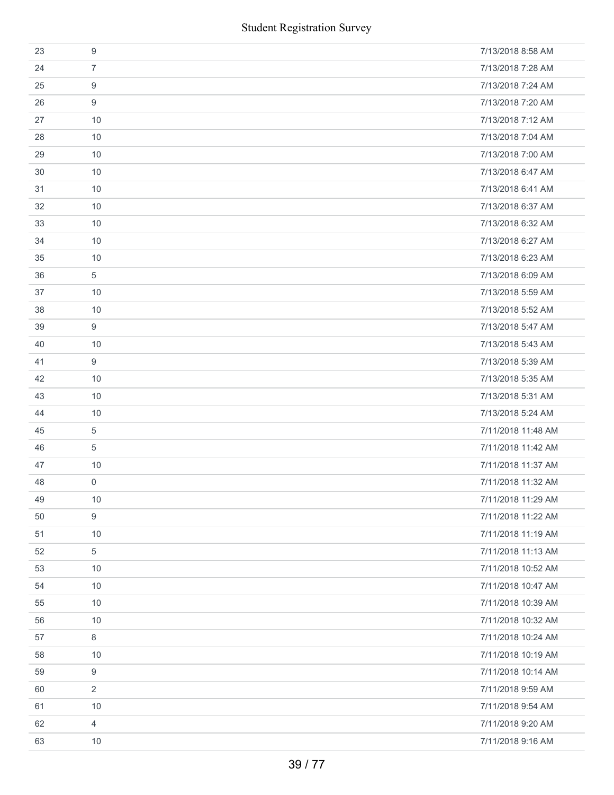|    | <b>Student Registration Survey</b> |                    |
|----|------------------------------------|--------------------|
| 23 | $\boldsymbol{9}$                   | 7/13/2018 8:58 AM  |
| 24 | $\overline{7}$                     | 7/13/2018 7:28 AM  |
| 25 | 9                                  | 7/13/2018 7:24 AM  |
| 26 | 9                                  | 7/13/2018 7:20 AM  |
| 27 | 10                                 | 7/13/2018 7:12 AM  |
| 28 | 10                                 | 7/13/2018 7:04 AM  |
| 29 | 10                                 | 7/13/2018 7:00 AM  |
| 30 | 10                                 | 7/13/2018 6:47 AM  |
| 31 | 10                                 | 7/13/2018 6:41 AM  |
| 32 | 10                                 | 7/13/2018 6:37 AM  |
| 33 | 10                                 | 7/13/2018 6:32 AM  |
| 34 | 10                                 | 7/13/2018 6:27 AM  |
| 35 | 10                                 | 7/13/2018 6:23 AM  |
| 36 | $\sqrt{5}$                         | 7/13/2018 6:09 AM  |
| 37 | 10                                 | 7/13/2018 5:59 AM  |
| 38 | 10                                 | 7/13/2018 5:52 AM  |
| 39 | 9                                  | 7/13/2018 5:47 AM  |
| 40 | 10                                 | 7/13/2018 5:43 AM  |
| 41 | 9                                  | 7/13/2018 5:39 AM  |
| 42 | 10                                 | 7/13/2018 5:35 AM  |
| 43 | 10                                 | 7/13/2018 5:31 AM  |
| 44 | 10                                 | 7/13/2018 5:24 AM  |
| 45 | 5                                  | 7/11/2018 11:48 AM |
| 46 | 5                                  | 7/11/2018 11:42 AM |
| 47 | 10                                 | 7/11/2018 11:37 AM |
| 48 | 0                                  | 7/11/2018 11:32 AM |
| 49 | 10                                 | 7/11/2018 11:29 AM |
| 50 | 9                                  | 7/11/2018 11:22 AM |
| 51 | 10                                 | 7/11/2018 11:19 AM |
| 52 | 5                                  | 7/11/2018 11:13 AM |
| 53 | 10                                 | 7/11/2018 10:52 AM |
| 54 | 10                                 | 7/11/2018 10:47 AM |
| 55 | 10                                 | 7/11/2018 10:39 AM |
| 56 | 10                                 | 7/11/2018 10:32 AM |
| 57 | 8                                  | 7/11/2018 10:24 AM |
| 58 | 10                                 | 7/11/2018 10:19 AM |
| 59 | 9                                  | 7/11/2018 10:14 AM |
| 60 | 2                                  | 7/11/2018 9:59 AM  |
| 61 | 10                                 | 7/11/2018 9:54 AM  |
| 62 | 4                                  | 7/11/2018 9:20 AM  |
| 63 | 10                                 | 7/11/2018 9:16 AM  |
|    | 39 / 77                            |                    |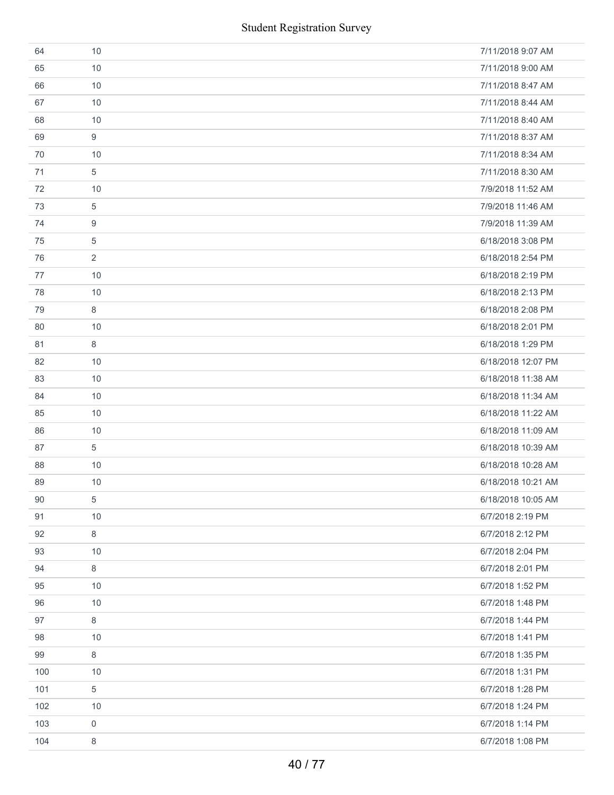| 64  | 10             | 7/11/2018 9:07 AM  |
|-----|----------------|--------------------|
| 65  | 10             | 7/11/2018 9:00 AM  |
| 66  | 10             | 7/11/2018 8:47 AM  |
| 67  | 10             | 7/11/2018 8:44 AM  |
| 68  | 10             | 7/11/2018 8:40 AM  |
| 69  | 9              | 7/11/2018 8:37 AM  |
| 70  | 10             | 7/11/2018 8:34 AM  |
| 71  | 5              | 7/11/2018 8:30 AM  |
| 72  | 10             | 7/9/2018 11:52 AM  |
| 73  | 5              | 7/9/2018 11:46 AM  |
| 74  | 9              | 7/9/2018 11:39 AM  |
| 75  | 5              | 6/18/2018 3:08 PM  |
| 76  | $\overline{2}$ | 6/18/2018 2:54 PM  |
| 77  | 10             | 6/18/2018 2:19 PM  |
| 78  | 10             | 6/18/2018 2:13 PM  |
| 79  | $\,8\,$        | 6/18/2018 2:08 PM  |
| 80  | 10             | 6/18/2018 2:01 PM  |
| 81  | 8              | 6/18/2018 1:29 PM  |
| 82  | 10             | 6/18/2018 12:07 PM |
| 83  | 10             | 6/18/2018 11:38 AM |
| 84  | 10             | 6/18/2018 11:34 AM |
| 85  | 10             | 6/18/2018 11:22 AM |
| 86  | 10             | 6/18/2018 11:09 AM |
| 87  | 5              | 6/18/2018 10:39 AM |
| 88  | 10             | 6/18/2018 10:28 AM |
| 89  | 10             | 6/18/2018 10:21 AM |
| 90  | $\,$ 5 $\,$    | 6/18/2018 10:05 AM |
| 91  | 10             | 6/7/2018 2:19 PM   |
| 92  | 8              | 6/7/2018 2:12 PM   |
| 93  | 10             | 6/7/2018 2:04 PM   |
| 94  | 8              | 6/7/2018 2:01 PM   |
| 95  | 10             | 6/7/2018 1:52 PM   |
| 96  | 10             | 6/7/2018 1:48 PM   |
| 97  | 8              | 6/7/2018 1:44 PM   |
| 98  | 10             | 6/7/2018 1:41 PM   |
| 99  | 8              | 6/7/2018 1:35 PM   |
| 100 | 10             | 6/7/2018 1:31 PM   |
| 101 | 5              | 6/7/2018 1:28 PM   |
| 102 | 10             | 6/7/2018 1:24 PM   |
| 103 | 0              | 6/7/2018 1:14 PM   |
| 104 | 8              | 6/7/2018 1:08 PM   |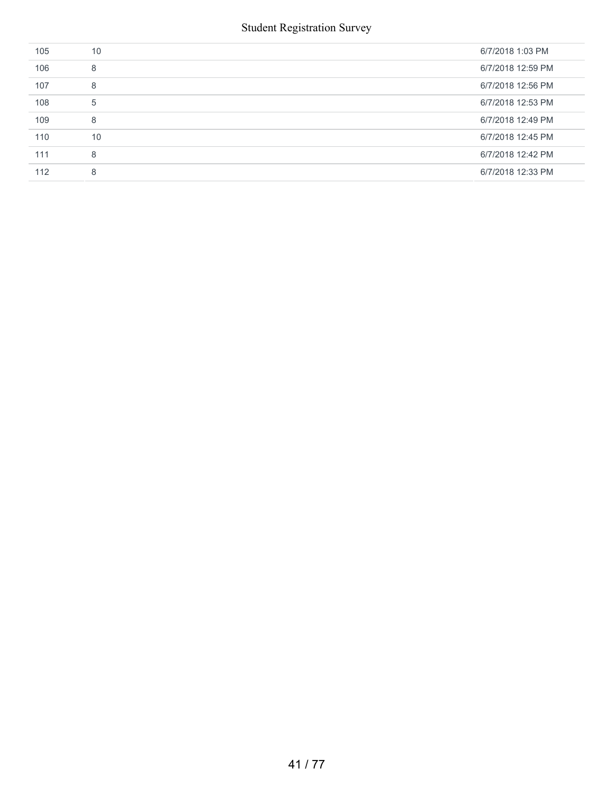| 105 | 10 | 6/7/2018 1:03 PM  |
|-----|----|-------------------|
| 106 | 8  | 6/7/2018 12:59 PM |
| 107 | 8  | 6/7/2018 12:56 PM |
| 108 | 5  | 6/7/2018 12:53 PM |
| 109 | 8  | 6/7/2018 12:49 PM |
| 110 | 10 | 6/7/2018 12:45 PM |
| 111 | 8  | 6/7/2018 12:42 PM |
| 112 | 8  | 6/7/2018 12:33 PM |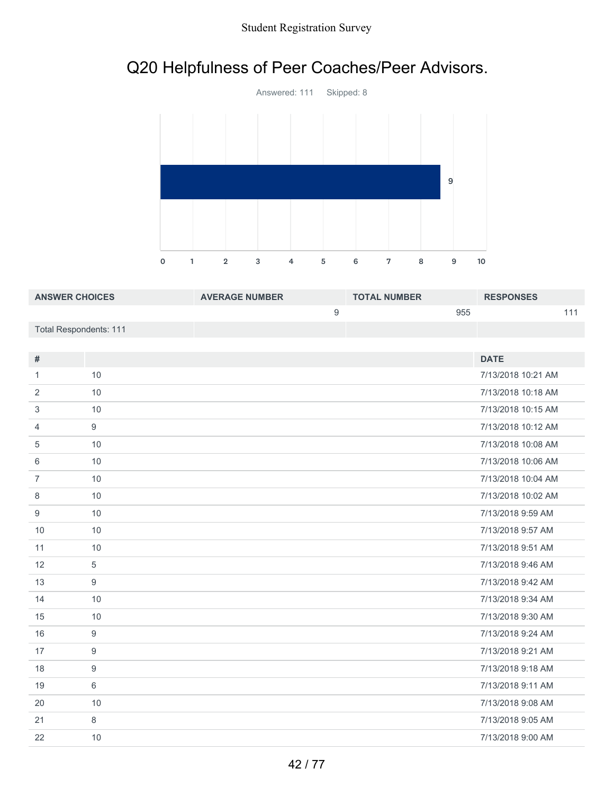# Q20 Helpfulness of Peer Coaches/Peer Advisors.



| <b>ANSWER CHOICES</b>  | <b>AVERAGE NUMBER</b> | <b>TOTAL NUMBER</b> | <b>RESPONSES</b> |
|------------------------|-----------------------|---------------------|------------------|
|                        |                       | 955                 |                  |
| Total Respondents: 111 |                       |                     |                  |

| #              |                  | <b>DATE</b>        |
|----------------|------------------|--------------------|
| 1              | 10               | 7/13/2018 10:21 AM |
|                |                  |                    |
| 2              | 10               | 7/13/2018 10:18 AM |
| 3              | 10               | 7/13/2018 10:15 AM |
| $\overline{4}$ | 9                | 7/13/2018 10:12 AM |
| 5              | 10               | 7/13/2018 10:08 AM |
| 6              | 10               | 7/13/2018 10:06 AM |
| $\overline{7}$ | 10               | 7/13/2018 10:04 AM |
| 8              | 10               | 7/13/2018 10:02 AM |
| 9              | 10               | 7/13/2018 9:59 AM  |
| 10             | 10               | 7/13/2018 9:57 AM  |
| 11             | 10               | 7/13/2018 9:51 AM  |
| 12             | 5                | 7/13/2018 9:46 AM  |
| 13             | 9                | 7/13/2018 9:42 AM  |
| 14             | 10               | 7/13/2018 9:34 AM  |
| 15             | 10               | 7/13/2018 9:30 AM  |
| 16             | 9                | 7/13/2018 9:24 AM  |
| 17             | $\boldsymbol{9}$ | 7/13/2018 9:21 AM  |
| 18             | $\boldsymbol{9}$ | 7/13/2018 9:18 AM  |
| 19             | 6                | 7/13/2018 9:11 AM  |
| 20             | 10               | 7/13/2018 9:08 AM  |
| 21             | 8                | 7/13/2018 9:05 AM  |
| 22             | 10               | 7/13/2018 9:00 AM  |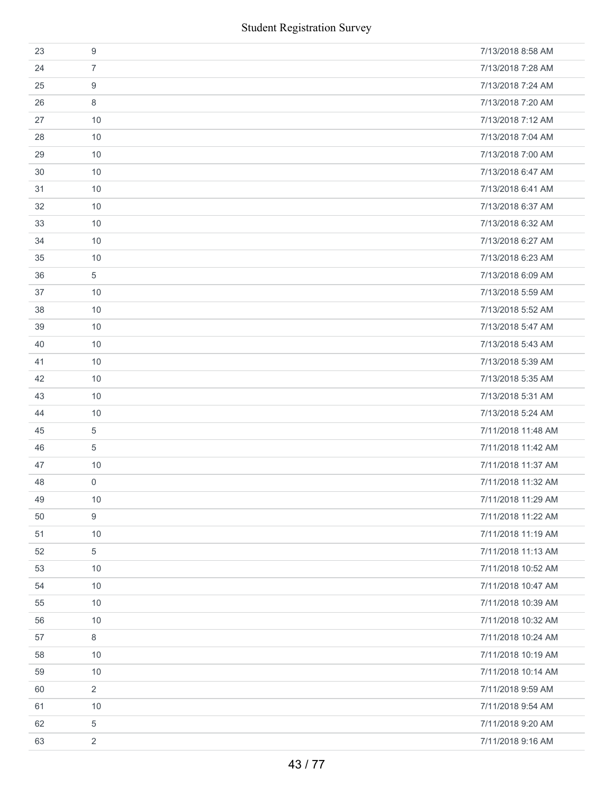| <b>Student Registration Survey</b> |                  |                    |
|------------------------------------|------------------|--------------------|
| 23                                 | $\boldsymbol{9}$ | 7/13/2018 8:58 AM  |
| 24                                 | $\overline{7}$   | 7/13/2018 7:28 AM  |
| 25                                 | 9                | 7/13/2018 7:24 AM  |
| 26                                 | 8                | 7/13/2018 7:20 AM  |
| 27                                 | 10               | 7/13/2018 7:12 AM  |
| 28                                 | 10               | 7/13/2018 7:04 AM  |
| 29                                 | 10               | 7/13/2018 7:00 AM  |
| 30                                 | 10               | 7/13/2018 6:47 AM  |
| 31                                 | 10               | 7/13/2018 6:41 AM  |
| 32                                 | 10               | 7/13/2018 6:37 AM  |
| 33                                 | 10               | 7/13/2018 6:32 AM  |
| 34                                 | 10               | 7/13/2018 6:27 AM  |
| 35                                 | 10               | 7/13/2018 6:23 AM  |
| 36                                 | $\sqrt{5}$       | 7/13/2018 6:09 AM  |
| 37                                 | 10               | 7/13/2018 5:59 AM  |
| 38                                 | 10               | 7/13/2018 5:52 AM  |
| 39                                 | 10               | 7/13/2018 5:47 AM  |
| 40                                 | 10               | 7/13/2018 5:43 AM  |
| 41                                 | 10               | 7/13/2018 5:39 AM  |
| 42                                 | 10               | 7/13/2018 5:35 AM  |
| 43                                 | 10               | 7/13/2018 5:31 AM  |
| 44                                 | 10               | 7/13/2018 5:24 AM  |
| 45                                 | 5                | 7/11/2018 11:48 AM |
| 46                                 | 5                | 7/11/2018 11:42 AM |
| 47                                 | 10               | 7/11/2018 11:37 AM |
| 48                                 | 0                | 7/11/2018 11:32 AM |
| 49                                 | 10               | 7/11/2018 11:29 AM |
| 50                                 | 9                | 7/11/2018 11:22 AM |
| 51                                 | 10               | 7/11/2018 11:19 AM |
| 52                                 | 5                | 7/11/2018 11:13 AM |
| 53                                 | 10               | 7/11/2018 10:52 AM |
| 54                                 | 10               | 7/11/2018 10:47 AM |
| 55                                 | 10               | 7/11/2018 10:39 AM |
| 56                                 | 10               | 7/11/2018 10:32 AM |
| 57                                 | 8                | 7/11/2018 10:24 AM |
| 58                                 | 10               | 7/11/2018 10:19 AM |
| 59                                 | 10               | 7/11/2018 10:14 AM |
| 60                                 | $\overline{2}$   | 7/11/2018 9:59 AM  |
| 61                                 | 10               | 7/11/2018 9:54 AM  |
| 62                                 | 5                | 7/11/2018 9:20 AM  |
| 63                                 | $\overline{2}$   | 7/11/2018 9:16 AM  |
|                                    | 43/77            |                    |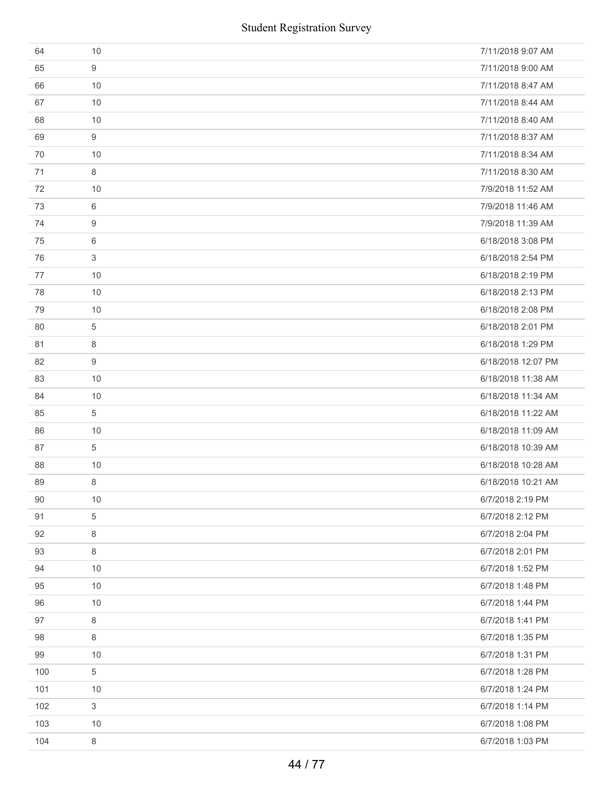| 64  | 10      | 7/11/2018 9:07 AM  |
|-----|---------|--------------------|
| 65  | 9       | 7/11/2018 9:00 AM  |
| 66  | 10      | 7/11/2018 8:47 AM  |
| 67  | 10      | 7/11/2018 8:44 AM  |
| 68  | 10      | 7/11/2018 8:40 AM  |
| 69  | 9       | 7/11/2018 8:37 AM  |
| 70  | 10      | 7/11/2018 8:34 AM  |
| 71  | 8       | 7/11/2018 8:30 AM  |
| 72  | 10      | 7/9/2018 11:52 AM  |
| 73  | 6       | 7/9/2018 11:46 AM  |
| 74  | 9       | 7/9/2018 11:39 AM  |
| 75  | 6       | 6/18/2018 3:08 PM  |
| 76  | 3       | 6/18/2018 2:54 PM  |
| 77  | 10      | 6/18/2018 2:19 PM  |
| 78  | 10      | 6/18/2018 2:13 PM  |
| 79  | 10      | 6/18/2018 2:08 PM  |
| 80  | 5       | 6/18/2018 2:01 PM  |
| 81  | 8       | 6/18/2018 1:29 PM  |
| 82  | 9       | 6/18/2018 12:07 PM |
| 83  | 10      | 6/18/2018 11:38 AM |
| 84  | 10      | 6/18/2018 11:34 AM |
| 85  | 5       | 6/18/2018 11:22 AM |
| 86  | 10      | 6/18/2018 11:09 AM |
| 87  | 5       | 6/18/2018 10:39 AM |
| 88  | 10      | 6/18/2018 10:28 AM |
| 89  | 8       | 6/18/2018 10:21 AM |
| 90  | 10      | 6/7/2018 2:19 PM   |
| 91  | 5       | 6/7/2018 2:12 PM   |
| 92  | 8       | 6/7/2018 2:04 PM   |
| 93  | 8       | 6/7/2018 2:01 PM   |
| 94  | 10      | 6/7/2018 1:52 PM   |
| 95  | 10      | 6/7/2018 1:48 PM   |
| 96  | 10      | 6/7/2018 1:44 PM   |
| 97  | $\,8\,$ | 6/7/2018 1:41 PM   |
| 98  | 8       | 6/7/2018 1:35 PM   |
| 99  | 10      | 6/7/2018 1:31 PM   |
| 100 | 5       | 6/7/2018 1:28 PM   |
| 101 | 10      | 6/7/2018 1:24 PM   |
| 102 | 3       | 6/7/2018 1:14 PM   |
| 103 | 10      | 6/7/2018 1:08 PM   |
| 104 | 8       | 6/7/2018 1:03 PM   |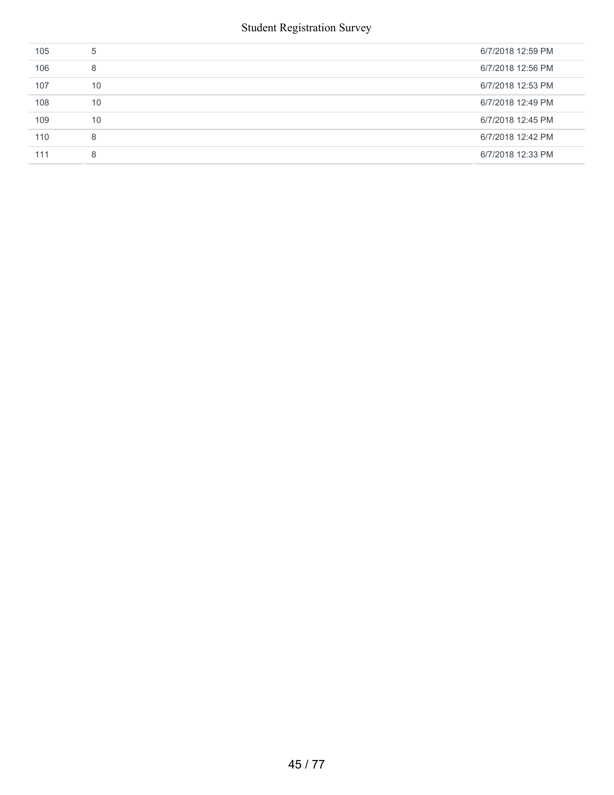| 105 | 5  | 6/7/2018 12:59 PM |
|-----|----|-------------------|
| 106 | 8  | 6/7/2018 12:56 PM |
| 107 | 10 | 6/7/2018 12:53 PM |
| 108 | 10 | 6/7/2018 12:49 PM |
| 109 | 10 | 6/7/2018 12:45 PM |
| 110 | 8  | 6/7/2018 12:42 PM |
| 111 | 8  | 6/7/2018 12:33 PM |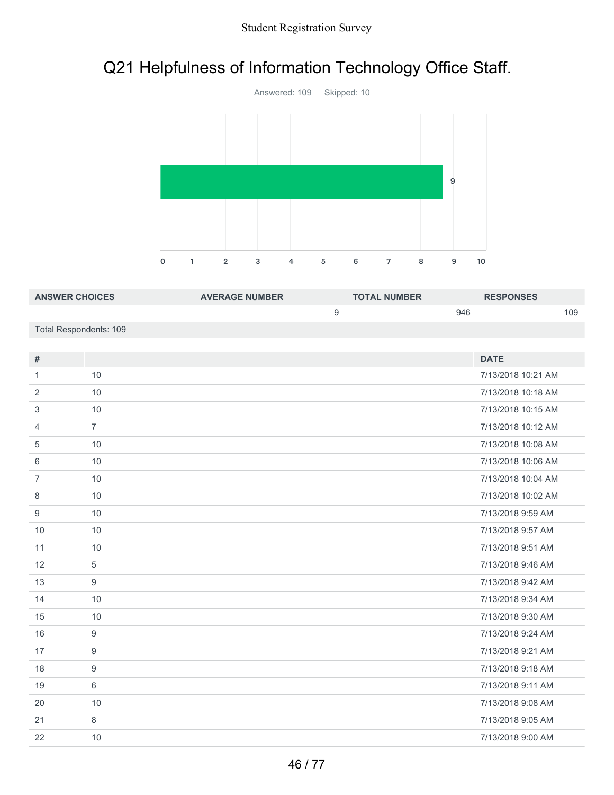# Q21 Helpfulness of Information Technology Office Staff.



| <b>ANSWER CHOICES</b>  | <b>AVERAGE NUMBER</b> | <b>TOTAL NUMBER</b> | <b>RESPONSES</b> |
|------------------------|-----------------------|---------------------|------------------|
|                        |                       | 946                 | 109              |
| Total Respondents: 109 |                       |                     |                  |

| #              |                | <b>DATE</b>        |
|----------------|----------------|--------------------|
| 1              | 10             | 7/13/2018 10:21 AM |
| 2              | 10             | 7/13/2018 10:18 AM |
| 3              | 10             | 7/13/2018 10:15 AM |
| 4              | $\overline{7}$ | 7/13/2018 10:12 AM |
| 5              | 10             | 7/13/2018 10:08 AM |
| 6              | 10             | 7/13/2018 10:06 AM |
| $\overline{7}$ | 10             | 7/13/2018 10:04 AM |
| 8              | 10             | 7/13/2018 10:02 AM |
| 9              | 10             | 7/13/2018 9:59 AM  |
| 10             | 10             | 7/13/2018 9:57 AM  |
| 11             | 10             | 7/13/2018 9:51 AM  |
| 12             | 5              | 7/13/2018 9:46 AM  |
| 13             | 9              | 7/13/2018 9:42 AM  |
| 14             | 10             | 7/13/2018 9:34 AM  |
| 15             | 10             | 7/13/2018 9:30 AM  |
| 16             | 9              | 7/13/2018 9:24 AM  |
| 17             | 9              | 7/13/2018 9:21 AM  |
| 18             | 9              | 7/13/2018 9:18 AM  |
| 19             | 6              | 7/13/2018 9:11 AM  |
| 20             | 10             | 7/13/2018 9:08 AM  |
| 21             | 8              | 7/13/2018 9:05 AM  |
| 22             | 10             | 7/13/2018 9:00 AM  |
|                |                |                    |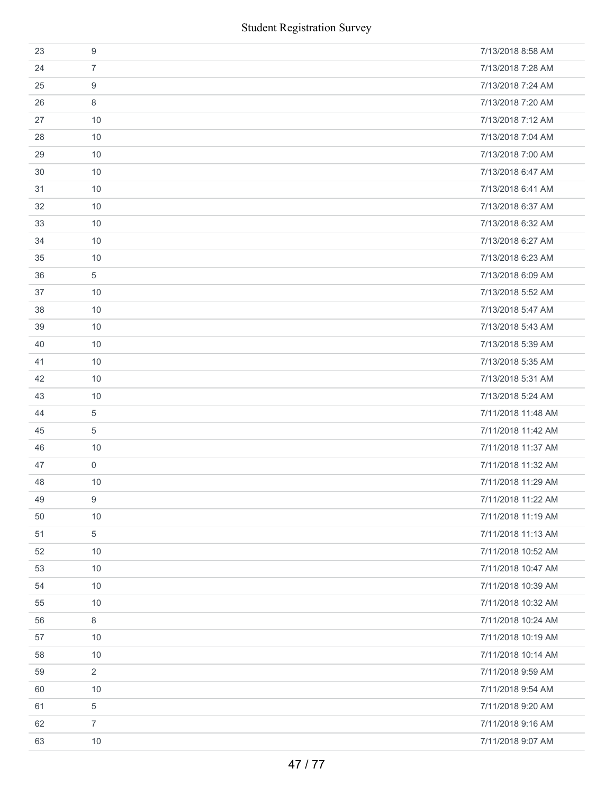|    | <b>Student Registration Survey</b> |                    |
|----|------------------------------------|--------------------|
| 23 | $\boldsymbol{9}$                   | 7/13/2018 8:58 AM  |
| 24 | $\overline{7}$                     | 7/13/2018 7:28 AM  |
| 25 | 9                                  | 7/13/2018 7:24 AM  |
| 26 | 8                                  | 7/13/2018 7:20 AM  |
| 27 | 10                                 | 7/13/2018 7:12 AM  |
| 28 | 10                                 | 7/13/2018 7:04 AM  |
| 29 | 10                                 | 7/13/2018 7:00 AM  |
| 30 | 10                                 | 7/13/2018 6:47 AM  |
| 31 | 10                                 | 7/13/2018 6:41 AM  |
| 32 | 10                                 | 7/13/2018 6:37 AM  |
| 33 | 10                                 | 7/13/2018 6:32 AM  |
| 34 | 10                                 | 7/13/2018 6:27 AM  |
| 35 | 10                                 | 7/13/2018 6:23 AM  |
| 36 | $\sqrt{5}$                         | 7/13/2018 6:09 AM  |
| 37 | 10                                 | 7/13/2018 5:52 AM  |
| 38 | 10                                 | 7/13/2018 5:47 AM  |
| 39 | 10                                 | 7/13/2018 5:43 AM  |
| 40 | 10                                 | 7/13/2018 5:39 AM  |
| 41 | 10                                 | 7/13/2018 5:35 AM  |
| 42 | 10                                 | 7/13/2018 5:31 AM  |
| 43 | 10                                 | 7/13/2018 5:24 AM  |
| 44 | 5                                  | 7/11/2018 11:48 AM |
| 45 | 5                                  | 7/11/2018 11:42 AM |
| 46 | 10                                 | 7/11/2018 11:37 AM |
| 47 | $\mathbf 0$                        | 7/11/2018 11:32 AM |
| 48 | 10                                 | 7/11/2018 11:29 AM |
| 49 | 9                                  | 7/11/2018 11:22 AM |
| 50 | 10                                 | 7/11/2018 11:19 AM |
| 51 | 5                                  | 7/11/2018 11:13 AM |
| 52 | 10                                 | 7/11/2018 10:52 AM |
| 53 | 10                                 | 7/11/2018 10:47 AM |
| 54 | 10                                 | 7/11/2018 10:39 AM |
| 55 | 10                                 | 7/11/2018 10:32 AM |
| 56 | 8                                  | 7/11/2018 10:24 AM |
| 57 | 10                                 | 7/11/2018 10:19 AM |
| 58 | 10                                 | 7/11/2018 10:14 AM |
| 59 | $\overline{2}$                     | 7/11/2018 9:59 AM  |
| 60 | 10                                 | 7/11/2018 9:54 AM  |
| 61 | 5                                  | 7/11/2018 9:20 AM  |
| 62 | $\overline{7}$                     | 7/11/2018 9:16 AM  |
| 63 | 10                                 | 7/11/2018 9:07 AM  |
|    | 47 / 77                            |                    |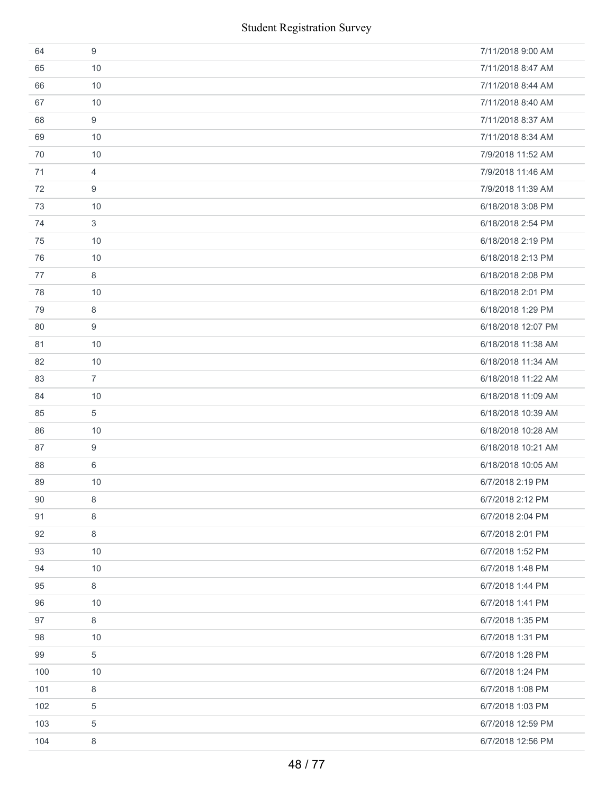| 64  | 9              | 7/11/2018 9:00 AM  |
|-----|----------------|--------------------|
| 65  | 10             | 7/11/2018 8:47 AM  |
| 66  | 10             | 7/11/2018 8:44 AM  |
| 67  | 10             | 7/11/2018 8:40 AM  |
| 68  | 9              | 7/11/2018 8:37 AM  |
| 69  | 10             | 7/11/2018 8:34 AM  |
| 70  | 10             | 7/9/2018 11:52 AM  |
| 71  | 4              | 7/9/2018 11:46 AM  |
| 72  | 9              | 7/9/2018 11:39 AM  |
| 73  | 10             | 6/18/2018 3:08 PM  |
| 74  | 3              | 6/18/2018 2:54 PM  |
| 75  | 10             | 6/18/2018 2:19 PM  |
| 76  | 10             | 6/18/2018 2:13 PM  |
| 77  | 8              | 6/18/2018 2:08 PM  |
| 78  | 10             | 6/18/2018 2:01 PM  |
| 79  | 8              | 6/18/2018 1:29 PM  |
| 80  | 9              | 6/18/2018 12:07 PM |
| 81  | 10             | 6/18/2018 11:38 AM |
| 82  | 10             | 6/18/2018 11:34 AM |
| 83  | $\overline{7}$ | 6/18/2018 11:22 AM |
| 84  | 10             | 6/18/2018 11:09 AM |
| 85  | 5              | 6/18/2018 10:39 AM |
| 86  | 10             | 6/18/2018 10:28 AM |
| 87  | 9              | 6/18/2018 10:21 AM |
| 88  | 6              | 6/18/2018 10:05 AM |
| 89  | 10             | 6/7/2018 2:19 PM   |
| 90  | 8              | 6/7/2018 2:12 PM   |
| 91  | 8              | 6/7/2018 2:04 PM   |
| 92  | 8              | 6/7/2018 2:01 PM   |
| 93  | 10             | 6/7/2018 1:52 PM   |
| 94  | 10             | 6/7/2018 1:48 PM   |
| 95  | 8              | 6/7/2018 1:44 PM   |
| 96  | 10             | 6/7/2018 1:41 PM   |
| 97  | 8              | 6/7/2018 1:35 PM   |
| 98  | 10             | 6/7/2018 1:31 PM   |
| 99  | $\sqrt{5}$     | 6/7/2018 1:28 PM   |
| 100 | 10             | 6/7/2018 1:24 PM   |
| 101 | 8              | 6/7/2018 1:08 PM   |
| 102 | 5              | 6/7/2018 1:03 PM   |
| 103 | $\,$ 5 $\,$    | 6/7/2018 12:59 PM  |
| 104 | 8              | 6/7/2018 12:56 PM  |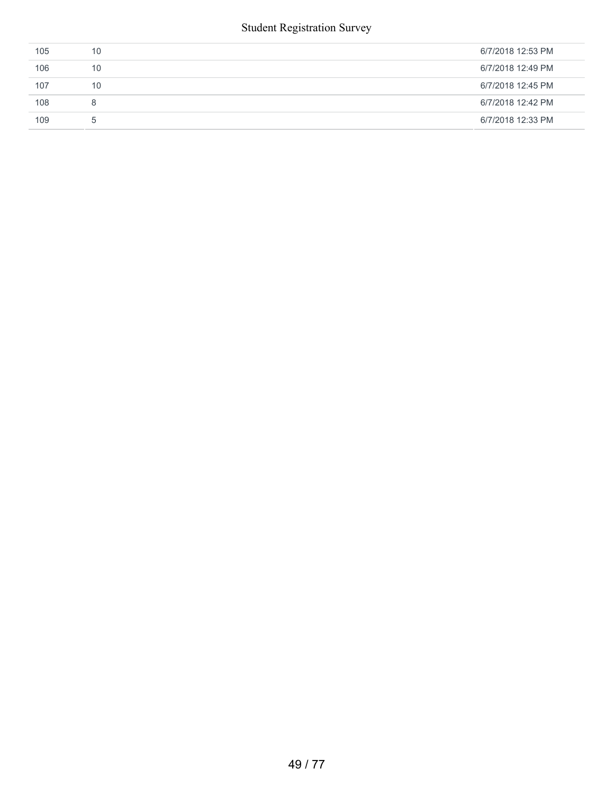| 105 | 10          | 6/7/2018 12:53 PM |
|-----|-------------|-------------------|
| 106 | 10          | 6/7/2018 12:49 PM |
| 107 | 10          | 6/7/2018 12:45 PM |
| 108 | 8           | 6/7/2018 12:42 PM |
| 109 | $5^{\circ}$ | 6/7/2018 12:33 PM |
|     |             |                   |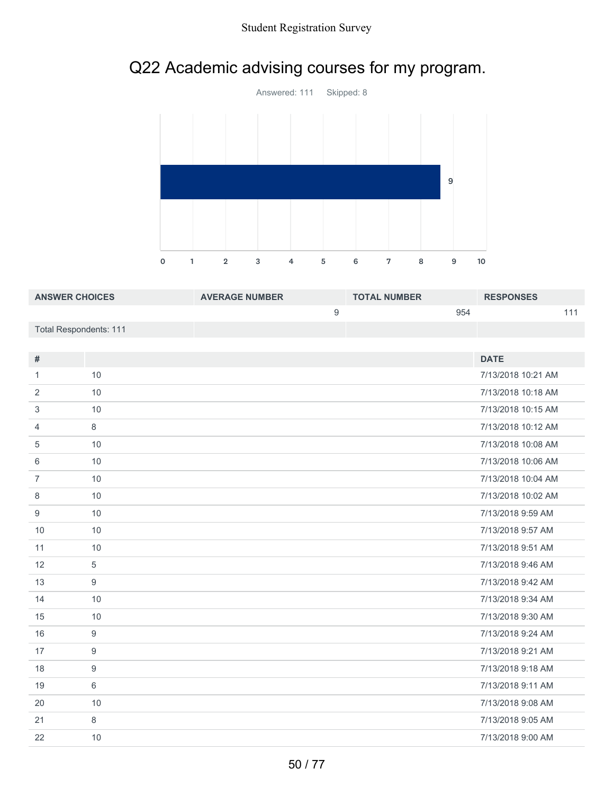# Q22 Academic advising courses for my program.



| <b>ANSWER CHOICES</b>  | <b>AVERAGE NUMBER</b> | <b>TOTAL NUMBER</b> | <b>RESPONSES</b> |
|------------------------|-----------------------|---------------------|------------------|
|                        |                       | 954                 |                  |
| Total Respondents: 111 |                       |                     |                  |

| #              |            | <b>DATE</b>        |
|----------------|------------|--------------------|
| 1              | 10         | 7/13/2018 10:21 AM |
| 2              | 10         | 7/13/2018 10:18 AM |
| 3              | 10         | 7/13/2018 10:15 AM |
| 4              | 8          | 7/13/2018 10:12 AM |
| 5              | 10         | 7/13/2018 10:08 AM |
| 6              | 10         | 7/13/2018 10:06 AM |
| $\overline{7}$ | 10         | 7/13/2018 10:04 AM |
| 8              | 10         | 7/13/2018 10:02 AM |
| 9              | 10         | 7/13/2018 9:59 AM  |
| 10             | 10         | 7/13/2018 9:57 AM  |
| 11             | 10         | 7/13/2018 9:51 AM  |
| 12             | $\sqrt{5}$ | 7/13/2018 9:46 AM  |
| 13             | 9          | 7/13/2018 9:42 AM  |
| 14             | 10         | 7/13/2018 9:34 AM  |
| 15             | 10         | 7/13/2018 9:30 AM  |
| 16             | 9          | 7/13/2018 9:24 AM  |
| 17             | 9          | 7/13/2018 9:21 AM  |
| 18             | 9          | 7/13/2018 9:18 AM  |
| 19             | 6          | 7/13/2018 9:11 AM  |
| 20             | 10         | 7/13/2018 9:08 AM  |
| 21             | 8          | 7/13/2018 9:05 AM  |
| 22             | 10         | 7/13/2018 9:00 AM  |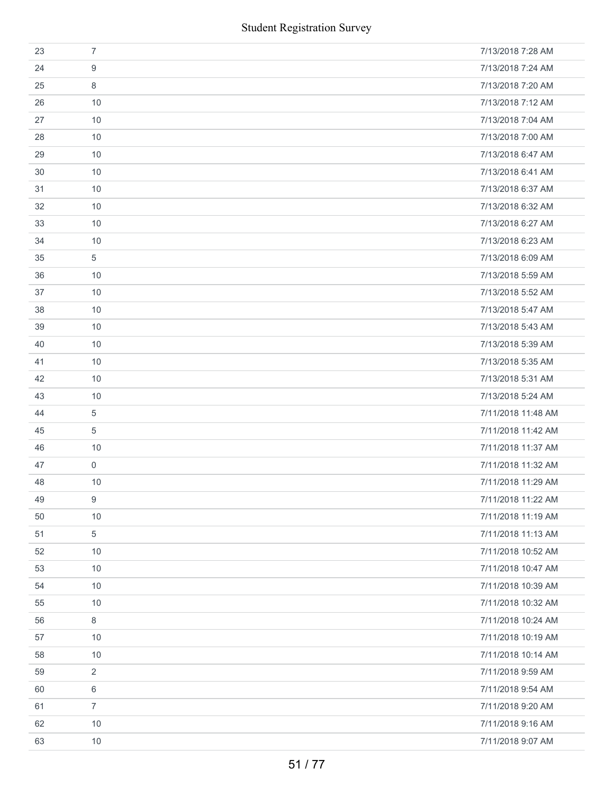|    |                | <b>Student Registration Survey</b> |
|----|----------------|------------------------------------|
| 23 | $\overline{7}$ | 7/13/2018 7:28 AM                  |
| 24 | 9              | 7/13/2018 7:24 AM                  |
| 25 | 8              | 7/13/2018 7:20 AM                  |
| 26 | 10             | 7/13/2018 7:12 AM                  |
| 27 | 10             | 7/13/2018 7:04 AM                  |
| 28 | 10             | 7/13/2018 7:00 AM                  |
| 29 | 10             | 7/13/2018 6:47 AM                  |
| 30 | 10             | 7/13/2018 6:41 AM                  |
| 31 | 10             | 7/13/2018 6:37 AM                  |
| 32 | 10             | 7/13/2018 6:32 AM                  |
| 33 | 10             | 7/13/2018 6:27 AM                  |
| 34 | 10             | 7/13/2018 6:23 AM                  |
| 35 | 5              | 7/13/2018 6:09 AM                  |
| 36 | 10             | 7/13/2018 5:59 AM                  |
| 37 | 10             | 7/13/2018 5:52 AM                  |
| 38 | 10             | 7/13/2018 5:47 AM                  |
| 39 | 10             | 7/13/2018 5:43 AM                  |
| 40 | 10             | 7/13/2018 5:39 AM                  |
| 41 | 10             | 7/13/2018 5:35 AM                  |
| 42 | 10             | 7/13/2018 5:31 AM                  |
| 43 | 10             | 7/13/2018 5:24 AM                  |
| 44 | 5              | 7/11/2018 11:48 AM                 |
| 45 | 5              | 7/11/2018 11:42 AM                 |
| 46 | 10             | 7/11/2018 11:37 AM                 |
| 47 | 0              | 7/11/2018 11:32 AM                 |
| 48 | 10             | 7/11/2018 11:29 AM                 |
| 49 | 9              | 7/11/2018 11:22 AM                 |
| 50 | 10             | 7/11/2018 11:19 AM                 |
| 51 | 5              | 7/11/2018 11:13 AM                 |
| 52 | 10             | 7/11/2018 10:52 AM                 |
| 53 | 10             | 7/11/2018 10:47 AM                 |
| 54 | 10             | 7/11/2018 10:39 AM                 |
| 55 | 10             | 7/11/2018 10:32 AM                 |
| 56 | 8              | 7/11/2018 10:24 AM                 |
| 57 | 10             | 7/11/2018 10:19 AM                 |
| 58 | 10             | 7/11/2018 10:14 AM                 |
| 59 | $\overline{2}$ | 7/11/2018 9:59 AM                  |
| 60 | 6              | 7/11/2018 9:54 AM                  |
| 61 | $\overline{7}$ | 7/11/2018 9:20 AM                  |
| 62 | 10             | 7/11/2018 9:16 AM                  |
| 63 | 10             | 7/11/2018 9:07 AM                  |
|    |                | 51/77                              |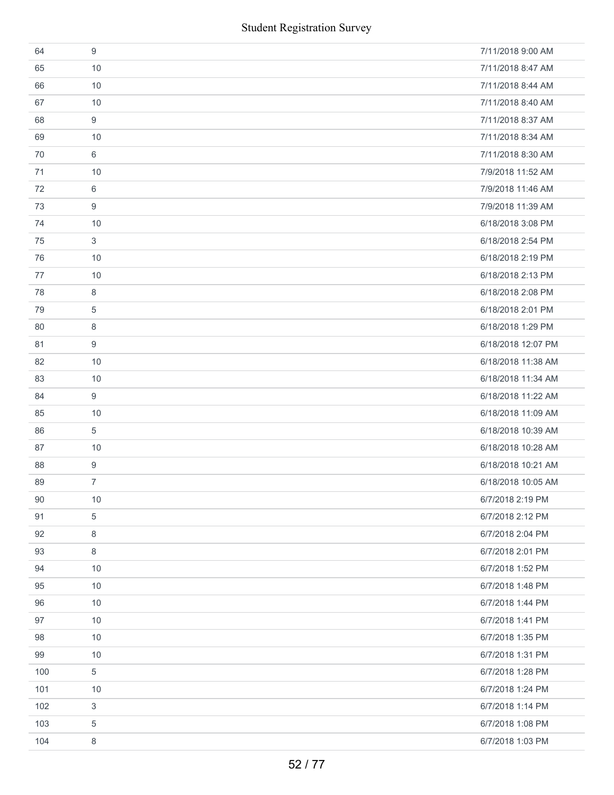| 64  | 9          | 7/11/2018 9:00 AM  |
|-----|------------|--------------------|
| 65  | 10         | 7/11/2018 8:47 AM  |
| 66  | 10         | 7/11/2018 8:44 AM  |
| 67  | 10         | 7/11/2018 8:40 AM  |
| 68  | 9          | 7/11/2018 8:37 AM  |
| 69  | 10         | 7/11/2018 8:34 AM  |
| 70  | 6          | 7/11/2018 8:30 AM  |
| 71  | 10         | 7/9/2018 11:52 AM  |
| 72  | 6          | 7/9/2018 11:46 AM  |
| 73  | 9          | 7/9/2018 11:39 AM  |
| 74  | 10         | 6/18/2018 3:08 PM  |
| 75  | 3          | 6/18/2018 2:54 PM  |
| 76  | 10         | 6/18/2018 2:19 PM  |
| 77  | 10         | 6/18/2018 2:13 PM  |
| 78  | 8          | 6/18/2018 2:08 PM  |
| 79  | 5          | 6/18/2018 2:01 PM  |
| 80  | 8          | 6/18/2018 1:29 PM  |
| 81  | 9          | 6/18/2018 12:07 PM |
| 82  | 10         | 6/18/2018 11:38 AM |
| 83  | 10         | 6/18/2018 11:34 AM |
| 84  | 9          | 6/18/2018 11:22 AM |
| 85  | 10         | 6/18/2018 11:09 AM |
| 86  | 5          | 6/18/2018 10:39 AM |
| 87  | 10         | 6/18/2018 10:28 AM |
| 88  | 9          | 6/18/2018 10:21 AM |
| 89  | 7          | 6/18/2018 10:05 AM |
| 90  | 10         | 6/7/2018 2:19 PM   |
| 91  | 5          | 6/7/2018 2:12 PM   |
| 92  | 8          | 6/7/2018 2:04 PM   |
| 93  | 8          | 6/7/2018 2:01 PM   |
| 94  | 10         | 6/7/2018 1:52 PM   |
| 95  | 10         | 6/7/2018 1:48 PM   |
| 96  | 10         | 6/7/2018 1:44 PM   |
| 97  | 10         | 6/7/2018 1:41 PM   |
| 98  | 10         | 6/7/2018 1:35 PM   |
| 99  | 10         | 6/7/2018 1:31 PM   |
| 100 | $\sqrt{5}$ | 6/7/2018 1:28 PM   |
| 101 | 10         | 6/7/2018 1:24 PM   |
| 102 | 3          | 6/7/2018 1:14 PM   |
| 103 | 5          | 6/7/2018 1:08 PM   |
| 104 | 8          | 6/7/2018 1:03 PM   |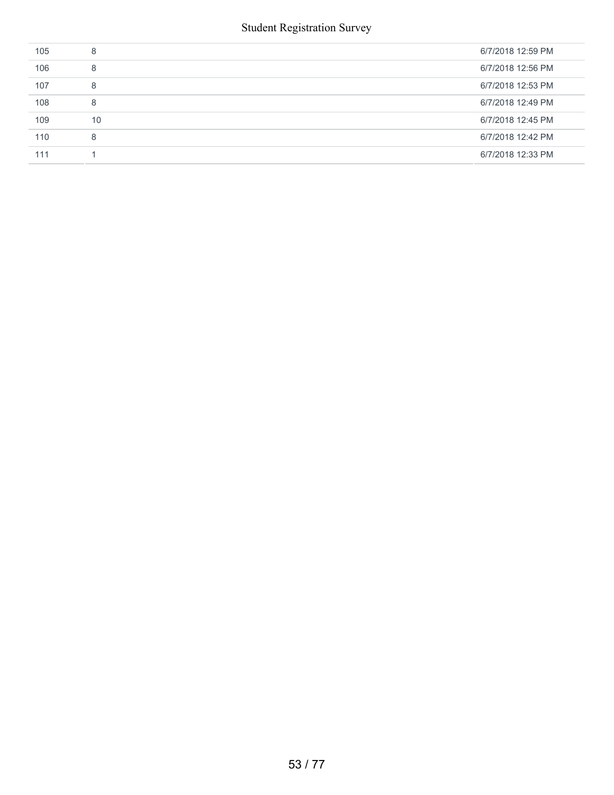| 105 | 8  | 6/7/2018 12:59 PM |
|-----|----|-------------------|
| 106 | 8  | 6/7/2018 12:56 PM |
| 107 | 8  | 6/7/2018 12:53 PM |
| 108 | 8  | 6/7/2018 12:49 PM |
| 109 | 10 | 6/7/2018 12:45 PM |
| 110 | 8  | 6/7/2018 12:42 PM |
| 111 |    | 6/7/2018 12:33 PM |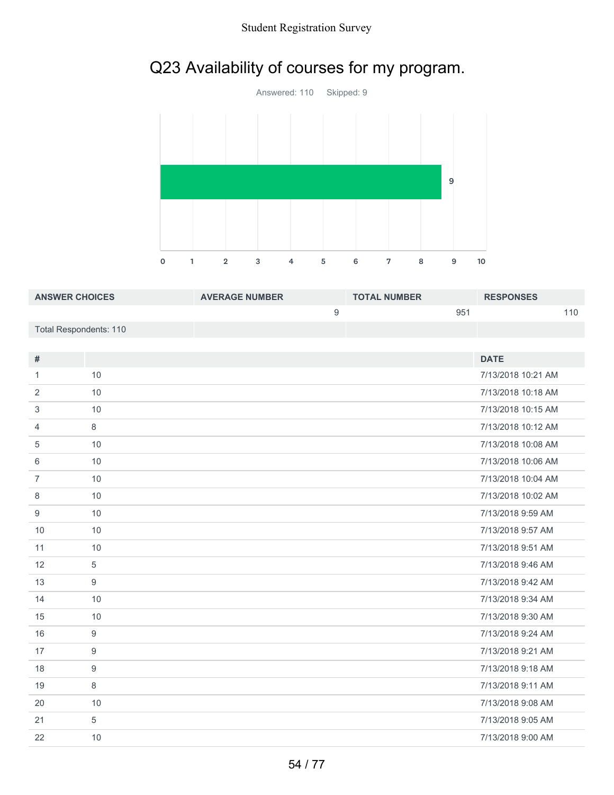# Q23 Availability of courses for my program.



| <b>ANSWER CHOICES</b>  | <b>AVERAGE NUMBER</b> | <b>TOTAL NUMBER</b> | <b>RESPONSES</b> |
|------------------------|-----------------------|---------------------|------------------|
|                        |                       | 95'                 | 110              |
| Total Respondents: 110 |                       |                     |                  |

| #              |    | <b>DATE</b>        |
|----------------|----|--------------------|
| 1              | 10 | 7/13/2018 10:21 AM |
| 2              | 10 | 7/13/2018 10:18 AM |
| 3              | 10 | 7/13/2018 10:15 AM |
| 4              | 8  | 7/13/2018 10:12 AM |
| 5              | 10 | 7/13/2018 10:08 AM |
| 6              | 10 | 7/13/2018 10:06 AM |
| $\overline{7}$ | 10 | 7/13/2018 10:04 AM |
| 8              | 10 | 7/13/2018 10:02 AM |
| 9              | 10 | 7/13/2018 9:59 AM  |
| 10             | 10 | 7/13/2018 9:57 AM  |
| 11             | 10 | 7/13/2018 9:51 AM  |
| 12             | 5  | 7/13/2018 9:46 AM  |
| 13             | 9  | 7/13/2018 9:42 AM  |
| 14             | 10 | 7/13/2018 9:34 AM  |
| 15             | 10 | 7/13/2018 9:30 AM  |
| 16             | 9  | 7/13/2018 9:24 AM  |
| 17             | 9  | 7/13/2018 9:21 AM  |
| 18             | 9  | 7/13/2018 9:18 AM  |
| 19             | 8  | 7/13/2018 9:11 AM  |
| 20             | 10 | 7/13/2018 9:08 AM  |
| 21             | 5  | 7/13/2018 9:05 AM  |
| 22             | 10 | 7/13/2018 9:00 AM  |
|                |    |                    |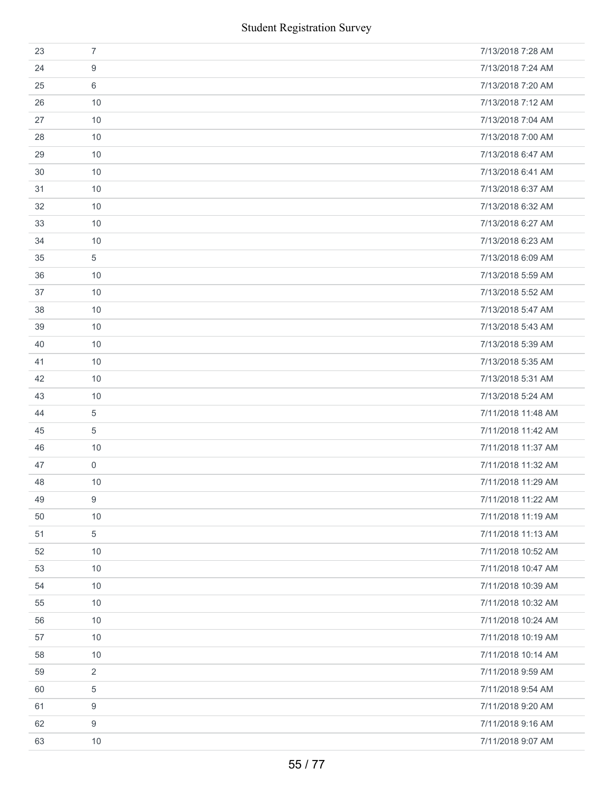|    |                | <b>Student Registration Survey</b> |
|----|----------------|------------------------------------|
| 23 | $\overline{7}$ | 7/13/2018 7:28 AM                  |
| 24 | 9              | 7/13/2018 7:24 AM                  |
| 25 | 6              | 7/13/2018 7:20 AM                  |
| 26 | 10             | 7/13/2018 7:12 AM                  |
| 27 | 10             | 7/13/2018 7:04 AM                  |
| 28 | 10             | 7/13/2018 7:00 AM                  |
| 29 | 10             | 7/13/2018 6:47 AM                  |
| 30 | 10             | 7/13/2018 6:41 AM                  |
| 31 | 10             | 7/13/2018 6:37 AM                  |
| 32 | 10             | 7/13/2018 6:32 AM                  |
| 33 | 10             | 7/13/2018 6:27 AM                  |
| 34 | 10             | 7/13/2018 6:23 AM                  |
| 35 | 5              | 7/13/2018 6:09 AM                  |
| 36 | 10             | 7/13/2018 5:59 AM                  |
| 37 | 10             | 7/13/2018 5:52 AM                  |
| 38 | 10             | 7/13/2018 5:47 AM                  |
| 39 | 10             | 7/13/2018 5:43 AM                  |
| 40 | 10             | 7/13/2018 5:39 AM                  |
| 41 | 10             | 7/13/2018 5:35 AM                  |
| 42 | 10             | 7/13/2018 5:31 AM                  |
| 43 | 10             | 7/13/2018 5:24 AM                  |
| 44 | 5              | 7/11/2018 11:48 AM                 |
| 45 | 5              | 7/11/2018 11:42 AM                 |
| 46 | 10             | 7/11/2018 11:37 AM                 |
| 47 | 0              | 7/11/2018 11:32 AM                 |
| 48 | 10             | 7/11/2018 11:29 AM                 |
| 49 | 9              | 7/11/2018 11:22 AM                 |
| 50 | 10             | 7/11/2018 11:19 AM                 |
| 51 | 5              | 7/11/2018 11:13 AM                 |
| 52 | 10             | 7/11/2018 10:52 AM                 |
| 53 | 10             | 7/11/2018 10:47 AM                 |
| 54 | 10             | 7/11/2018 10:39 AM                 |
| 55 | 10             | 7/11/2018 10:32 AM                 |
| 56 | 10             | 7/11/2018 10:24 AM                 |
| 57 | 10             | 7/11/2018 10:19 AM                 |
| 58 | 10             | 7/11/2018 10:14 AM                 |
| 59 | $\overline{2}$ | 7/11/2018 9:59 AM                  |
| 60 | 5              | 7/11/2018 9:54 AM                  |
| 61 | 9              | 7/11/2018 9:20 AM                  |
| 62 | 9              | 7/11/2018 9:16 AM                  |
| 63 | 10             | 7/11/2018 9:07 AM                  |
|    |                | 55/77                              |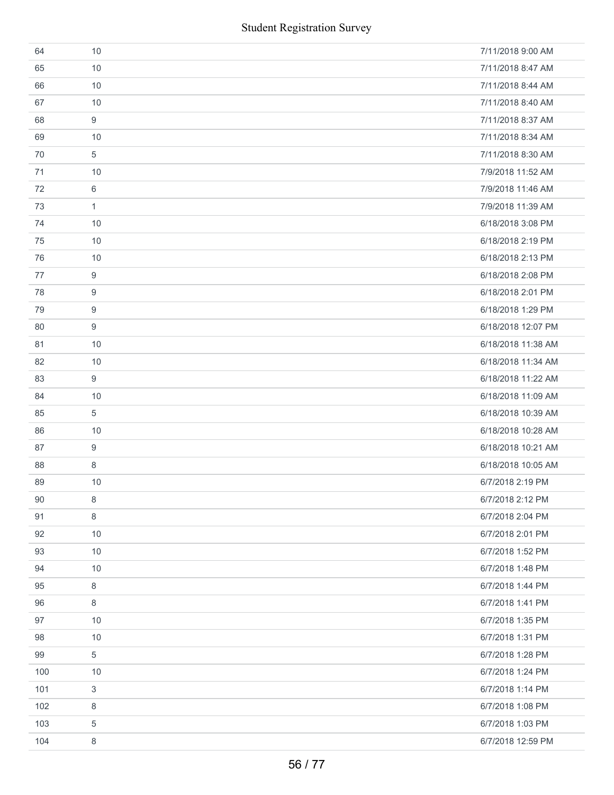| 64  | 10           | 7/11/2018 9:00 AM  |
|-----|--------------|--------------------|
| 65  | 10           | 7/11/2018 8:47 AM  |
| 66  | 10           | 7/11/2018 8:44 AM  |
| 67  | 10           | 7/11/2018 8:40 AM  |
| 68  | 9            | 7/11/2018 8:37 AM  |
| 69  | 10           | 7/11/2018 8:34 AM  |
| 70  | $\sqrt{5}$   | 7/11/2018 8:30 AM  |
| 71  | 10           | 7/9/2018 11:52 AM  |
| 72  | 6            | 7/9/2018 11:46 AM  |
| 73  | $\mathbf{1}$ | 7/9/2018 11:39 AM  |
| 74  | 10           | 6/18/2018 3:08 PM  |
| 75  | 10           | 6/18/2018 2:19 PM  |
| 76  | 10           | 6/18/2018 2:13 PM  |
| 77  | 9            | 6/18/2018 2:08 PM  |
| 78  | 9            | 6/18/2018 2:01 PM  |
| 79  | 9            | 6/18/2018 1:29 PM  |
| 80  | 9            | 6/18/2018 12:07 PM |
| 81  | 10           | 6/18/2018 11:38 AM |
| 82  | 10           | 6/18/2018 11:34 AM |
| 83  | 9            | 6/18/2018 11:22 AM |
| 84  | 10           | 6/18/2018 11:09 AM |
| 85  | 5            | 6/18/2018 10:39 AM |
| 86  | 10           | 6/18/2018 10:28 AM |
| 87  | 9            | 6/18/2018 10:21 AM |
| 88  | 8            | 6/18/2018 10:05 AM |
| 89  | 10           | 6/7/2018 2:19 PM   |
| 90  | 8            | 6/7/2018 2:12 PM   |
| 91  | 8            | 6/7/2018 2:04 PM   |
| 92  | 10           | 6/7/2018 2:01 PM   |
| 93  | 10           | 6/7/2018 1:52 PM   |
| 94  | 10           | 6/7/2018 1:48 PM   |
| 95  | 8            | 6/7/2018 1:44 PM   |
| 96  | 8            | 6/7/2018 1:41 PM   |
| 97  | 10           | 6/7/2018 1:35 PM   |
| 98  | 10           | 6/7/2018 1:31 PM   |
| 99  | 5            | 6/7/2018 1:28 PM   |
| 100 | 10           | 6/7/2018 1:24 PM   |
| 101 | $\sqrt{3}$   | 6/7/2018 1:14 PM   |
| 102 | 8            | 6/7/2018 1:08 PM   |
| 103 | 5            | 6/7/2018 1:03 PM   |
| 104 | 8            | 6/7/2018 12:59 PM  |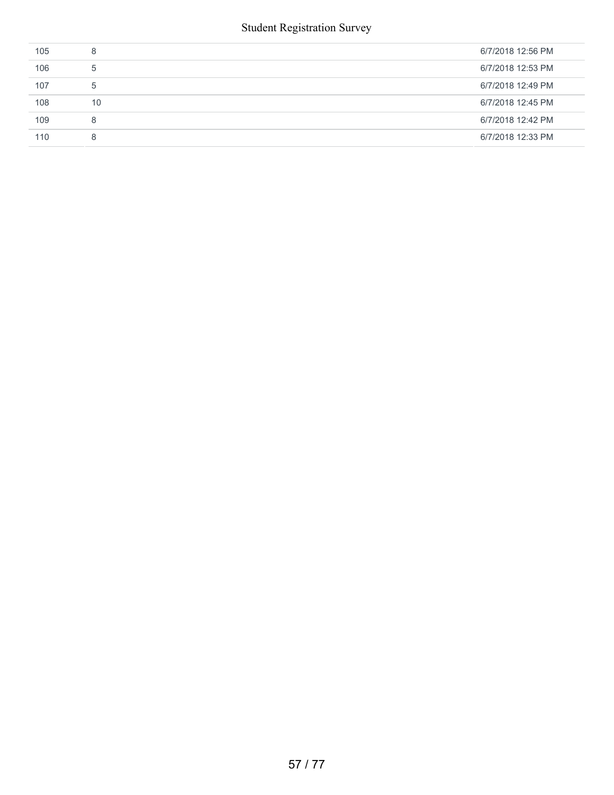| 105 | 8  | 6/7/2018 12:56 PM |
|-----|----|-------------------|
| 106 | -5 | 6/7/2018 12:53 PM |
| 107 | 5  | 6/7/2018 12:49 PM |
| 108 | 10 | 6/7/2018 12:45 PM |
| 109 | 8  | 6/7/2018 12:42 PM |
| 110 | 8  | 6/7/2018 12:33 PM |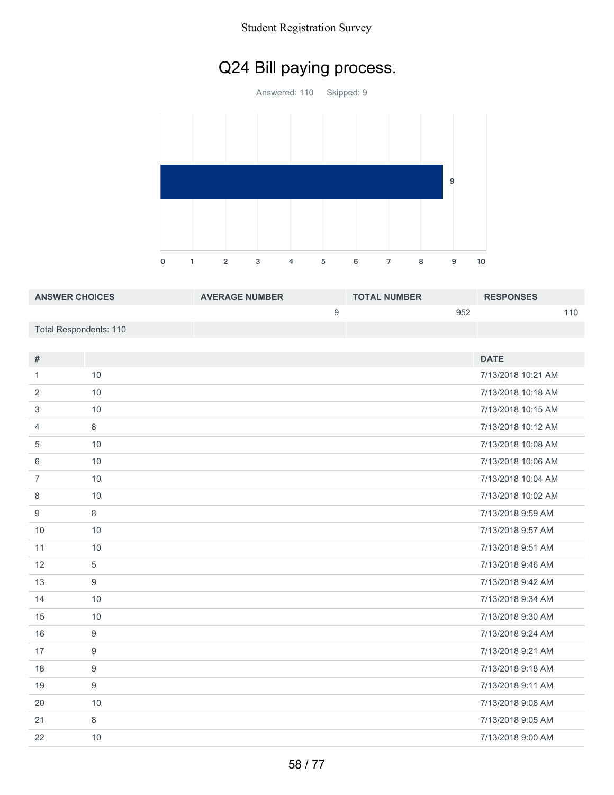# Q24 Bill paying process.

Answered: 110 Skipped: 9 1 2 3 4 5 6 7 8 9 10 

| <b>ANSWER CHOICES</b>  | <b>AVERAGE NUMBER</b> | <b>TOTAL NUMBER</b> | <b>RESPONSES</b> |
|------------------------|-----------------------|---------------------|------------------|
|                        |                       | 952                 | 110              |
| Total Respondents: 110 |                       |                     |                  |

| $\#$           |                  | <b>DATE</b>        |
|----------------|------------------|--------------------|
|                | 10               | 7/13/2018 10:21 AM |
| 1              |                  |                    |
| $\overline{2}$ | 10               | 7/13/2018 10:18 AM |
| 3              | 10               | 7/13/2018 10:15 AM |
| 4              | 8                | 7/13/2018 10:12 AM |
| 5              | 10               | 7/13/2018 10:08 AM |
| 6              | 10               | 7/13/2018 10:06 AM |
| $\overline{7}$ | 10               | 7/13/2018 10:04 AM |
| $\,8\,$        | 10               | 7/13/2018 10:02 AM |
| 9              | $\,8\,$          | 7/13/2018 9:59 AM  |
| 10             | 10               | 7/13/2018 9:57 AM  |
| 11             | 10               | 7/13/2018 9:51 AM  |
| 12             | $\sqrt{5}$       | 7/13/2018 9:46 AM  |
| 13             | $\boldsymbol{9}$ | 7/13/2018 9:42 AM  |
| 14             | 10               | 7/13/2018 9:34 AM  |
| 15             | 10               | 7/13/2018 9:30 AM  |
| 16             | 9                | 7/13/2018 9:24 AM  |
| 17             | $\boldsymbol{9}$ | 7/13/2018 9:21 AM  |
| 18             | 9                | 7/13/2018 9:18 AM  |
| 19             | 9                | 7/13/2018 9:11 AM  |
| 20             | 10               | 7/13/2018 9:08 AM  |
| 21             | 8                | 7/13/2018 9:05 AM  |
| 22             | 10               | 7/13/2018 9:00 AM  |
|                |                  |                    |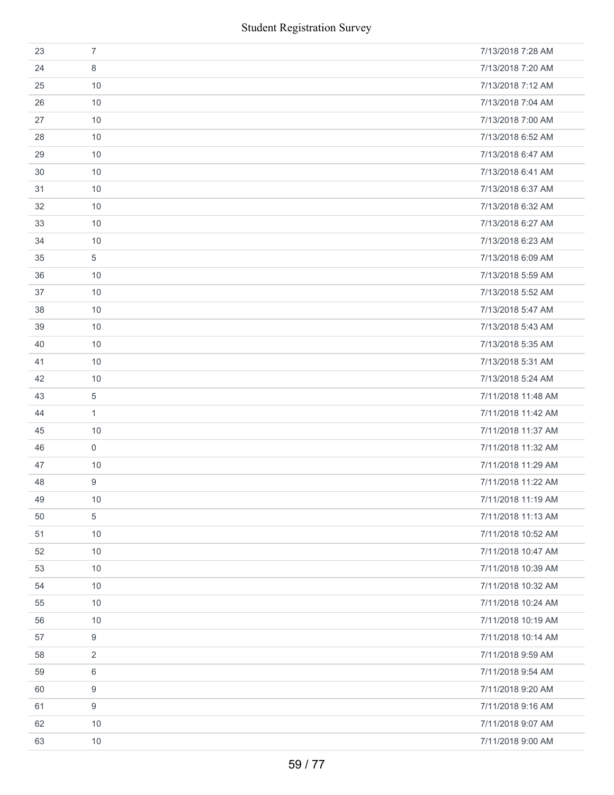|    | <b>Student Registration Survey</b> |                    |
|----|------------------------------------|--------------------|
| 23 | $\overline{7}$                     | 7/13/2018 7:28 AM  |
| 24 | 8                                  | 7/13/2018 7:20 AM  |
| 25 | 10                                 | 7/13/2018 7:12 AM  |
| 26 | 10                                 | 7/13/2018 7:04 AM  |
| 27 | 10                                 | 7/13/2018 7:00 AM  |
| 28 | 10                                 | 7/13/2018 6:52 AM  |
| 29 | 10                                 | 7/13/2018 6:47 AM  |
| 30 | 10                                 | 7/13/2018 6:41 AM  |
| 31 | 10                                 | 7/13/2018 6:37 AM  |
| 32 | 10                                 | 7/13/2018 6:32 AM  |
| 33 | 10                                 | 7/13/2018 6:27 AM  |
| 34 | 10                                 | 7/13/2018 6:23 AM  |
| 35 | 5                                  | 7/13/2018 6:09 AM  |
| 36 | 10                                 | 7/13/2018 5:59 AM  |
| 37 | 10                                 | 7/13/2018 5:52 AM  |
| 38 | 10                                 | 7/13/2018 5:47 AM  |
| 39 | 10                                 | 7/13/2018 5:43 AM  |
| 40 | 10                                 | 7/13/2018 5:35 AM  |
| 41 | 10                                 | 7/13/2018 5:31 AM  |
| 42 | 10                                 | 7/13/2018 5:24 AM  |
| 43 | 5                                  | 7/11/2018 11:48 AM |
| 44 | $\mathbf{1}$                       | 7/11/2018 11:42 AM |
| 45 | 10                                 | 7/11/2018 11:37 AM |
| 46 | $\mathbf 0$                        | 7/11/2018 11:32 AM |
| 47 | 10                                 | 7/11/2018 11:29 AM |
| 48 | 9                                  | 7/11/2018 11:22 AM |
| 49 | 10                                 | 7/11/2018 11:19 AM |
| 50 | 5                                  | 7/11/2018 11:13 AM |
| 51 | 10                                 | 7/11/2018 10:52 AM |
| 52 | 10                                 | 7/11/2018 10:47 AM |
| 53 | 10                                 | 7/11/2018 10:39 AM |
| 54 | 10                                 | 7/11/2018 10:32 AM |
| 55 | 10                                 | 7/11/2018 10:24 AM |
| 56 | 10                                 | 7/11/2018 10:19 AM |
| 57 | 9                                  | 7/11/2018 10:14 AM |
| 58 | 2                                  | 7/11/2018 9:59 AM  |
| 59 | 6                                  | 7/11/2018 9:54 AM  |
| 60 | 9                                  | 7/11/2018 9:20 AM  |
| 61 | 9                                  | 7/11/2018 9:16 AM  |
| 62 | 10                                 | 7/11/2018 9:07 AM  |
| 63 | 10                                 | 7/11/2018 9:00 AM  |
|    | 59 / 77                            |                    |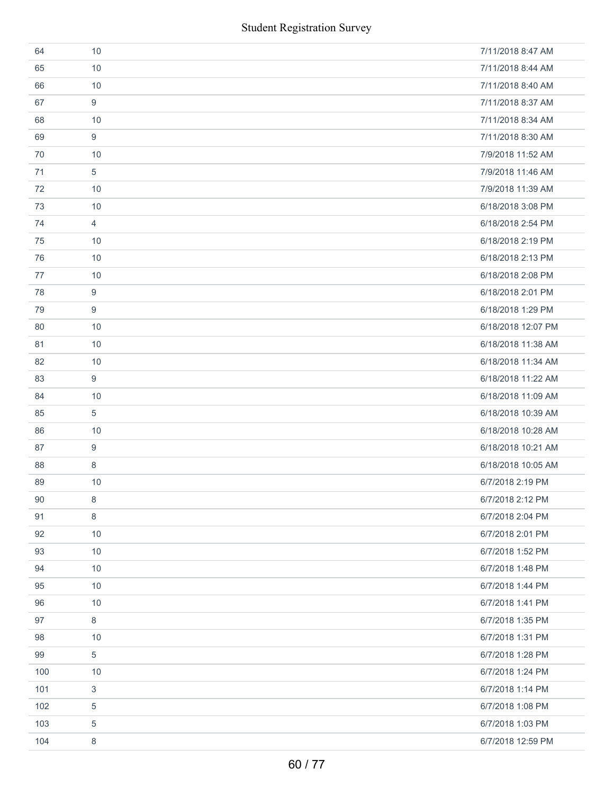| 64  | 10         | 7/11/2018 8:47 AM  |
|-----|------------|--------------------|
| 65  | 10         | 7/11/2018 8:44 AM  |
| 66  | 10         | 7/11/2018 8:40 AM  |
| 67  | 9          | 7/11/2018 8:37 AM  |
| 68  | 10         | 7/11/2018 8:34 AM  |
| 69  | 9          | 7/11/2018 8:30 AM  |
| 70  | 10         | 7/9/2018 11:52 AM  |
| 71  | 5          | 7/9/2018 11:46 AM  |
| 72  | 10         | 7/9/2018 11:39 AM  |
| 73  | 10         | 6/18/2018 3:08 PM  |
| 74  | 4          | 6/18/2018 2:54 PM  |
| 75  | 10         | 6/18/2018 2:19 PM  |
| 76  | 10         | 6/18/2018 2:13 PM  |
| 77  | 10         | 6/18/2018 2:08 PM  |
| 78  | 9          | 6/18/2018 2:01 PM  |
| 79  | 9          | 6/18/2018 1:29 PM  |
| 80  | 10         | 6/18/2018 12:07 PM |
| 81  | 10         | 6/18/2018 11:38 AM |
| 82  | 10         | 6/18/2018 11:34 AM |
| 83  | 9          | 6/18/2018 11:22 AM |
| 84  | 10         | 6/18/2018 11:09 AM |
| 85  | 5          | 6/18/2018 10:39 AM |
| 86  | 10         | 6/18/2018 10:28 AM |
| 87  | 9          | 6/18/2018 10:21 AM |
| 88  | 8          | 6/18/2018 10:05 AM |
| 89  | 10         | 6/7/2018 2:19 PM   |
| 90  | 8          | 6/7/2018 2:12 PM   |
| 91  | 8          | 6/7/2018 2:04 PM   |
| 92  | 10         | 6/7/2018 2:01 PM   |
| 93  | 10         | 6/7/2018 1:52 PM   |
| 94  | 10         | 6/7/2018 1:48 PM   |
| 95  | 10         | 6/7/2018 1:44 PM   |
| 96  | 10         | 6/7/2018 1:41 PM   |
| 97  | 8          | 6/7/2018 1:35 PM   |
| 98  | 10         | 6/7/2018 1:31 PM   |
| 99  | $\sqrt{5}$ | 6/7/2018 1:28 PM   |
| 100 | 10         | 6/7/2018 1:24 PM   |
| 101 | $\sqrt{3}$ | 6/7/2018 1:14 PM   |
| 102 | 5          | 6/7/2018 1:08 PM   |
| 103 | 5          | 6/7/2018 1:03 PM   |
| 104 | 8          | 6/7/2018 12:59 PM  |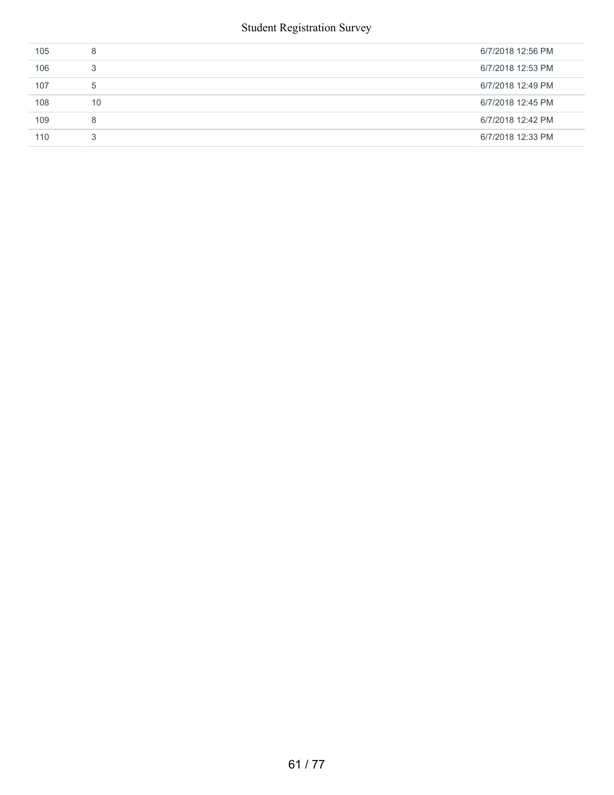| 105 | 8  | 6/7/2018 12:56 PM |
|-----|----|-------------------|
| 106 | 3  | 6/7/2018 12:53 PM |
| 107 | 5  | 6/7/2018 12:49 PM |
| 108 | 10 | 6/7/2018 12:45 PM |
| 109 | 8  | 6/7/2018 12:42 PM |
| 110 | 3  | 6/7/2018 12:33 PM |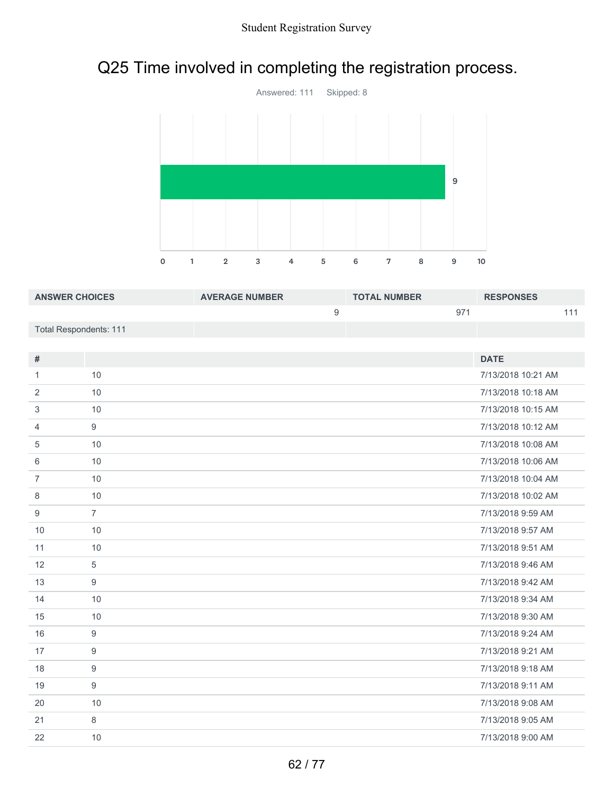# Q25 Time involved in completing the registration process.



| <b>ANSWER CHOICES</b>  | <b>AVERAGE NUMBER</b> | <b>TOTAL NUMBER</b> | <b>RESPONSES</b> |
|------------------------|-----------------------|---------------------|------------------|
|                        |                       | 97                  |                  |
| Total Respondents: 111 |                       |                     |                  |

| #              |                  | <b>DATE</b>        |
|----------------|------------------|--------------------|
| 1              | 10               | 7/13/2018 10:21 AM |
| 2              | 10               | 7/13/2018 10:18 AM |
| 3              | 10               | 7/13/2018 10:15 AM |
| 4              | 9                | 7/13/2018 10:12 AM |
| 5              | 10               | 7/13/2018 10:08 AM |
| 6              | 10               | 7/13/2018 10:06 AM |
| $\overline{7}$ | 10               | 7/13/2018 10:04 AM |
| 8              | 10               | 7/13/2018 10:02 AM |
| 9              | $\overline{7}$   | 7/13/2018 9:59 AM  |
| 10             | 10               | 7/13/2018 9:57 AM  |
| 11             | 10               | 7/13/2018 9:51 AM  |
| 12             | $\sqrt{5}$       | 7/13/2018 9:46 AM  |
| 13             | 9                | 7/13/2018 9:42 AM  |
| 14             | 10               | 7/13/2018 9:34 AM  |
| 15             | 10               | 7/13/2018 9:30 AM  |
| 16             | 9                | 7/13/2018 9:24 AM  |
| 17             | $\boldsymbol{9}$ | 7/13/2018 9:21 AM  |
| 18             | $\boldsymbol{9}$ | 7/13/2018 9:18 AM  |
| 19             | 9                | 7/13/2018 9:11 AM  |
| 20             | 10               | 7/13/2018 9:08 AM  |
| 21             | 8                | 7/13/2018 9:05 AM  |
| 22             | 10               | 7/13/2018 9:00 AM  |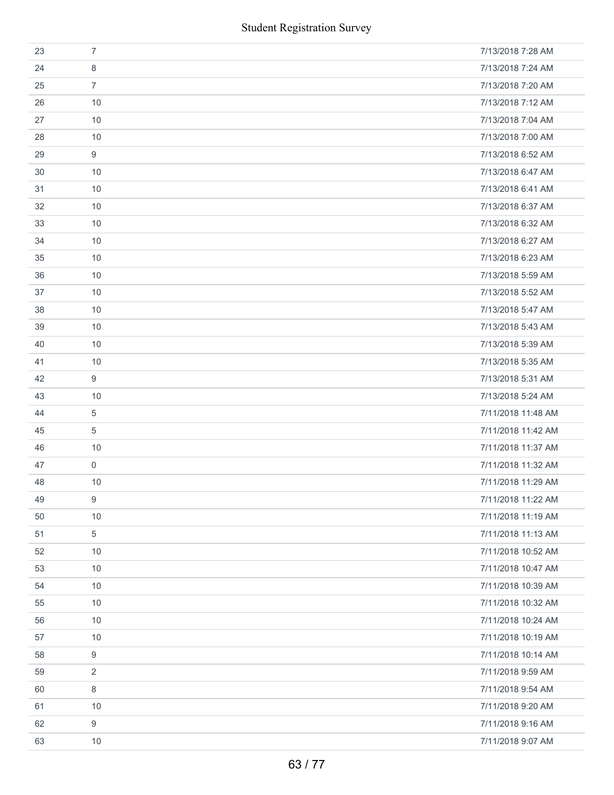|    | <b>Student Registration Survey</b> |                    |
|----|------------------------------------|--------------------|
| 23 | $\overline{7}$                     | 7/13/2018 7:28 AM  |
| 24 | 8                                  | 7/13/2018 7:24 AM  |
| 25 | $\overline{7}$                     | 7/13/2018 7:20 AM  |
| 26 | 10                                 | 7/13/2018 7:12 AM  |
| 27 | 10                                 | 7/13/2018 7:04 AM  |
| 28 | 10                                 | 7/13/2018 7:00 AM  |
| 29 | 9                                  | 7/13/2018 6:52 AM  |
| 30 | 10                                 | 7/13/2018 6:47 AM  |
| 31 | 10                                 | 7/13/2018 6:41 AM  |
| 32 | 10                                 | 7/13/2018 6:37 AM  |
| 33 | 10                                 | 7/13/2018 6:32 AM  |
| 34 | 10                                 | 7/13/2018 6:27 AM  |
| 35 | 10                                 | 7/13/2018 6:23 AM  |
| 36 | 10                                 | 7/13/2018 5:59 AM  |
| 37 | 10                                 | 7/13/2018 5:52 AM  |
| 38 | 10                                 | 7/13/2018 5:47 AM  |
| 39 | 10                                 | 7/13/2018 5:43 AM  |
| 40 | 10                                 | 7/13/2018 5:39 AM  |
| 41 | 10                                 | 7/13/2018 5:35 AM  |
| 42 | 9                                  | 7/13/2018 5:31 AM  |
| 43 | 10                                 | 7/13/2018 5:24 AM  |
| 44 | 5                                  | 7/11/2018 11:48 AM |
| 45 | 5                                  | 7/11/2018 11:42 AM |
| 46 | 10                                 | 7/11/2018 11:37 AM |
| 47 | $\mathbf 0$                        | 7/11/2018 11:32 AM |
| 48 | 10                                 | 7/11/2018 11:29 AM |
| 49 | 9                                  | 7/11/2018 11:22 AM |
| 50 | 10                                 | 7/11/2018 11:19 AM |
| 51 | 5                                  | 7/11/2018 11:13 AM |
| 52 | 10                                 | 7/11/2018 10:52 AM |
| 53 | 10                                 | 7/11/2018 10:47 AM |
| 54 | 10                                 | 7/11/2018 10:39 AM |
| 55 | 10                                 | 7/11/2018 10:32 AM |
| 56 | 10                                 | 7/11/2018 10:24 AM |
| 57 | 10                                 | 7/11/2018 10:19 AM |
| 58 | 9                                  | 7/11/2018 10:14 AM |
| 59 | $\overline{2}$                     | 7/11/2018 9:59 AM  |
| 60 | 8                                  | 7/11/2018 9:54 AM  |
| 61 | 10                                 | 7/11/2018 9:20 AM  |
| 62 | 9                                  | 7/11/2018 9:16 AM  |
| 63 | 10                                 | 7/11/2018 9:07 AM  |
|    | 63/77                              |                    |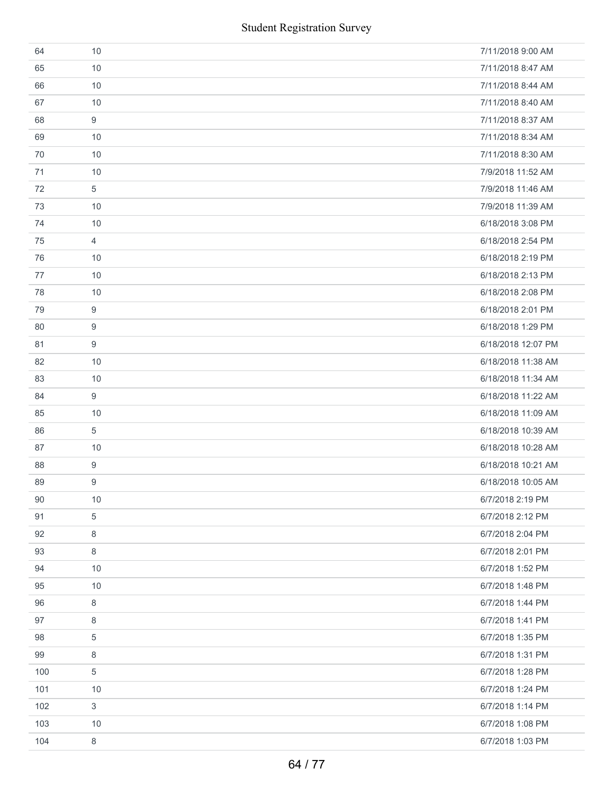| 64  | 10             | 7/11/2018 9:00 AM  |
|-----|----------------|--------------------|
| 65  | 10             | 7/11/2018 8:47 AM  |
| 66  | 10             | 7/11/2018 8:44 AM  |
| 67  | 10             | 7/11/2018 8:40 AM  |
| 68  | 9              | 7/11/2018 8:37 AM  |
| 69  | 10             | 7/11/2018 8:34 AM  |
| 70  | 10             | 7/11/2018 8:30 AM  |
| 71  | 10             | 7/9/2018 11:52 AM  |
| 72  | 5              | 7/9/2018 11:46 AM  |
| 73  | 10             | 7/9/2018 11:39 AM  |
| 74  | 10             | 6/18/2018 3:08 PM  |
| 75  | $\overline{4}$ | 6/18/2018 2:54 PM  |
| 76  | 10             | 6/18/2018 2:19 PM  |
| 77  | 10             | 6/18/2018 2:13 PM  |
| 78  | 10             | 6/18/2018 2:08 PM  |
| 79  | 9              | 6/18/2018 2:01 PM  |
| 80  | 9              | 6/18/2018 1:29 PM  |
| 81  | 9              | 6/18/2018 12:07 PM |
| 82  | 10             | 6/18/2018 11:38 AM |
| 83  | 10             | 6/18/2018 11:34 AM |
| 84  | 9              | 6/18/2018 11:22 AM |
| 85  | 10             | 6/18/2018 11:09 AM |
| 86  | 5              | 6/18/2018 10:39 AM |
| 87  | 10             | 6/18/2018 10:28 AM |
| 88  | 9              | 6/18/2018 10:21 AM |
| 89  | 9              | 6/18/2018 10:05 AM |
| 90  | 10             | 6/7/2018 2:19 PM   |
| 91  | 5              | 6/7/2018 2:12 PM   |
| 92  | $\,8\,$        | 6/7/2018 2:04 PM   |
| 93  | 8              | 6/7/2018 2:01 PM   |
| 94  | 10             | 6/7/2018 1:52 PM   |
| 95  | 10             | 6/7/2018 1:48 PM   |
| 96  | 8              | 6/7/2018 1:44 PM   |
| 97  | 8              | 6/7/2018 1:41 PM   |
| 98  | 5              | 6/7/2018 1:35 PM   |
| 99  | 8              | 6/7/2018 1:31 PM   |
| 100 | 5              | 6/7/2018 1:28 PM   |
| 101 | 10             | 6/7/2018 1:24 PM   |
| 102 | 3              | 6/7/2018 1:14 PM   |
| 103 | 10             | 6/7/2018 1:08 PM   |
| 104 | 8              | 6/7/2018 1:03 PM   |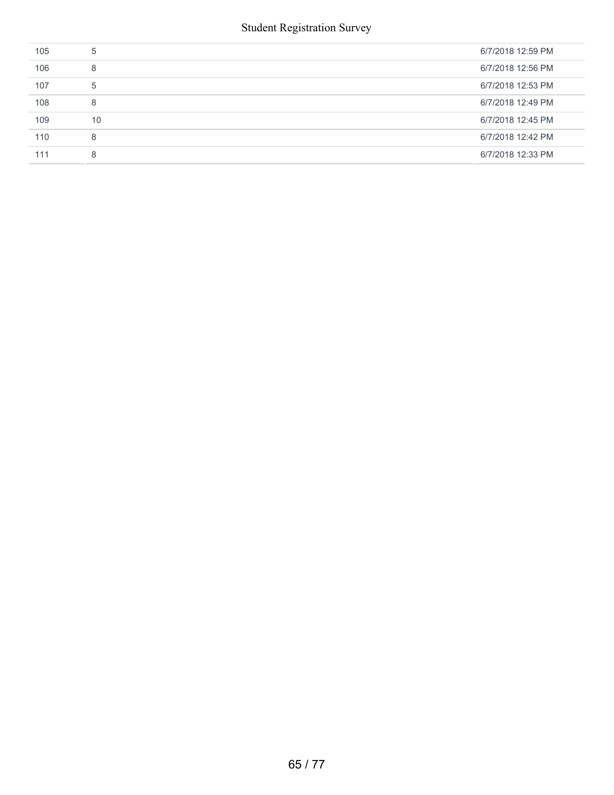| 105 | 5  | 6/7/2018 12:59 PM |
|-----|----|-------------------|
| 106 | 8  | 6/7/2018 12:56 PM |
| 107 | 5  | 6/7/2018 12:53 PM |
| 108 | 8  | 6/7/2018 12:49 PM |
| 109 | 10 | 6/7/2018 12:45 PM |
| 110 | 8  | 6/7/2018 12:42 PM |
| 111 | 8  | 6/7/2018 12:33 PM |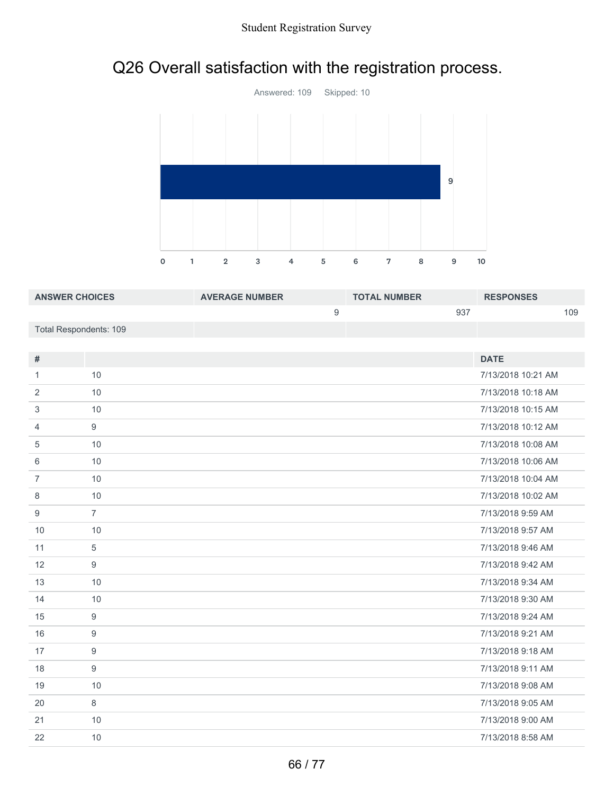# Q26 Overall satisfaction with the registration process.



| <b>ANSWER CHOICES</b>  | <b>AVERAGE NUMBER</b> | <b>TOTAL NUMBER</b> | <b>RESPONSES</b> |
|------------------------|-----------------------|---------------------|------------------|
|                        |                       | 937                 | 109              |
| Total Respondents: 109 |                       |                     |                  |

|                  | <b>DATE</b>        |
|------------------|--------------------|
| 10               | 7/13/2018 10:21 AM |
| 10               | 7/13/2018 10:18 AM |
| 10               | 7/13/2018 10:15 AM |
| 9                | 7/13/2018 10:12 AM |
| 10               | 7/13/2018 10:08 AM |
| 10               | 7/13/2018 10:06 AM |
| 10               | 7/13/2018 10:04 AM |
| 10               | 7/13/2018 10:02 AM |
| $\overline{7}$   | 7/13/2018 9:59 AM  |
| 10               | 7/13/2018 9:57 AM  |
| 5                | 7/13/2018 9:46 AM  |
| 9                | 7/13/2018 9:42 AM  |
| 10               | 7/13/2018 9:34 AM  |
| 10               | 7/13/2018 9:30 AM  |
| 9                | 7/13/2018 9:24 AM  |
| 9                | 7/13/2018 9:21 AM  |
| $\boldsymbol{9}$ | 7/13/2018 9:18 AM  |
| 9                | 7/13/2018 9:11 AM  |
| 10               | 7/13/2018 9:08 AM  |
| 8                | 7/13/2018 9:05 AM  |
| 10               | 7/13/2018 9:00 AM  |
| 10               | 7/13/2018 8:58 AM  |
|                  |                    |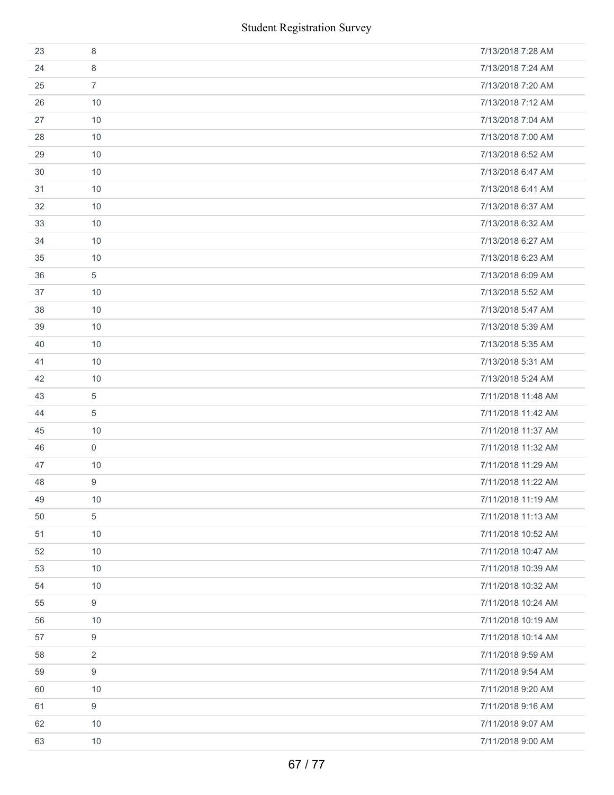| <b>Student Registration Survey</b> |                  |                    |  |  |  |
|------------------------------------|------------------|--------------------|--|--|--|
| 23                                 | 8                | 7/13/2018 7:28 AM  |  |  |  |
| 24                                 | 8                | 7/13/2018 7:24 AM  |  |  |  |
| 25                                 | $\overline{7}$   | 7/13/2018 7:20 AM  |  |  |  |
| 26                                 | 10               | 7/13/2018 7:12 AM  |  |  |  |
| 27                                 | 10               | 7/13/2018 7:04 AM  |  |  |  |
| 28                                 | 10               | 7/13/2018 7:00 AM  |  |  |  |
| 29                                 | 10               | 7/13/2018 6:52 AM  |  |  |  |
| 30                                 | 10               | 7/13/2018 6:47 AM  |  |  |  |
| 31                                 | 10               | 7/13/2018 6:41 AM  |  |  |  |
| 32                                 | 10               | 7/13/2018 6:37 AM  |  |  |  |
| 33                                 | 10               | 7/13/2018 6:32 AM  |  |  |  |
| 34                                 | 10               | 7/13/2018 6:27 AM  |  |  |  |
| 35                                 | 10               | 7/13/2018 6:23 AM  |  |  |  |
| 36                                 | $\sqrt{5}$       | 7/13/2018 6:09 AM  |  |  |  |
| 37                                 | 10               | 7/13/2018 5:52 AM  |  |  |  |
| 38                                 | 10               | 7/13/2018 5:47 AM  |  |  |  |
| 39                                 | 10               | 7/13/2018 5:39 AM  |  |  |  |
| 40                                 | 10               | 7/13/2018 5:35 AM  |  |  |  |
| 41                                 | 10               | 7/13/2018 5:31 AM  |  |  |  |
| 42                                 | 10               | 7/13/2018 5:24 AM  |  |  |  |
| 43                                 | $\sqrt{5}$       | 7/11/2018 11:48 AM |  |  |  |
| 44                                 | 5                | 7/11/2018 11:42 AM |  |  |  |
| 45                                 | 10               | 7/11/2018 11:37 AM |  |  |  |
| 46                                 | $\boldsymbol{0}$ | 7/11/2018 11:32 AM |  |  |  |
| 47                                 | 10               | 7/11/2018 11:29 AM |  |  |  |
| 48                                 | 9                | 7/11/2018 11:22 AM |  |  |  |
| 49                                 | 10               | 7/11/2018 11:19 AM |  |  |  |
| 50                                 | 5                | 7/11/2018 11:13 AM |  |  |  |
| 51                                 | 10               | 7/11/2018 10:52 AM |  |  |  |
| 52                                 | 10               | 7/11/2018 10:47 AM |  |  |  |
| 53                                 | 10               | 7/11/2018 10:39 AM |  |  |  |
| 54                                 | 10               | 7/11/2018 10:32 AM |  |  |  |
| 55                                 | 9                | 7/11/2018 10:24 AM |  |  |  |
| 56                                 | 10               | 7/11/2018 10:19 AM |  |  |  |
| 57                                 | 9                | 7/11/2018 10:14 AM |  |  |  |
| 58                                 | 2                | 7/11/2018 9:59 AM  |  |  |  |
| 59                                 | 9                | 7/11/2018 9:54 AM  |  |  |  |
| 60                                 | 10               | 7/11/2018 9:20 AM  |  |  |  |
| 61                                 | 9                | 7/11/2018 9:16 AM  |  |  |  |
| 62                                 | 10               | 7/11/2018 9:07 AM  |  |  |  |
| 63                                 | 10               | 7/11/2018 9:00 AM  |  |  |  |
|                                    | 67 / 77          |                    |  |  |  |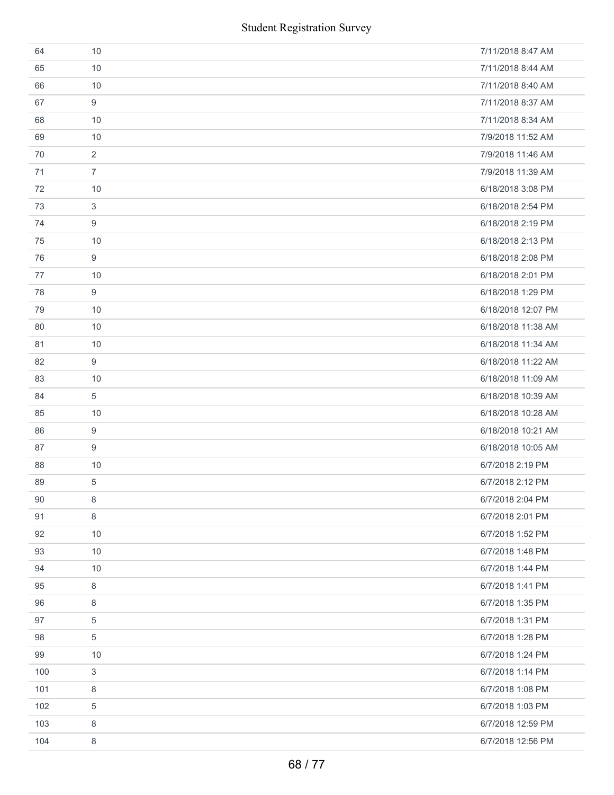| 64  | 10             | 7/11/2018 8:47 AM  |
|-----|----------------|--------------------|
| 65  | 10             | 7/11/2018 8:44 AM  |
| 66  | 10             | 7/11/2018 8:40 AM  |
| 67  | 9              | 7/11/2018 8:37 AM  |
| 68  | 10             | 7/11/2018 8:34 AM  |
| 69  | 10             | 7/9/2018 11:52 AM  |
| 70  | $\overline{2}$ | 7/9/2018 11:46 AM  |
| 71  | $\overline{7}$ | 7/9/2018 11:39 AM  |
| 72  | 10             | 6/18/2018 3:08 PM  |
| 73  | 3              | 6/18/2018 2:54 PM  |
| 74  | 9              | 6/18/2018 2:19 PM  |
| 75  | 10             | 6/18/2018 2:13 PM  |
| 76  | 9              | 6/18/2018 2:08 PM  |
| 77  | 10             | 6/18/2018 2:01 PM  |
| 78  | 9              | 6/18/2018 1:29 PM  |
| 79  | 10             | 6/18/2018 12:07 PM |
| 80  | 10             | 6/18/2018 11:38 AM |
| 81  | 10             | 6/18/2018 11:34 AM |
| 82  | 9              | 6/18/2018 11:22 AM |
| 83  | 10             | 6/18/2018 11:09 AM |
| 84  | 5              | 6/18/2018 10:39 AM |
| 85  | 10             | 6/18/2018 10:28 AM |
| 86  | 9              | 6/18/2018 10:21 AM |
| 87  | 9              | 6/18/2018 10:05 AM |
| 88  | 10             | 6/7/2018 2:19 PM   |
| 89  | 5              | 6/7/2018 2:12 PM   |
| 90  | 8              | 6/7/2018 2:04 PM   |
| 91  | 8              | 6/7/2018 2:01 PM   |
| 92  | 10             | 6/7/2018 1:52 PM   |
| 93  | 10             | 6/7/2018 1:48 PM   |
| 94  | 10             | 6/7/2018 1:44 PM   |
| 95  | 8              | 6/7/2018 1:41 PM   |
| 96  | 8              | 6/7/2018 1:35 PM   |
| 97  | 5              | 6/7/2018 1:31 PM   |
| 98  | 5              | 6/7/2018 1:28 PM   |
| 99  | 10             | 6/7/2018 1:24 PM   |
| 100 | 3              | 6/7/2018 1:14 PM   |
| 101 | 8              | 6/7/2018 1:08 PM   |
| 102 | 5              | 6/7/2018 1:03 PM   |
| 103 | 8              | 6/7/2018 12:59 PM  |
| 104 | 8              | 6/7/2018 12:56 PM  |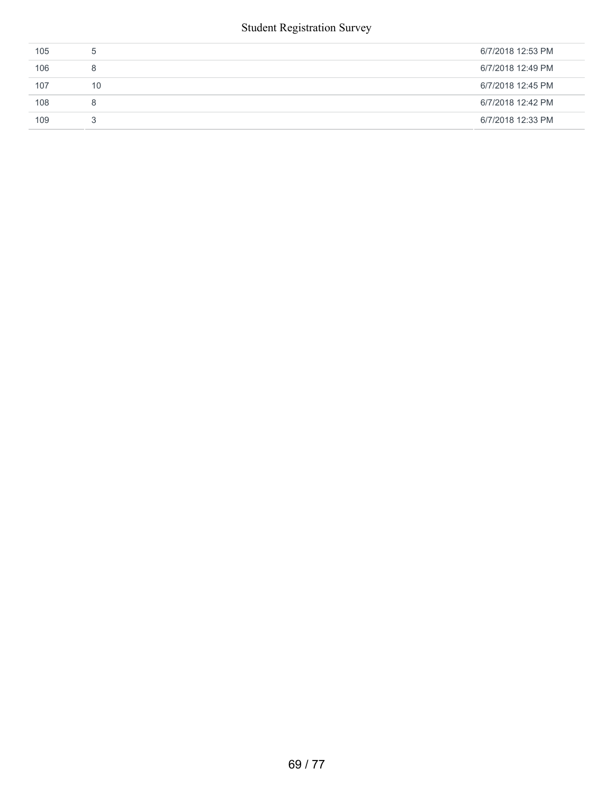| 105 | $\mathcal{D}$ | 6/7/2018 12:53 PM |
|-----|---------------|-------------------|
| 106 | 8             | 6/7/2018 12:49 PM |
| 107 | 10            | 6/7/2018 12:45 PM |
| 108 | 8             | 6/7/2018 12:42 PM |
| 109 | 3             | 6/7/2018 12:33 PM |
|     |               |                   |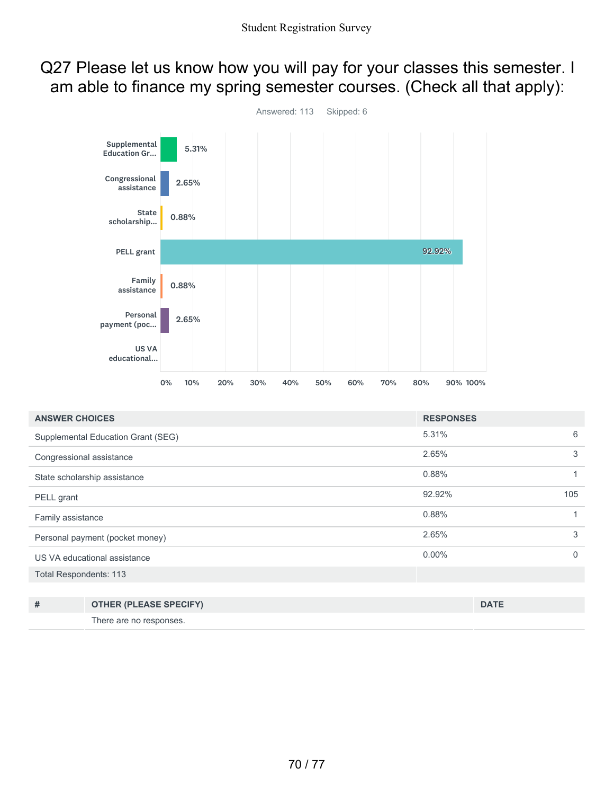### Q27 Please let us know how you will pay for your classes this semester. I am able to finance my spring semester courses. (Check all that apply):



| <b>ANSWER CHOICES</b>              |                               | <b>RESPONSES</b> |              |   |
|------------------------------------|-------------------------------|------------------|--------------|---|
| Supplemental Education Grant (SEG) |                               | 5.31%            |              | 6 |
| Congressional assistance           |                               | 2.65%            |              | 3 |
| State scholarship assistance       |                               | 0.88%            | 1            |   |
| PELL grant                         |                               | 92.92%           | 105          |   |
| Family assistance                  |                               | 0.88%            | 1            |   |
| Personal payment (pocket money)    |                               | 2.65%            |              | 3 |
| US VA educational assistance       |                               | $0.00\%$         | $\mathbf{0}$ |   |
| <b>Total Respondents: 113</b>      |                               |                  |              |   |
|                                    |                               |                  |              |   |
| #                                  | <b>OTHER (PLEASE SPECIFY)</b> |                  | <b>DATE</b>  |   |
|                                    |                               |                  |              |   |

There are no responses.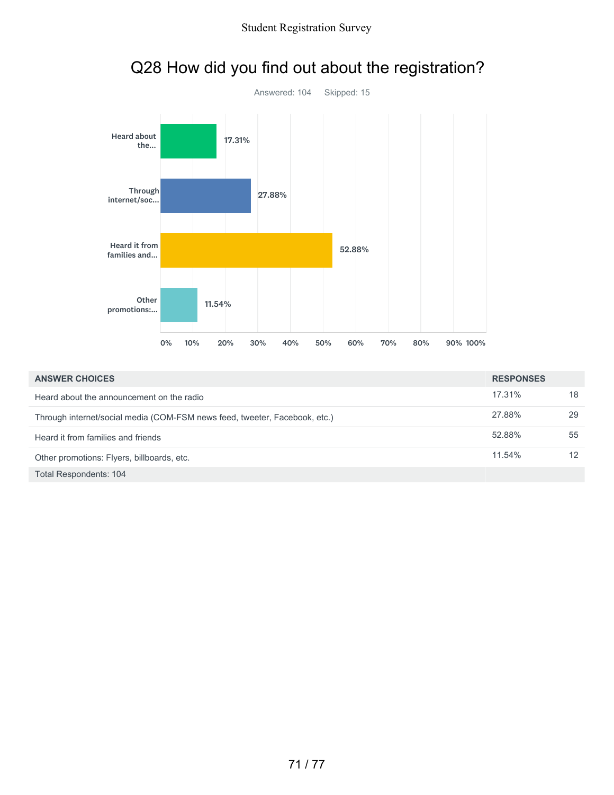

### Q28 How did you find out about the registration?

| <b>ANSWER CHOICES</b>                                                      |        |    |
|----------------------------------------------------------------------------|--------|----|
| Heard about the announcement on the radio                                  | 17.31% | 18 |
| Through internet/social media (COM-FSM news feed, tweeter, Facebook, etc.) | 27.88% | 29 |
| Heard it from families and friends                                         | 52.88% | 55 |
| Other promotions: Flyers, billboards, etc.                                 | 11.54% | 12 |
| <b>Total Respondents: 104</b>                                              |        |    |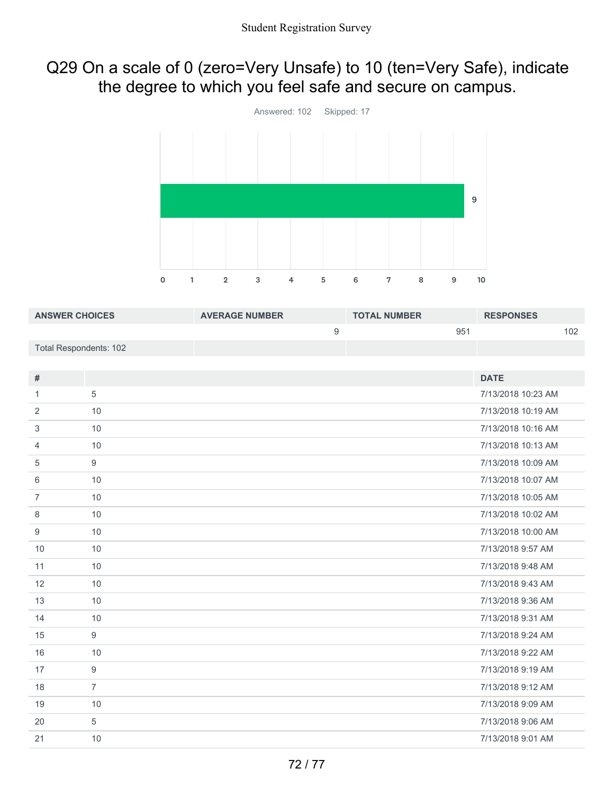### Q29 On a scale of 0 (zero=Very Unsafe) to 10 (ten=Very Safe), indicate the degree to which you feel safe and secure on campus.



| <b>ANSWER CHOICES</b>         |                  | <b>AVERAGE NUMBER</b> |                  | <b>TOTAL NUMBER</b> |     | <b>RESPONSES</b>   |     |
|-------------------------------|------------------|-----------------------|------------------|---------------------|-----|--------------------|-----|
|                               |                  |                       | $\boldsymbol{9}$ |                     | 951 |                    | 102 |
| <b>Total Respondents: 102</b> |                  |                       |                  |                     |     |                    |     |
|                               |                  |                       |                  |                     |     |                    |     |
| $\#$                          |                  |                       |                  |                     |     | <b>DATE</b>        |     |
| $\mathbf{1}$                  | 5                |                       |                  |                     |     | 7/13/2018 10:23 AM |     |
| 2                             | 10               |                       |                  |                     |     | 7/13/2018 10:19 AM |     |
| 3                             | 10               |                       |                  |                     |     | 7/13/2018 10:16 AM |     |
| 4                             | 10               |                       |                  |                     |     | 7/13/2018 10:13 AM |     |
| 5                             | $\overline{9}$   |                       |                  |                     |     | 7/13/2018 10:09 AM |     |
| 6                             | 10               |                       |                  |                     |     | 7/13/2018 10:07 AM |     |
| $\overline{7}$                | 10               |                       |                  |                     |     | 7/13/2018 10:05 AM |     |
| 8                             | 10               |                       |                  |                     |     | 7/13/2018 10:02 AM |     |
| 9                             | 10               |                       |                  |                     |     | 7/13/2018 10:00 AM |     |
| 10                            | 10               |                       |                  |                     |     | 7/13/2018 9:57 AM  |     |
| 11                            | 10               |                       |                  |                     |     | 7/13/2018 9:48 AM  |     |
| 12                            | 10               |                       |                  |                     |     | 7/13/2018 9:43 AM  |     |
| 13                            | 10               |                       |                  |                     |     | 7/13/2018 9:36 AM  |     |
| 14                            | 10               |                       |                  |                     |     | 7/13/2018 9:31 AM  |     |
| 15                            | 9                |                       |                  |                     |     | 7/13/2018 9:24 AM  |     |
| 16                            | 10               |                       |                  |                     |     | 7/13/2018 9:22 AM  |     |
| 17                            | $\boldsymbol{9}$ |                       |                  |                     |     | 7/13/2018 9:19 AM  |     |
| 18                            | $\overline{7}$   |                       |                  |                     |     | 7/13/2018 9:12 AM  |     |
| 19                            | 10               |                       |                  |                     |     | 7/13/2018 9:09 AM  |     |
| 20                            | 5                |                       |                  |                     |     | 7/13/2018 9:06 AM  |     |
| 21                            | 10               |                       |                  |                     |     | 7/13/2018 9:01 AM  |     |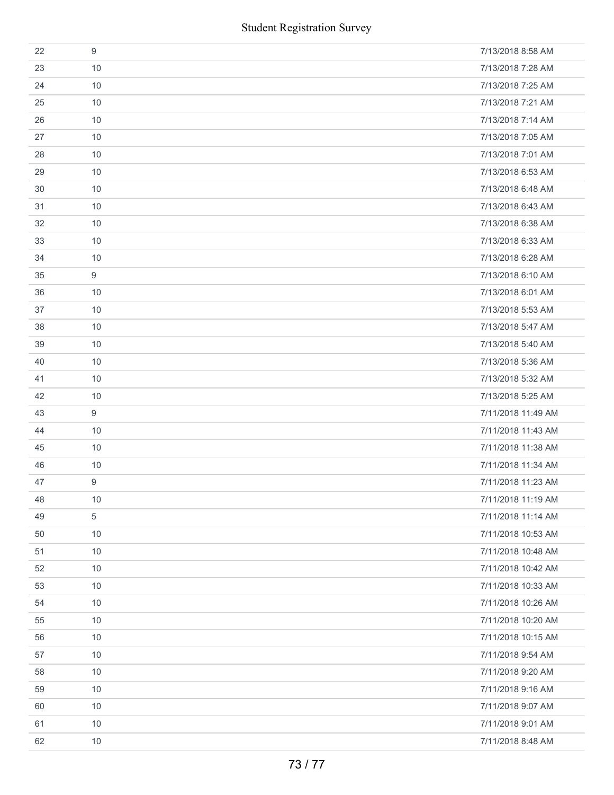|    |                  | <b>Student Registration Survey</b> |
|----|------------------|------------------------------------|
| 22 | $\boldsymbol{9}$ | 7/13/2018 8:58 AM                  |
| 23 | 10               | 7/13/2018 7:28 AM                  |
| 24 | 10               | 7/13/2018 7:25 AM                  |
| 25 | 10               | 7/13/2018 7:21 AM                  |
| 26 | 10               | 7/13/2018 7:14 AM                  |
| 27 | 10               | 7/13/2018 7:05 AM                  |
| 28 | 10               | 7/13/2018 7:01 AM                  |
| 29 | 10               | 7/13/2018 6:53 AM                  |
| 30 | 10               | 7/13/2018 6:48 AM                  |
| 31 | 10               | 7/13/2018 6:43 AM                  |
| 32 | 10               | 7/13/2018 6:38 AM                  |
| 33 | 10               | 7/13/2018 6:33 AM                  |
| 34 | 10               | 7/13/2018 6:28 AM                  |
| 35 | $\boldsymbol{9}$ | 7/13/2018 6:10 AM                  |
| 36 | 10               | 7/13/2018 6:01 AM                  |
| 37 | 10               | 7/13/2018 5:53 AM                  |
| 38 | 10               | 7/13/2018 5:47 AM                  |
| 39 | 10               | 7/13/2018 5:40 AM                  |
| 40 | 10               | 7/13/2018 5:36 AM                  |
| 41 | 10               | 7/13/2018 5:32 AM                  |
| 42 | 10               | 7/13/2018 5:25 AM                  |
| 43 | 9                | 7/11/2018 11:49 AM                 |
| 44 | 10               | 7/11/2018 11:43 AM                 |
| 45 | 10               | 7/11/2018 11:38 AM                 |
| 46 | 10               | 7/11/2018 11:34 AM                 |
| 47 | 9                | 7/11/2018 11:23 AM                 |
| 48 | 10               | 7/11/2018 11:19 AM                 |
| 49 | $\sqrt{5}$       | 7/11/2018 11:14 AM                 |
| 50 | 10               | 7/11/2018 10:53 AM                 |
| 51 | 10               | 7/11/2018 10:48 AM                 |
| 52 | 10               | 7/11/2018 10:42 AM                 |
| 53 | 10               | 7/11/2018 10:33 AM                 |
| 54 | 10               | 7/11/2018 10:26 AM                 |
| 55 | 10               | 7/11/2018 10:20 AM                 |
| 56 | 10               | 7/11/2018 10:15 AM                 |
| 57 | 10               | 7/11/2018 9:54 AM                  |
| 58 | 10               | 7/11/2018 9:20 AM                  |
| 59 | 10               | 7/11/2018 9:16 AM                  |
| 60 | 10               | 7/11/2018 9:07 AM                  |
| 61 | 10               | 7/11/2018 9:01 AM                  |
| 62 | 10               | 7/11/2018 8:48 AM                  |
|    |                  | 73/77                              |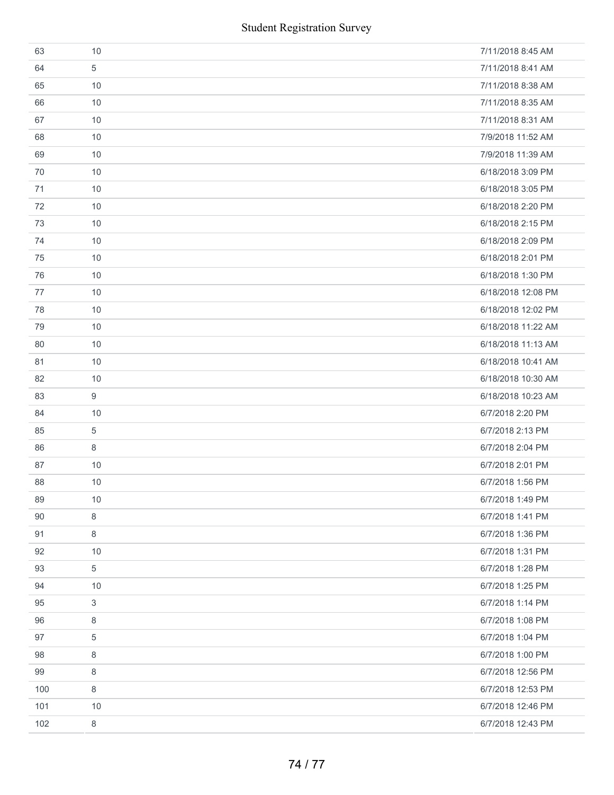| 63  | 10          | 7/11/2018 8:45 AM  |
|-----|-------------|--------------------|
| 64  | 5           | 7/11/2018 8:41 AM  |
| 65  | 10          | 7/11/2018 8:38 AM  |
| 66  | 10          | 7/11/2018 8:35 AM  |
| 67  | 10          | 7/11/2018 8:31 AM  |
| 68  | 10          | 7/9/2018 11:52 AM  |
| 69  | 10          | 7/9/2018 11:39 AM  |
| 70  | 10          | 6/18/2018 3:09 PM  |
| 71  | 10          | 6/18/2018 3:05 PM  |
| 72  | $10$        | 6/18/2018 2:20 PM  |
| 73  | 10          | 6/18/2018 2:15 PM  |
| 74  | 10          | 6/18/2018 2:09 PM  |
| 75  | 10          | 6/18/2018 2:01 PM  |
| 76  | 10          | 6/18/2018 1:30 PM  |
| 77  | 10          | 6/18/2018 12:08 PM |
| 78  | 10          | 6/18/2018 12:02 PM |
| 79  | 10          | 6/18/2018 11:22 AM |
| 80  | 10          | 6/18/2018 11:13 AM |
| 81  | 10          | 6/18/2018 10:41 AM |
| 82  | 10          | 6/18/2018 10:30 AM |
|     |             |                    |
| 83  | 9           | 6/18/2018 10:23 AM |
| 84  | 10          | 6/7/2018 2:20 PM   |
| 85  | 5           | 6/7/2018 2:13 PM   |
| 86  | 8           | 6/7/2018 2:04 PM   |
| 87  | 10          | 6/7/2018 2:01 PM   |
| 88  | 10          | 6/7/2018 1:56 PM   |
| 89  | 10          | 6/7/2018 1:49 PM   |
| 90  | 8           | 6/7/2018 1:41 PM   |
| 91  | 8           | 6/7/2018 1:36 PM   |
| 92  | 10          | 6/7/2018 1:31 PM   |
| 93  | $\,$ 5 $\,$ | 6/7/2018 1:28 PM   |
| 94  | 10          | 6/7/2018 1:25 PM   |
| 95  | 3           | 6/7/2018 1:14 PM   |
| 96  | 8           | 6/7/2018 1:08 PM   |
| 97  | 5           | 6/7/2018 1:04 PM   |
| 98  | 8           | 6/7/2018 1:00 PM   |
| 99  | 8           | 6/7/2018 12:56 PM  |
| 100 | 8           | 6/7/2018 12:53 PM  |
| 101 | 10          | 6/7/2018 12:46 PM  |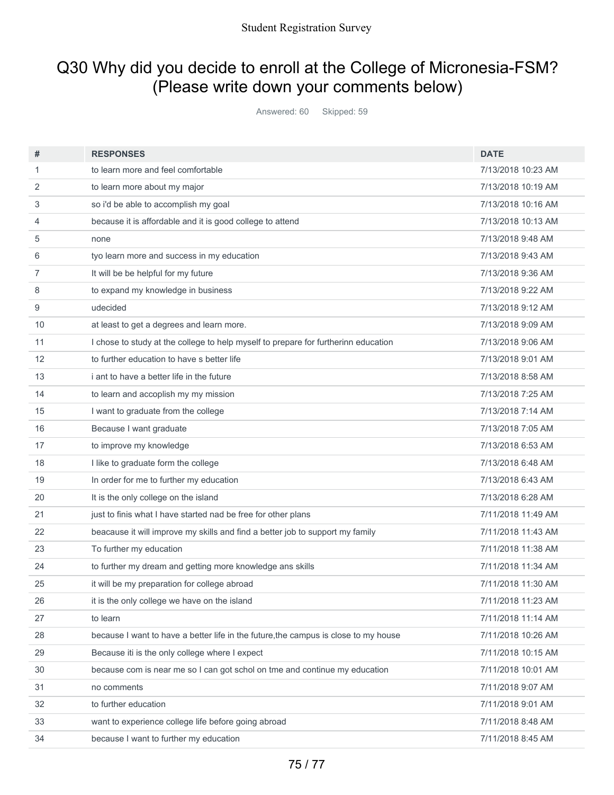## Q30 Why did you decide to enroll at the College of Micronesia-FSM? (Please write down your comments below)

Answered: 60 Skipped: 59

| #              | <b>RESPONSES</b>                                                                    | <b>DATE</b>        |
|----------------|-------------------------------------------------------------------------------------|--------------------|
| 1              | to learn more and feel comfortable                                                  | 7/13/2018 10:23 AM |
| 2              | to learn more about my major                                                        | 7/13/2018 10:19 AM |
| 3              | so i'd be able to accomplish my goal                                                | 7/13/2018 10:16 AM |
| 4              | because it is affordable and it is good college to attend                           | 7/13/2018 10:13 AM |
| 5              | none                                                                                | 7/13/2018 9:48 AM  |
| 6              | tyo learn more and success in my education                                          | 7/13/2018 9:43 AM  |
| $\overline{7}$ | It will be be helpful for my future                                                 | 7/13/2018 9:36 AM  |
| 8              | to expand my knowledge in business                                                  | 7/13/2018 9:22 AM  |
| 9              | udecided                                                                            | 7/13/2018 9:12 AM  |
| 10             | at least to get a degrees and learn more.                                           | 7/13/2018 9:09 AM  |
| 11             | I chose to study at the college to help myself to prepare for furtherinn education  | 7/13/2018 9:06 AM  |
| 12             | to further education to have s better life                                          | 7/13/2018 9:01 AM  |
| 13             | i ant to have a better life in the future                                           | 7/13/2018 8:58 AM  |
| 14             | to learn and accoplish my my mission                                                | 7/13/2018 7:25 AM  |
| 15             | I want to graduate from the college                                                 | 7/13/2018 7:14 AM  |
| 16             | Because I want graduate                                                             | 7/13/2018 7:05 AM  |
| 17             | to improve my knowledge                                                             | 7/13/2018 6:53 AM  |
| 18             | I like to graduate form the college                                                 | 7/13/2018 6:48 AM  |
| 19             | In order for me to further my education                                             | 7/13/2018 6:43 AM  |
| 20             | It is the only college on the island                                                | 7/13/2018 6:28 AM  |
| 21             | just to finis what I have started nad be free for other plans                       | 7/11/2018 11:49 AM |
| 22             | beacause it will improve my skills and find a better job to support my family       | 7/11/2018 11:43 AM |
| 23             | To further my education                                                             | 7/11/2018 11:38 AM |
| 24             | to further my dream and getting more knowledge ans skills                           | 7/11/2018 11:34 AM |
| 25             | it will be my preparation for college abroad                                        | 7/11/2018 11:30 AM |
| 26             | it is the only college we have on the island                                        | 7/11/2018 11:23 AM |
| 27             | to learn                                                                            | 7/11/2018 11:14 AM |
| 28             | because I want to have a better life in the future, the campus is close to my house | 7/11/2018 10:26 AM |
| 29             | Because iti is the only college where I expect                                      | 7/11/2018 10:15 AM |
| 30             | because com is near me so I can got schol on tme and continue my education          | 7/11/2018 10:01 AM |
| 31             | no comments                                                                         | 7/11/2018 9:07 AM  |
| 32             | to further education                                                                | 7/11/2018 9:01 AM  |
| 33             | want to experience college life before going abroad                                 | 7/11/2018 8:48 AM  |
| 34             | because I want to further my education                                              | 7/11/2018 8:45 AM  |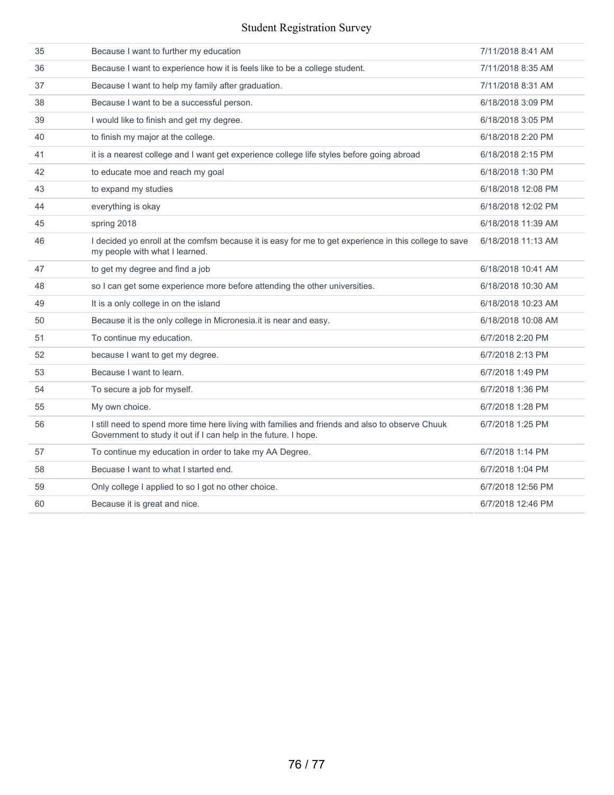## Student Registration Survey

| 35 | Because I want to further my education                                                                                                                             | 7/11/2018 8:41 AM  |
|----|--------------------------------------------------------------------------------------------------------------------------------------------------------------------|--------------------|
| 36 | Because I want to experience how it is feels like to be a college student.                                                                                         | 7/11/2018 8:35 AM  |
| 37 | Because I want to help my family after graduation.                                                                                                                 | 7/11/2018 8:31 AM  |
| 38 | Because I want to be a successful person.                                                                                                                          | 6/18/2018 3:09 PM  |
| 39 | I would like to finish and get my degree.                                                                                                                          | 6/18/2018 3:05 PM  |
| 40 | to finish my major at the college.                                                                                                                                 | 6/18/2018 2:20 PM  |
| 41 | it is a nearest college and I want get experience college life styles before going abroad                                                                          | 6/18/2018 2:15 PM  |
| 42 | to educate moe and reach my goal                                                                                                                                   | 6/18/2018 1:30 PM  |
| 43 | to expand my studies                                                                                                                                               | 6/18/2018 12:08 PM |
| 44 | everything is okay                                                                                                                                                 | 6/18/2018 12:02 PM |
| 45 | spring 2018                                                                                                                                                        | 6/18/2018 11:39 AM |
| 46 | I decided yo enroll at the comfsm because it is easy for me to get experience in this college to save<br>my people with what I learned.                            | 6/18/2018 11:13 AM |
| 47 | to get my degree and find a job                                                                                                                                    | 6/18/2018 10:41 AM |
| 48 | so I can get some experience more before attending the other universities.                                                                                         | 6/18/2018 10:30 AM |
| 49 | It is a only college in on the island                                                                                                                              | 6/18/2018 10:23 AM |
| 50 | Because it is the only college in Micronesia.it is near and easy.                                                                                                  | 6/18/2018 10:08 AM |
| 51 | To continue my education.                                                                                                                                          | 6/7/2018 2:20 PM   |
| 52 | because I want to get my degree.                                                                                                                                   | 6/7/2018 2:13 PM   |
| 53 | Because I want to learn.                                                                                                                                           | 6/7/2018 1:49 PM   |
| 54 | To secure a job for myself.                                                                                                                                        | 6/7/2018 1:36 PM   |
| 55 | My own choice.                                                                                                                                                     | 6/7/2018 1:28 PM   |
| 56 | I still need to spend more time here living with families and friends and also to observe Chuuk<br>Government to study it out if I can help in the future. I hope. | 6/7/2018 1:25 PM   |
| 57 | To continue my education in order to take my AA Degree.                                                                                                            | 6/7/2018 1:14 PM   |
| 58 | Becuase I want to what I started end.                                                                                                                              | 6/7/2018 1:04 PM   |
| 59 | Only college I applied to so I got no other choice.                                                                                                                | 6/7/2018 12:56 PM  |
| 60 | Because it is great and nice.                                                                                                                                      | 6/7/2018 12:46 PM  |